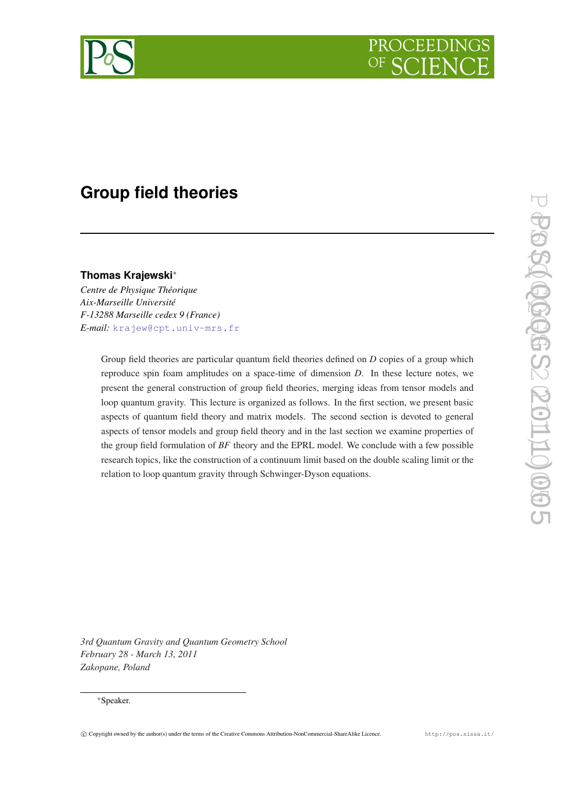

# **Group field theories**

# **Thomas Krajewski**<sup>∗</sup>

*Centre de Physique Théorique Aix-Marseille Université F-13288 Marseille cedex 9 (France) E-mail:* [krajew@cpt.univ-mrs.fr](mailto:krajew@cpt.univ-mrs.fr)

> Group field theories are particular quantum field theories defined on *D* copies of a group which reproduce spin foam amplitudes on a space-time of dimension *D*. In these lecture notes, we present the general construction of group field theories, merging ideas from tensor models and loop quantum gravity. This lecture is organized as follows. In the first section, we present basic aspects of quantum field theory and matrix models. The second section is devoted to general aspects of tensor models and group field theory and in the last section we examine properties of the group field formulation of *BF* theory and the EPRL model. We conclude with a few possible research topics, like the construction of a continuum limit based on the double scaling limit or the relation to loop quantum gravity through Schwinger-Dyson equations.

*3rd Quantum Gravity and Quantum Geometry School February 28 - March 13, 2011 Zakopane, Poland*

# <sup>∗</sup>Speaker.

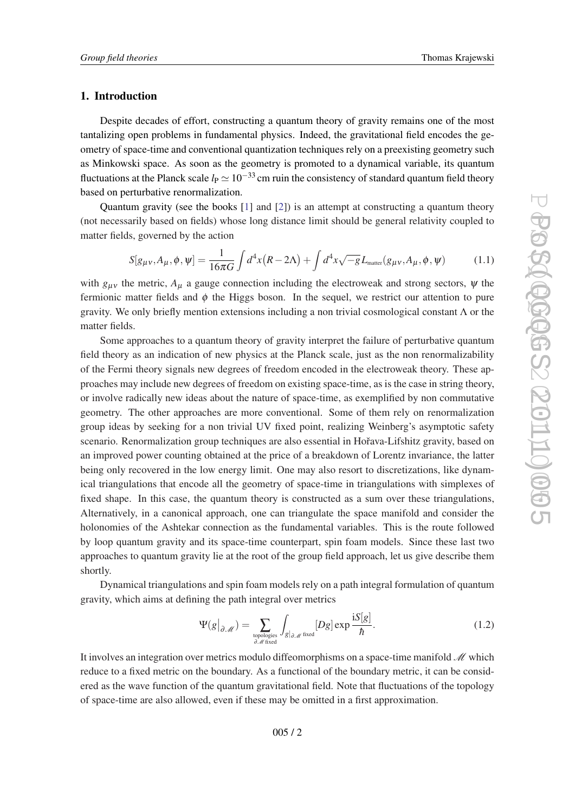# <span id="page-1-0"></span>1. Introduction

Despite decades of effort, constructing a quantum theory of gravity remains one of the most tantalizing open problems in fundamental physics. Indeed, the gravitational field encodes the geometry of space-time and conventional quantization techniques rely on a preexisting geometry such as Minkowski space. As soon as the geometry is promoted to a dynamical variable, its quantum fluctuations at the Planck scale  $l_P \simeq 10^{-33}$  cm ruin the consistency of standard quantum field theory based on perturbative renormalization.

Quantum gravity (see the books [[1](#page-53-0)] and [\[2\]](#page-53-0)) is an attempt at constructing a quantum theory (not necessarily based on fields) whose long distance limit should be general relativity coupled to matter fields, governed by the action

$$
S[g_{\mu\nu}, A_{\mu}, \phi, \psi] = \frac{1}{16\pi G} \int d^4x (R - 2\Lambda) + \int d^4x \sqrt{-g} L_{\text{matter}}(g_{\mu\nu}, A_{\mu}, \phi, \psi) \tag{1.1}
$$

with  $g_{\mu\nu}$  the metric,  $A_{\mu}$  a gauge connection including the electroweak and strong sectors,  $\psi$  the fermionic matter fields and  $\phi$  the Higgs boson. In the sequel, we restrict our attention to pure gravity. We only briefly mention extensions including a non trivial cosmological constant  $\Lambda$  or the matter fields.

Some approaches to a quantum theory of gravity interpret the failure of perturbative quantum field theory as an indication of new physics at the Planck scale, just as the non renormalizability of the Fermi theory signals new degrees of freedom encoded in the electroweak theory. These approaches may include new degrees of freedom on existing space-time, as is the case in string theory, or involve radically new ideas about the nature of space-time, as exemplified by non commutative geometry. The other approaches are more conventional. Some of them rely on renormalization group ideas by seeking for a non trivial UV fixed point, realizing Weinberg's asymptotic safety scenario. Renormalization group techniques are also essential in Hořava-Lifshitz gravity, based on an improved power counting obtained at the price of a breakdown of Lorentz invariance, the latter being only recovered in the low energy limit. One may also resort to discretizations, like dynamical triangulations that encode all the geometry of space-time in triangulations with simplexes of fixed shape. In this case, the quantum theory is constructed as a sum over these triangulations, Alternatively, in a canonical approach, one can triangulate the space manifold and consider the holonomies of the Ashtekar connection as the fundamental variables. This is the route followed by loop quantum gravity and its space-time counterpart, spin foam models. Since these last two approaches to quantum gravity lie at the root of the group field approach, let us give describe them shortly.

Dynamical triangulations and spin foam models rely on a path integral formulation of quantum gravity, which aims at defining the path integral over metrics

$$
\Psi(g|_{\partial \mathcal{M}}) = \sum_{\substack{\text{topologies} \\ \partial \mathcal{M} \text{ fixed}}} \int_{g|_{\partial \mathcal{M}}} [Dg] \exp \frac{\mathrm{i}S[g]}{\hbar}.
$$
 (1.2)

It involves an integration over metrics modulo diffeomorphisms on a space-time manifold  $\mathcal{M}$  which reduce to a fixed metric on the boundary. As a functional of the boundary metric, it can be considered as the wave function of the quantum gravitational field. Note that fluctuations of the topology of space-time are also allowed, even if these may be omitted in a first approximation.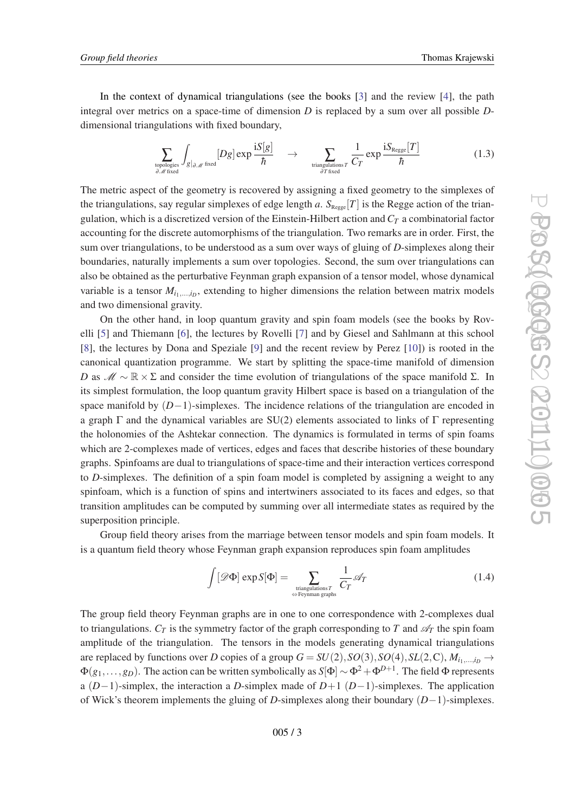In the context of dynamical triangulations (see the books [\[3\]](#page-53-0) and the review [\[4\]](#page-54-0), the path integral over metrics on a space-time of dimension *D* is replaced by a sum over all possible *D*dimensional triangulations with fixed boundary,

$$
\sum_{\text{topologies} \atop \partial \mathcal{M} \text{ fixed}} \int_{g|_{\partial \mathcal{M}}} [Dg] \exp \frac{\mathrm{i} S[g]}{\hbar} \quad \to \quad \sum_{\text{triangulations } T \atop \partial T \text{ fixed}} \frac{1}{C_T} \exp \frac{\mathrm{i} S_{\text{Regge}}[T]}{\hbar} \tag{1.3}
$$

The metric aspect of the geometry is recovered by assigning a fixed geometry to the simplexes of the triangulations, say regular simplexes of edge length *a*.  $S_{\text{Regge}}[T]$  is the Regge action of the triangulation, which is a discretized version of the Einstein-Hilbert action and *C<sup>T</sup>* a combinatorial factor accounting for the discrete automorphisms of the triangulation. Two remarks are in order. First, the sum over triangulations, to be understood as a sum over ways of gluing of *D*-simplexes along their boundaries, naturally implements a sum over topologies. Second, the sum over triangulations can also be obtained as the perturbative Feynman graph expansion of a tensor model, whose dynamical variable is a tensor  $M_{i_1,...,i_D}$ , extending to higher dimensions the relation between matrix models and two dimensional gravity.

On the other hand, in loop quantum gravity and spin foam models (see the books by Rovelli [\[5\]](#page-54-0) and Thiemann [\[6\]](#page-54-0), the lectures by Rovelli [[7](#page-54-0)] and by Giesel and Sahlmann at this school [[8](#page-54-0)], the lectures by Dona and Speziale [\[9\]](#page-54-0) and the recent review by Perez [[10\]](#page-54-0)) is rooted in the canonical quantization programme. We start by splitting the space-time manifold of dimension *D* as  $\mathcal{M} \sim \mathbb{R} \times \Sigma$  and consider the time evolution of triangulations of the space manifold Σ. In its simplest formulation, the loop quantum gravity Hilbert space is based on a triangulation of the space manifold by (*D*−1)-simplexes. The incidence relations of the triangulation are encoded in a graph  $\Gamma$  and the dynamical variables are SU(2) elements associated to links of  $\Gamma$  representing the holonomies of the Ashtekar connection. The dynamics is formulated in terms of spin foams which are 2-complexes made of vertices, edges and faces that describe histories of these boundary graphs. Spinfoams are dual to triangulations of space-time and their interaction vertices correspond to *D*-simplexes. The definition of a spin foam model is completed by assigning a weight to any spinfoam, which is a function of spins and intertwiners associated to its faces and edges, so that transition amplitudes can be computed by summing over all intermediate states as required by the superposition principle.

Group field theory arises from the marriage between tensor models and spin foam models. It is a quantum field theory whose Feynman graph expansion reproduces spin foam amplitudes

$$
\int [\mathcal{D}\Phi] \exp S[\Phi] = \sum_{\substack{\text{triangular} \\ \Leftrightarrow \text{ Feynman graphs}}} \frac{1}{C_T} \mathcal{A}_T \tag{1.4}
$$

The group field theory Feynman graphs are in one to one correspondence with 2-complexes dual to triangulations.  $C_T$  is the symmetry factor of the graph corresponding to *T* and  $\mathscr{A}_T$  the spin foam amplitude of the triangulation. The tensors in the models generating dynamical triangulations are replaced by functions over *D* copies of a group  $G = SU(2), SO(3), SO(4), SL(2, \mathbb{C}), M_{i_1, \dots, i_D} \rightarrow$ Φ(*g*1,...,*gD*). The action can be written symbolically as *S*[Φ] ∼ Φ2+Φ*D*+<sup>1</sup> . The field Φ represents a (*D*−1)-simplex, the interaction a *D*-simplex made of *D*+1 (*D*−1)-simplexes. The application of Wick's theorem implements the gluing of *D*-simplexes along their boundary (*D*−1)-simplexes.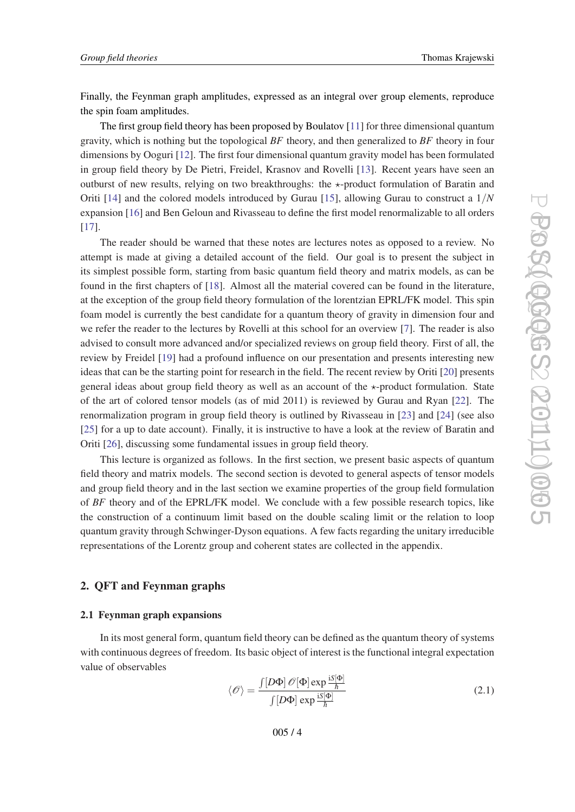<span id="page-3-0"></span>Finally, the Feynman graph amplitudes, expressed as an integral over group elements, reproduce the spin foam amplitudes.

The first group field theory has been proposed by Boulatov [\[11](#page-54-0)] for three dimensional quantum gravity, which is nothing but the topological *BF* theory, and then generalized to *BF* theory in four dimensions by Ooguri [[12](#page-54-0)]. The first four dimensional quantum gravity model has been formulated in group field theory by De Pietri, Freidel, Krasnov and Rovelli [[13\]](#page-54-0). Recent years have seen an outburst of new results, relying on two breakthroughs: the  $\star$ -product formulation of Baratin and Oriti [\[14](#page-54-0)] and the colored models introduced by Gurau [[15\]](#page-54-0), allowing Gurau to construct a 1/*N* expansion [\[16](#page-54-0)] and Ben Geloun and Rivasseau to define the first model renormalizable to all orders [[17\]](#page-54-0).

The reader should be warned that these notes are lectures notes as opposed to a review. No attempt is made at giving a detailed account of the field. Our goal is to present the subject in its simplest possible form, starting from basic quantum field theory and matrix models, as can be found in the first chapters of [\[18](#page-54-0)]. Almost all the material covered can be found in the literature, at the exception of the group field theory formulation of the lorentzian EPRL/FK model. This spin foam model is currently the best candidate for a quantum theory of gravity in dimension four and we refer the reader to the lectures by Rovelli at this school for an overview [\[7\]](#page-54-0). The reader is also advised to consult more advanced and/or specialized reviews on group field theory. First of all, the review by Freidel [\[19](#page-54-0)] had a profound influence on our presentation and presents interesting new ideas that can be the starting point for research in the field. The recent review by Oriti [\[20](#page-54-0)] presents general ideas about group field theory as well as an account of the  $\star$ -product formulation. State of the art of colored tensor models (as of mid 2011) is reviewed by Gurau and Ryan [\[22](#page-54-0)]. The renormalization program in group field theory is outlined by Rivasseau in [[23](#page-54-0)] and [[24\]](#page-54-0) (see also [[25\]](#page-54-0) for a up to date account). Finally, it is instructive to have a look at the review of Baratin and Oriti [\[26](#page-54-0)], discussing some fundamental issues in group field theory.

This lecture is organized as follows. In the first section, we present basic aspects of quantum field theory and matrix models. The second section is devoted to general aspects of tensor models and group field theory and in the last section we examine properties of the group field formulation of *BF* theory and of the EPRL/FK model. We conclude with a few possible research topics, like the construction of a continuum limit based on the double scaling limit or the relation to loop quantum gravity through Schwinger-Dyson equations. A few facts regarding the unitary irreducible representations of the Lorentz group and coherent states are collected in the appendix.

# 2. QFT and Feynman graphs

# 2.1 Feynman graph expansions

In its most general form, quantum field theory can be defined as the quantum theory of systems with continuous degrees of freedom. Its basic object of interest is the functional integral expectation value of observables

$$
\langle \mathcal{O} \rangle = \frac{\int [D\Phi] \mathcal{O}[\Phi] \exp \frac{iS[\Phi]}{\hbar}}{\int [D\Phi] \exp \frac{iS[\Phi]}{\hbar}}
$$
(2.1)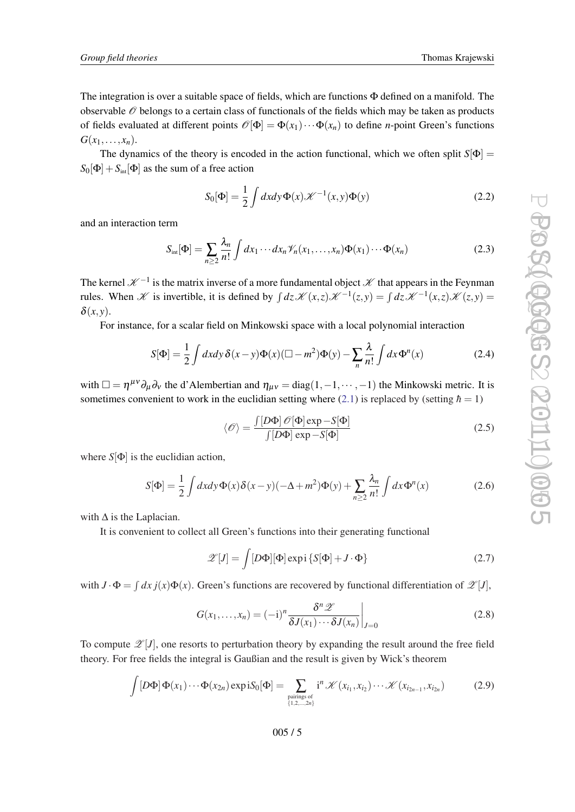<span id="page-4-0"></span>The integration is over a suitable space of fields, which are functions Φ defined on a manifold. The observable  $\mathcal O$  belongs to a certain class of functionals of the fields which may be taken as products of fields evaluated at different points  $\mathcal{O}[\Phi] = \Phi(x_1) \cdots \Phi(x_n)$  to define *n*-point Green's functions  $G(x_1,\ldots,x_n)$ .

The dynamics of the theory is encoded in the action functional, which we often split  $S[\Phi]$  =  $S_0[\Phi] + S_{\text{int}}[\Phi]$  as the sum of a free action

$$
S_0[\Phi] = \frac{1}{2} \int dx dy \Phi(x) \mathcal{K}^{-1}(x, y) \Phi(y)
$$
 (2.2)

and an interaction term

$$
S_{\text{int}}[\Phi] = \sum_{n\geq 2} \frac{\lambda_n}{n!} \int dx_1 \cdots dx_n \mathcal{V}_n(x_1,\ldots,x_n) \Phi(x_1) \cdots \Phi(x_n)
$$
 (2.3)

The kernel  $\mathscr{K}^{-1}$  is the matrix inverse of a more fundamental object  $\mathscr{K}$  that appears in the Feynman rules. When X is invertible, it is defined by  $\int dz \mathcal{K}(x, z) \mathcal{K}^{-1}(z, y) = \int dz \mathcal{K}^{-1}(x, z) \mathcal{K}(z, y)$  $\delta(x, y)$ .

For instance, for a scalar field on Minkowski space with a local polynomial interaction

$$
S[\Phi] = \frac{1}{2} \int dx dy \, \delta(x - y) \Phi(x) (\Box - m^2) \Phi(y) - \sum_{n} \frac{\lambda}{n!} \int dx \, \Phi^n(x) \tag{2.4}
$$

with  $\Box = \eta^{\mu\nu}\partial_{\mu}\partial_{\nu}$  the d'Alembertian and  $\eta_{\mu\nu} = \text{diag}(1,-1,\dots,-1)$  the Minkowski metric. It is sometimes convenient to work in the euclidian setting where  $(2.1)$  $(2.1)$  $(2.1)$  is replaced by (setting  $\hbar = 1$ )

$$
\langle \mathcal{O} \rangle = \frac{\int [D\Phi] \mathcal{O}[\Phi] \exp - S[\Phi]}{\int [D\Phi] \exp - S[\Phi]} \tag{2.5}
$$

where  $S[\Phi]$  is the euclidian action,

$$
S[\Phi] = \frac{1}{2} \int dx dy \Phi(x) \delta(x - y) (-\Delta + m^2) \Phi(y) + \sum_{n \ge 2} \frac{\lambda_n}{n!} \int dx \Phi^n(x)
$$
 (2.6)

with  $\Delta$  is the Laplacian.

It is convenient to collect all Green's functions into their generating functional

$$
\mathscr{Z}[J] = \int [D\Phi][\Phi] \exp i \{ S[\Phi] + J \cdot \Phi \}
$$
 (2.7)

with  $J \cdot \Phi = \int dx j(x) \Phi(x)$ . Green's functions are recovered by functional differentiation of  $\mathscr{L}[J]$ ,

$$
G(x_1,...,x_n) = (-i)^n \frac{\delta^n \mathscr{Z}}{\delta J(x_1) \cdots \delta J(x_n)}\bigg|_{J=0}
$$
\n(2.8)

To compute  $\mathscr{Z}[J]$ , one resorts to perturbation theory by expanding the result around the free field theory. For free fields the integral is Gaußian and the result is given by Wick's theorem

$$
\int [D\Phi] \Phi(x_1) \cdots \Phi(x_{2n}) \exp \mathrm{i} S_0[\Phi] = \sum_{\substack{\text{pairings of} \\ \{1,2,\ldots,2n\}}} i^n \mathcal{K}(x_{i_1}, x_{i_2}) \cdots \mathcal{K}(x_{i_{2n-1}}, x_{i_{2n}})
$$
(2.9)

005 / 5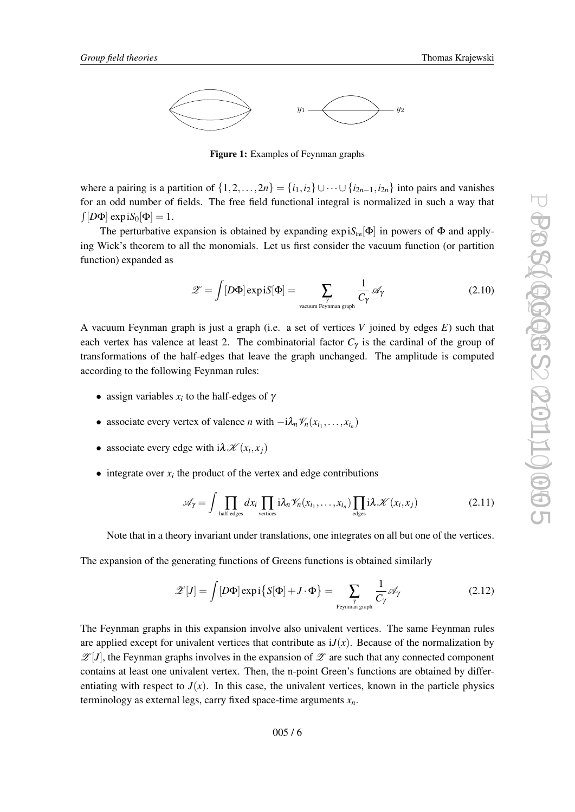<span id="page-5-0"></span>

Figure 1: Examples of Feynman graphs

where a pairing is a partition of  $\{1,2,\ldots,2n\} = \{i_1,i_2\} \cup \cdots \cup \{i_{2n-1},i_{2n}\}$  into pairs and vanishes for an odd number of fields. The free field functional integral is normalized in such a way that  $\int [D\Phi] \exp {\rm i}S_0[\Phi] = 1.$ 

The perturbative expansion is obtained by expanding  $\exp iS_{int}[\Phi]$  in powers of  $\Phi$  and applying Wick's theorem to all the monomials. Let us first consider the vacuum function (or partition function) expanded as

$$
\mathscr{Z} = \int [D\Phi] \exp \mathrm{i} S[\Phi] = \sum_{\substack{\gamma \text{ vacuum } \text{Feynman graph}}} \frac{1}{C_{\gamma}} \mathscr{A}_{\gamma} \tag{2.10}
$$

A vacuum Feynman graph is just a graph (i.e. a set of vertices *V* joined by edges *E*) such that each vertex has valence at least 2. The combinatorial factor  $C_{\gamma}$  is the cardinal of the group of transformations of the half-edges that leave the graph unchanged. The amplitude is computed according to the following Feynman rules:

- assign variables  $x_i$  to the half-edges of  $\gamma$
- associate every vertex of valence *n* with  $-i\lambda_n \mathcal{V}_n(x_{i_1},...,x_{i_n})$
- associate every edge with  $i\lambda \mathcal{K}(x_i, x_j)$
- $\bullet$  integrate over  $x_i$  the product of the vertex and edge contributions

$$
\mathscr{A}_{\gamma} = \int \prod_{\text{half-edges}} dx_i \prod_{\text{vertices}} i \lambda_n \mathscr{V}_n(x_{i_1}, \dots, x_{i_n}) \prod_{\text{edges}} i \lambda \mathscr{K}(x_i, x_j)
$$
(2.11)

Note that in a theory invariant under translations, one integrates on all but one of the vertices.

The expansion of the generating functions of Greens functions is obtained similarly

$$
\mathscr{Z}[J] = \int [D\Phi] \exp i \{ S[\Phi] + J \cdot \Phi \} = \sum_{\substack{\gamma \text{ Feynman graph} \\ \text{Feynman graph}}} \frac{1}{C_{\gamma}} \mathscr{A}_{\gamma} \tag{2.12}
$$

The Feynman graphs in this expansion involve also univalent vertices. The same Feynman rules are applied except for univalent vertices that contribute as  $iJ(x)$ . Because of the normalization by  $\mathscr{Z}[J]$ , the Feynman graphs involves in the expansion of  $\mathscr Z$  are such that any connected component contains at least one univalent vertex. Then, the n-point Green's functions are obtained by differentiating with respect to  $J(x)$ . In this case, the univalent vertices, known in the particle physics terminology as external legs, carry fixed space-time arguments  $x_n$ .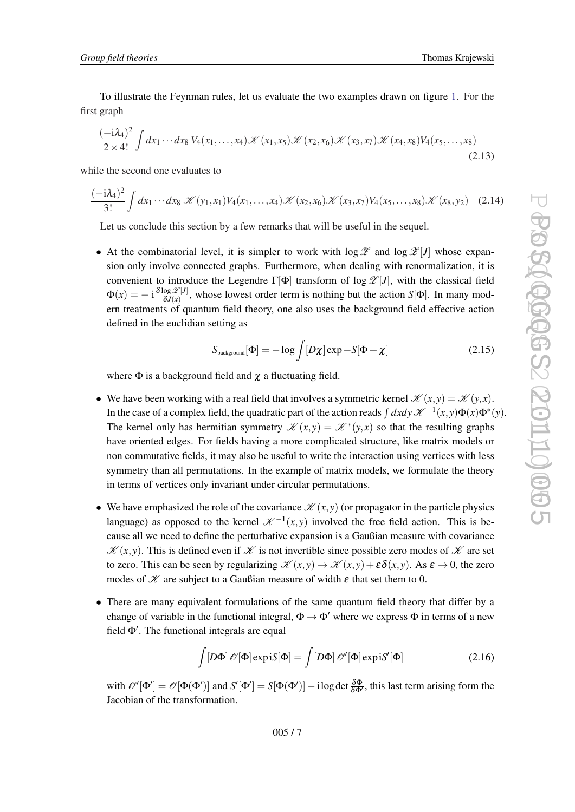To illustrate the Feynman rules, let us evaluate the two examples drawn on figure [1.](#page-5-0) For the first graph

$$
\frac{(-i\lambda_4)^2}{2\times4!} \int dx_1 \cdots dx_8 \, V_4(x_1,\ldots,x_4) \mathcal{K}(x_1,x_5) \mathcal{K}(x_2,x_6) \mathcal{K}(x_3,x_7) \mathcal{K}(x_4,x_8) V_4(x_5,\ldots,x_8)
$$
\n(2.13)

while the second one evaluates to

$$
\frac{(-i\lambda_4)^2}{3!} \int dx_1 \cdots dx_8 \, \mathcal{K}(y_1, x_1) V_4(x_1, \ldots, x_4) \mathcal{K}(x_2, x_6) \mathcal{K}(x_3, x_7) V_4(x_5, \ldots, x_8) \mathcal{K}(x_8, y_2) \tag{2.14}
$$

Let us conclude this section by a few remarks that will be useful in the sequel.

• At the combinatorial level, it is simpler to work with  $\log \mathscr{Z}$  and  $\log \mathscr{Z}[J]$  whose expansion only involve connected graphs. Furthermore, when dealing with renormalization, it is convenient to introduce the Legendre Γ[Φ] transform of log  $\mathscr{Z}[J]$ , with the classical field  $\Phi(x) = -\; {\rm i} \frac{\delta \log \mathscr{Z}[J]}{\delta J(x)}$  $\frac{\partial g}{\partial J(x)}$ , whose lowest order term is nothing but the action *S*[ $\Phi$ ]. In many modern treatments of quantum field theory, one also uses the background field effective action defined in the euclidian setting as

$$
S_{\text{background}}[\Phi] = -\log \int [D\chi] \exp - S[\Phi + \chi] \tag{2.15}
$$

where  $\Phi$  is a background field and  $\chi$  a fluctuating field.

- We have been working with a real field that involves a symmetric kernel  $\mathcal{K}(x, y) = \mathcal{K}(y, x)$ . In the case of a complex field, the quadratic part of the action reads  $\int dx dy \mathscr{K}^{-1}(x,y) \Phi(x) \Phi^*(y)$ . The kernel only has hermitian symmetry  $\mathscr{K}(x, y) = \mathscr{K}^*(y, x)$  so that the resulting graphs have oriented edges. For fields having a more complicated structure, like matrix models or non commutative fields, it may also be useful to write the interaction using vertices with less symmetry than all permutations. In the example of matrix models, we formulate the theory in terms of vertices only invariant under circular permutations.
- We have emphasized the role of the covariance  $\mathcal{K}(x, y)$  (or propagator in the particle physics language) as opposed to the kernel  $\mathscr{K}^{-1}(x, y)$  involved the free field action. This is because all we need to define the perturbative expansion is a Gaußian measure with covariance  $\mathscr{K}(x, y)$ . This is defined even if  $\mathscr{K}$  is not invertible since possible zero modes of  $\mathscr{K}$  are set to zero. This can be seen by regularizing  $\mathscr{K}(x, y) \to \mathscr{K}(x, y) + \varepsilon \delta(x, y)$ . As  $\varepsilon \to 0$ , the zero modes of  $K$  are subject to a Gaußian measure of width  $\varepsilon$  that set them to 0.
- There are many equivalent formulations of the same quantum field theory that differ by a change of variable in the functional integral,  $\Phi \rightarrow \Phi'$  where we express  $\Phi$  in terms of a new field  $\Phi'$ . The functional integrals are equal

$$
\int [D\Phi] \mathscr{O}[\Phi] \exp iS[\Phi] = \int [D\Phi] \mathscr{O}'[\Phi] \exp iS'[\Phi]
$$
 (2.16)

with  $\mathscr{O}'[\Phi'] = \mathscr{O}[\Phi(\Phi')]$  and  $S'[\Phi'] = S[\Phi(\Phi')] - i \log \det \frac{\delta \Phi}{\delta \Phi'}$ , this last term arising form the Jacobian of the transformation.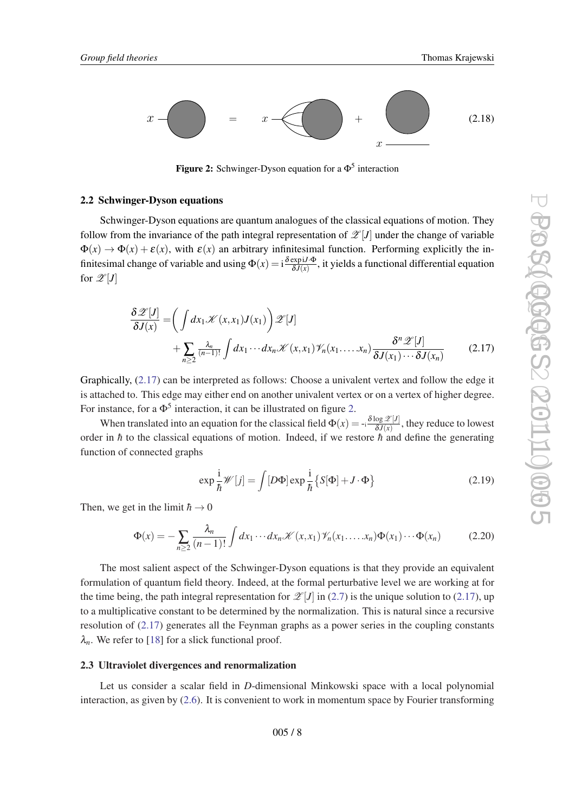<span id="page-7-0"></span>

Figure 2: Schwinger-Dyson equation for a  $\Phi^5$  interaction

## 2.2 Schwinger-Dyson equations

Schwinger-Dyson equations are quantum analogues of the classical equations of motion. They follow from the invariance of the path integral representation of  $\mathscr{L}[J]$  under the change of variable  $\Phi(x) \to \Phi(x) + \varepsilon(x)$ , with  $\varepsilon(x)$  an arbitrary infinitesimal function. Performing explicitly the infinitesimal change of variable and using  $\Phi(x) = i \frac{\delta \exp(i \cdot \Phi)}{\delta J(x)}$  $\frac{\exp(D, \Phi)}{\delta J(x)}$ , it yields a functional differential equation for  $\mathscr{Z}[J]$ 

$$
\frac{\delta \mathscr{Z}[J]}{\delta J(x)} = \left( \int dx_1 \mathscr{K}(x, x_1) J(x_1) \right) \mathscr{Z}[J] \n+ \sum_{n \ge 2} \frac{\lambda_n}{(n-1)!} \int dx_1 \cdots dx_n \mathscr{K}(x, x_1) \mathscr{V}_n(x_1, \dots, x_n) \frac{\delta^n \mathscr{Z}[J]}{\delta J(x_1) \cdots \delta J(x_n)}
$$
\n(2.17)

Graphically, (2.17) can be interpreted as follows: Choose a univalent vertex and follow the edge it is attached to. This edge may either end on another univalent vertex or on a vertex of higher degree. For instance, for a  $\Phi^5$  interaction, it can be illustrated on figure 2.

When translated into an equation for the classical field  $\Phi(x) = -i \frac{\delta \log \mathcal{Z}[J]}{\delta J(x)}$  $\frac{\log z}{\delta J(x)}$ , they reduce to lowest order in  $\hbar$  to the classical equations of motion. Indeed, if we restore  $\hbar$  and define the generating function of connected graphs

$$
\exp\frac{i}{\hbar}\mathscr{W}[j] = \int [D\Phi] \exp\frac{i}{\hbar} \{ S[\Phi] + J \cdot \Phi \}
$$
 (2.19)

Then, we get in the limit  $\hbar \rightarrow 0$ 

$$
\Phi(x) = -\sum_{n\geq 2} \frac{\lambda_n}{(n-1)!} \int dx_1 \cdots dx_n \mathcal{K}(x, x_1) \mathcal{V}_n(x_1, \dots, x_n) \Phi(x_1) \cdots \Phi(x_n)
$$
(2.20)

The most salient aspect of the Schwinger-Dyson equations is that they provide an equivalent formulation of quantum field theory. Indeed, at the formal perturbative level we are working at for the time being, the path integral representation for  $\mathscr{Z}[J]$  in [\(2.7\)](#page-4-0) is the unique solution to (2.17), up to a multiplicative constant to be determined by the normalization. This is natural since a recursive resolution of (2.17) generates all the Feynman graphs as a power series in the coupling constants  $\lambda_n$ . We refer to [\[18\]](#page-54-0) for a slick functional proof.

#### 2.3 Ultraviolet divergences and renormalization

Let us consider a scalar field in *D*-dimensional Minkowski space with a local polynomial interaction, as given by [\(2.6\)](#page-4-0). It is convenient to work in momentum space by Fourier transforming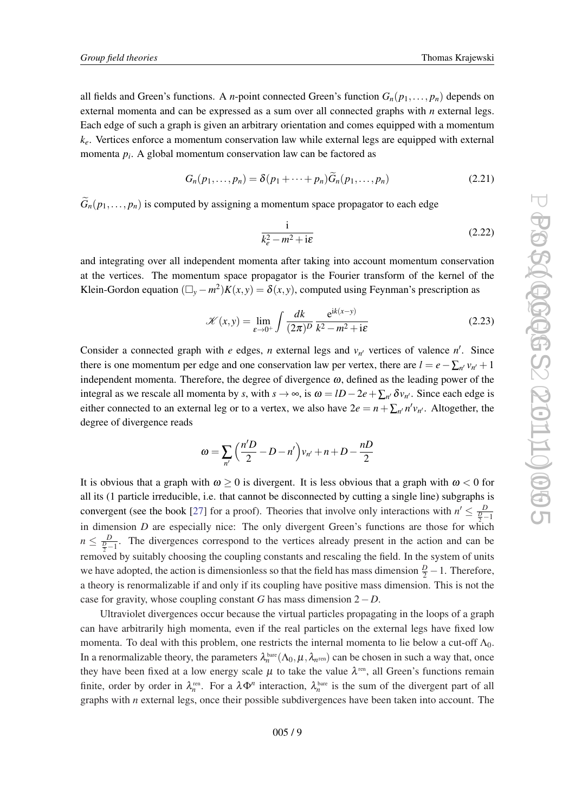all fields and Green's functions. A *n*-point connected Green's function  $G_n(p_1,\ldots,p_n)$  depends on external momenta and can be expressed as a sum over all connected graphs with *n* external legs. Each edge of such a graph is given an arbitrary orientation and comes equipped with a momentum  $k_e$ . Vertices enforce a momentum conservation law while external legs are equipped with external momenta *p<sup>i</sup>* . A global momentum conservation law can be factored as

$$
G_n(p_1,\ldots,p_n) = \delta(p_1+\cdots+p_n)\tilde{G}_n(p_1,\ldots,p_n)
$$
\n(2.21)

 $G_n(p_1,..., p_n)$  is computed by assigning a momentum space propagator to each edge

$$
\frac{\mathrm{i}}{k_e^2 - m^2 + \mathrm{i}\varepsilon} \tag{2.22}
$$

and integrating over all independent momenta after taking into account momentum conservation at the vertices. The momentum space propagator is the Fourier transform of the kernel of the Klein-Gordon equation  $(\Box_y - m^2)K(x, y) = \delta(x, y)$ , computed using Feynman's prescription as

$$
\mathcal{K}(x, y) = \lim_{\varepsilon \to 0^+} \int \frac{dk}{(2\pi)^D} \frac{e^{ik(x-y)}}{k^2 - m^2 + i\varepsilon}
$$
(2.23)

Consider a connected graph with *e* edges, *n* external legs and  $v_{n'}$  vertices of valence *n'*. Since there is one momentum per edge and one conservation law per vertex, there are  $l = e - \sum_{n'} v_{n'} + 1$ independent momenta. Therefore, the degree of divergence  $\omega$ , defined as the leading power of the integral as we rescale all momenta by *s*, with  $s \to \infty$ , is  $\omega = lD - 2e + \sum_{n'} \delta v_{n'}$ . Since each edge is either connected to an external leg or to a vertex, we also have  $2e = n + \sum_{n'} n'v_{n'}$ . Altogether, the degree of divergence reads

$$
\omega = \sum_{n'} \left( \frac{n'D}{2} - D - n' \right) v_{n'} + n + D - \frac{nD}{2}
$$

It is obvious that a graph with  $\omega > 0$  is divergent. It is less obvious that a graph with  $\omega < 0$  for all its (1 particle irreducible, i.e. that cannot be disconnected by cutting a single line) subgraphs is convergent (see the book [[27\]](#page-55-0) for a proof). Theories that involve only interactions with  $n' \leq \frac{D}{2-1}$ in dimension *D* are especially nice: The only divergent Green's functions are those for which  $n \leq \frac{D}{\frac{D}{2}-1}$ . The divergences correspond to the vertices already present in the action and can be removed by suitably choosing the coupling constants and rescaling the field. In the system of units we have adopted, the action is dimensionless so that the field has mass dimension  $\frac{D}{2} - 1$ . Therefore, a theory is renormalizable if and only if its coupling have positive mass dimension. This is not the case for gravity, whose coupling constant *G* has mass dimension 2−*D*.

Ultraviolet divergences occur because the virtual particles propagating in the loops of a graph can have arbitrarily high momenta, even if the real particles on the external legs have fixed low momenta. To deal with this problem, one restricts the internal momenta to lie below a cut-off  $\Lambda_0$ . In a renormalizable theory, the parameters  $\lambda_n^{\text{bare}}(\Lambda_0,\mu,\lambda_{n^{\text{ren}}})$  can be chosen in such a way that, once they have been fixed at a low energy scale  $\mu$  to take the value  $\lambda^{\text{ren}}$ , all Green's functions remain finite, order by order in  $\lambda_n^{\text{ren}}$ . For a  $\lambda \Phi^n$  interaction,  $\lambda_n^{\text{bare}}$  is the sum of the divergent part of all graphs with *n* external legs, once their possible subdivergences have been taken into account. The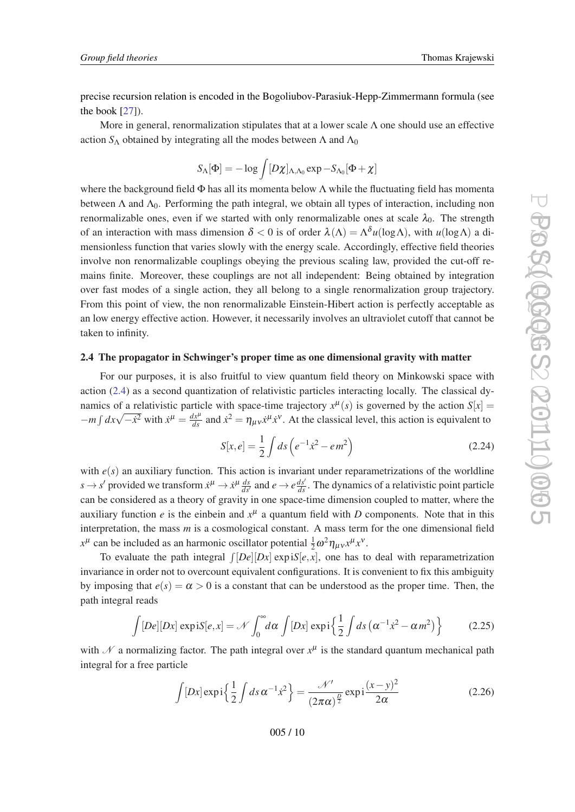<span id="page-9-0"></span>precise recursion relation is encoded in the Bogoliubov-Parasiuk-Hepp-Zimmermann formula (see the book  $[27]$  $[27]$  $[27]$ ).

More in general, renormalization stipulates that at a lower scale  $\Lambda$  one should use an effective action  $S_\Lambda$  obtained by integrating all the modes between  $\Lambda$  and  $\Lambda_0$ 

$$
S_{\Lambda}[\Phi]=-\log\int[D\chi]_{\Lambda, \Lambda_0}\exp{-S_{\Lambda_0}[\Phi+\chi]}
$$

where the background field  $\Phi$  has all its momenta below  $\Lambda$  while the fluctuating field has momenta between  $\Lambda$  and  $\Lambda_0$ . Performing the path integral, we obtain all types of interaction, including non renormalizable ones, even if we started with only renormalizable ones at scale  $\lambda_0$ . The strength of an interaction with mass dimension  $\delta < 0$  is of order  $\lambda(\Lambda) = \Lambda^{\delta} u(\log \Lambda)$ , with  $u(\log \Lambda)$  a dimensionless function that varies slowly with the energy scale. Accordingly, effective field theories involve non renormalizable couplings obeying the previous scaling law, provided the cut-off remains finite. Moreover, these couplings are not all independent: Being obtained by integration over fast modes of a single action, they all belong to a single renormalization group trajectory. From this point of view, the non renormalizable Einstein-Hibert action is perfectly acceptable as an low energy effective action. However, it necessarily involves an ultraviolet cutoff that cannot be taken to infinity.

## 2.4 The propagator in Schwinger's proper time as one dimensional gravity with matter

For our purposes, it is also fruitful to view quantum field theory on Minkowski space with action ([2.4\)](#page-4-0) as a second quantization of relativistic particles interacting locally. The classical dynamics of a relativistic particle with space-time trajectory  $x^{\mu}(s)$  is governed by the action  $S[x] =$ *dx*  $\sqrt{-\dot{x}^2}$  with  $\dot{x}^\mu = \frac{dx^\mu}{ds}$  and  $\dot{x}^2 = \eta_{\mu\nu} \dot{x}^\mu \dot{x}^\nu$ . At the classical level, this action is equivalent to

$$
S[x,e] = \frac{1}{2} \int ds \left( e^{-1} \dot{x}^2 - e m^2 \right) \tag{2.24}
$$

with  $e(s)$  an auxiliary function. This action is invariant under reparametrizations of the worldline  $s \to s'$  provided we transform  $\dot{x}^\mu \to \dot{x}^\mu \frac{ds}{ds'}$  and  $e \to e \frac{ds'}{ds}$ . The dynamics of a relativistic point particle can be considered as a theory of gravity in one space-time dimension coupled to matter, where the auxiliary function  $e$  is the einbein and  $x^{\mu}$  a quantum field with *D* components. Note that in this interpretation, the mass *m* is a cosmological constant. A mass term for the one dimensional field  $x^{\mu}$  can be included as an harmonic oscillator potential  $\frac{1}{2}\omega^2 \eta_{\mu\nu} x^{\mu} x^{\nu}$ .

To evaluate the path integral  $\int [De][Dx] \exp iS[e, x]$ , one has to deal with reparametrization invariance in order not to overcount equivalent configurations. It is convenient to fix this ambiguity by imposing that  $e(s) = \alpha > 0$  is a constant that can be understood as the proper time. Then, the path integral reads

$$
\int [De][Dx] \exp iS[e,x] = \mathcal{N} \int_0^\infty d\alpha \int [Dx] \exp i\left\{\frac{1}{2} \int ds \left(\alpha^{-1} \dot{x}^2 - \alpha m^2\right)\right\} \tag{2.25}
$$

with  $\mathcal N$  a normalizing factor. The path integral over  $x^{\mu}$  is the standard quantum mechanical path integral for a free particle

$$
\int [Dx] \exp i\left\{\frac{1}{2} \int ds \,\alpha^{-1} \dot{x}^2\right\} = \frac{\mathcal{N}'}{(2\pi\alpha)^{\frac{D}{2}}} \exp i\frac{(x-y)^2}{2\alpha} \tag{2.26}
$$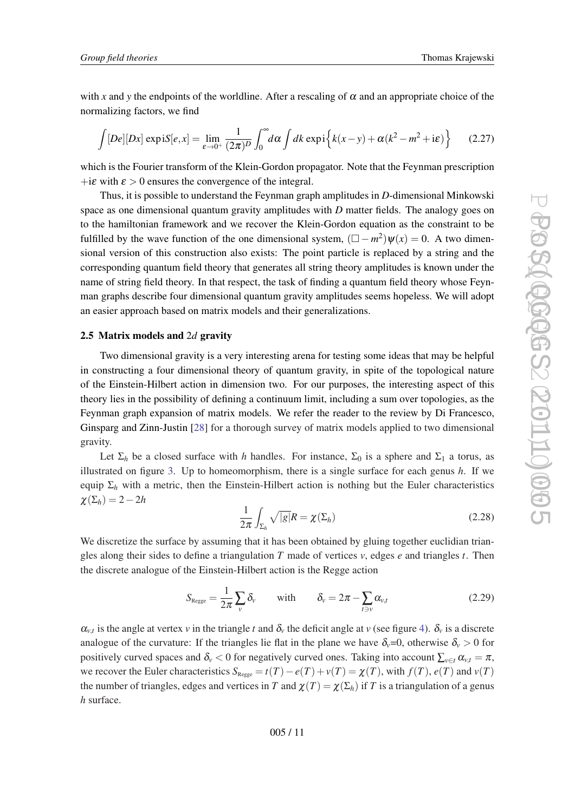with x and y the endpoints of the worldline. After a rescaling of  $\alpha$  and an appropriate choice of the normalizing factors, we find

$$
\int [De][Dx] \exp iS[e,x] = \lim_{\varepsilon \to 0^+} \frac{1}{(2\pi)^D} \int_0^\infty d\alpha \int dk \exp i \left\{ k(x-y) + \alpha (k^2 - m^2 + i\varepsilon) \right\} \tag{2.27}
$$

which is the Fourier transform of the Klein-Gordon propagator. Note that the Feynman prescription +i $\varepsilon$  with  $\varepsilon > 0$  ensures the convergence of the integral.

Thus, it is possible to understand the Feynman graph amplitudes in *D*-dimensional Minkowski space as one dimensional quantum gravity amplitudes with *D* matter fields. The analogy goes on to the hamiltonian framework and we recover the Klein-Gordon equation as the constraint to be fulfilled by the wave function of the one dimensional system,  $(\Box - m^2)\psi(x) = 0$ . A two dimensional version of this construction also exists: The point particle is replaced by a string and the corresponding quantum field theory that generates all string theory amplitudes is known under the name of string field theory. In that respect, the task of finding a quantum field theory whose Feynman graphs describe four dimensional quantum gravity amplitudes seems hopeless. We will adopt an easier approach based on matrix models and their generalizations.

## 2.5 Matrix models and 2*d* gravity

Two dimensional gravity is a very interesting arena for testing some ideas that may be helpful in constructing a four dimensional theory of quantum gravity, in spite of the topological nature of the Einstein-Hilbert action in dimension two. For our purposes, the interesting aspect of this theory lies in the possibility of defining a continuum limit, including a sum over topologies, as the Feynman graph expansion of matrix models. We refer the reader to the review by Di Francesco, Ginsparg and Zinn-Justin [[28\]](#page-55-0) for a thorough survey of matrix models applied to two dimensional gravity.

Let  $\Sigma_h$  be a closed surface with *h* handles. For instance,  $\Sigma_0$  is a sphere and  $\Sigma_1$  a torus, as illustrated on figure [3](#page-11-0). Up to homeomorphism, there is a single surface for each genus *h*. If we equip  $\Sigma_h$  with a metric, then the Einstein-Hilbert action is nothing but the Euler characteristics  $\chi(\Sigma_h) = 2 - 2h$ 

$$
\frac{1}{2\pi} \int_{\Sigma_h} \sqrt{|g|} R = \chi(\Sigma_h)
$$
\n(2.28)

We discretize the surface by assuming that it has been obtained by gluing together euclidian triangles along their sides to define a triangulation *T* made of vertices *v*, edges *e* and triangles *t*. Then the discrete analogue of the Einstein-Hilbert action is the Regge action

$$
S_{\text{Regge}} = \frac{1}{2\pi} \sum_{v} \delta_{v} \qquad \text{with} \qquad \delta_{v} = 2\pi - \sum_{t \ni v} \alpha_{v,t} \tag{2.29}
$$

 $\alpha_{v,t}$  is the angle at vertex *v* in the triangle *t* and  $\delta_v$  the deficit angle at *v* (see figure [4\)](#page-11-0).  $\delta_v$  is a discrete analogue of the curvature: If the triangles lie flat in the plane we have  $\delta_v=0$ , otherwise  $\delta_v>0$  for positively curved spaces and  $\delta_v < 0$  for negatively curved ones. Taking into account  $\sum_{v \in t} \alpha_{v,t} = \pi$ , we recover the Euler characteristics  $S_{\text{Regge}} = t(T) - e(T) + v(T) = \chi(T)$ , with  $f(T)$ ,  $e(T)$  and  $v(T)$ the number of triangles, edges and vertices in *T* and  $\chi(T) = \chi(\Sigma_h)$  if *T* is a triangulation of a genus *h* surface.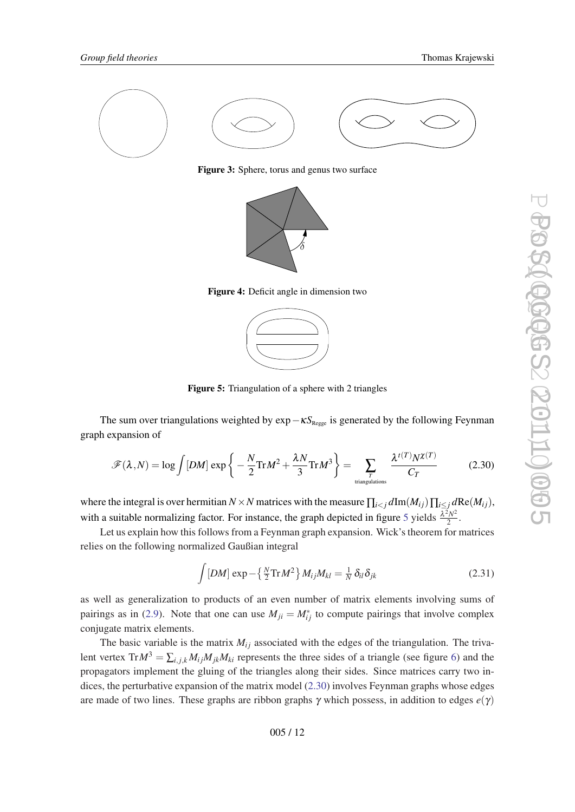<span id="page-11-0"></span>

Figure 3: Sphere, torus and genus two surface



Figure 4: Deficit angle in dimension two



Figure 5: Triangulation of a sphere with 2 triangles

The sum over triangulations weighted by exp – κS<sub>Regge</sub> is generated by the following Feynman graph expansion of

$$
\mathcal{F}(\lambda, N) = \log \int [DM] \exp \left\{ -\frac{N}{2} \text{Tr} M^2 + \frac{\lambda N}{3} \text{Tr} M^3 \right\} = \sum_{\substack{T \text{ triangulations} \\ \text{triangulations}}} \frac{\lambda^{t(T)} N^{\chi(T)}}{C_T} \tag{2.30}
$$

where the integral is over hermitian  $N \times N$  matrices with the measure  $\prod_{i \leq j} d\text{Im}(M_{ij}) \prod_{i \leq j} d\text{Re}(M_{ij})$ , with a suitable normalizing factor. For instance, the graph depicted in figure 5 yields  $\frac{\lambda^2 N^2}{2}$  $\frac{2N^2}{2}$ .

Let us explain how this follows from a Feynman graph expansion. Wick's theorem for matrices relies on the following normalized Gaußian integral

$$
\int [DM] \exp - \left\{ \frac{N}{2} \text{Tr} M^2 \right\} M_{ij} M_{kl} = \frac{1}{N} \delta_{il} \delta_{jk}
$$
 (2.31)

as well as generalization to products of an even number of matrix elements involving sums of pairings as in ([2.9](#page-4-0)). Note that one can use  $M_{ji} = M_{ij}^*$  to compute pairings that involve complex conjugate matrix elements.

The basic variable is the matrix  $M_{ij}$  associated with the edges of the triangulation. The trivalent vertex  $Tr M^3 = \sum_{i,j,k} M_{ij} M_{jk} M_{ki}$  represents the three sides of a triangle (see figure [6\)](#page-12-0) and the propagators implement the gluing of the triangles along their sides. Since matrices carry two indices, the perturbative expansion of the matrix model (2.30) involves Feynman graphs whose edges are made of two lines. These graphs are ribbon graphs  $\gamma$  which possess, in addition to edges  $e(\gamma)$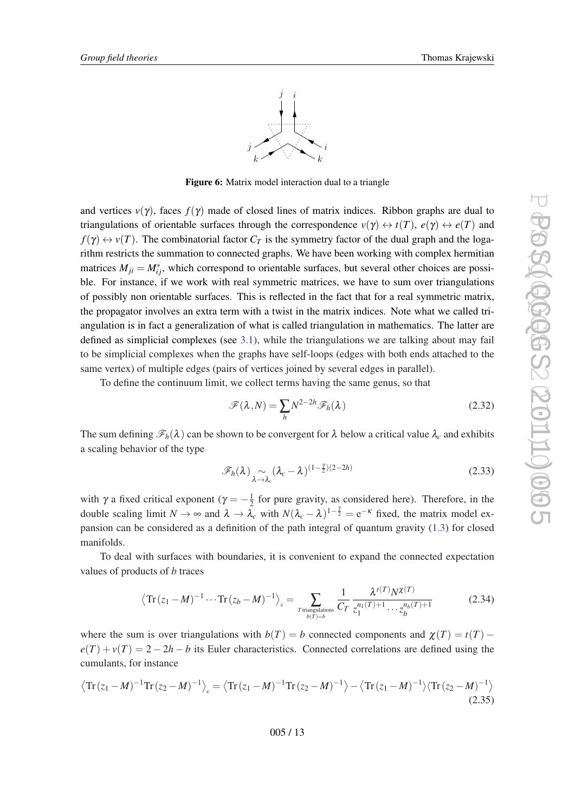

Figure 6: Matrix model interaction dual to a triangle

<span id="page-12-0"></span>and vertices  $v(\gamma)$ , faces  $f(\gamma)$  made of closed lines of matrix indices. Ribbon graphs are dual to triangulations of orientable surfaces through the correspondence  $v(\gamma) \leftrightarrow t(T)$ ,  $e(\gamma) \leftrightarrow e(T)$  and  $f(\gamma) \leftrightarrow v(T)$ . The combinatorial factor  $C_T$  is the symmetry factor of the dual graph and the logarithm restricts the summation to connected graphs. We have been working with complex hermitian matrices  $M_{ji} = M_{ij}^*$ , which correspond to orientable surfaces, but several other choices are possible. For instance, if we work with real symmetric matrices, we have to sum over triangulations of possibly non orientable surfaces. This is reflected in the fact that for a real symmetric matrix, the propagator involves an extra term with a twist in the matrix indices. Note what we called triangulation is in fact a generalization of what is called triangulation in mathematics. The latter are defined as simplicial complexes (see [3.1\)](#page-13-0), while the triangulations we are talking about may fail to be simplicial complexes when the graphs have self-loops (edges with both ends attached to the same vertex) of multiple edges (pairs of vertices joined by several edges in parallel).

To define the continuum limit, we collect terms having the same genus, so that

$$
\mathscr{F}(\lambda, N) = \sum_{h} N^{2-2h} \mathscr{F}_h(\lambda)
$$
\n(2.32)

The sum defining  $\mathcal{F}_h(\lambda)$  can be shown to be convergent for  $\lambda$  below a critical value  $\lambda_c$  and exhibits a scaling behavior of the type

$$
\mathscr{F}_h(\lambda) \underset{\lambda \to \lambda_c}{\sim} (\lambda_c - \lambda)^{(1 - \frac{\gamma}{2})(2 - 2h)} \tag{2.33}
$$

with  $\gamma$  a fixed critical exponent ( $\gamma = -\frac{1}{2}$  $\frac{1}{2}$  for pure gravity, as considered here). Therefore, in the double scaling limit  $N \to \infty$  and  $\lambda \to \tilde{\lambda}_c$  with  $N(\lambda_c - \lambda)^{1-\frac{\gamma}{2}} = e^{-\kappa}$  fixed, the matrix model expansion can be considered as a definition of the path integral of quantum gravity ([1.3](#page-1-0)) for closed manifolds.

To deal with surfaces with boundaries, it is convenient to expand the connected expectation values of products of *b* traces

$$
\left\langle \text{Tr}\left(z_1 - M\right)^{-1} \cdots \text{Tr}\left(z_b - M\right)^{-1} \right\rangle_c = \sum_{\substack{T \text{ triangulations} \\ b(T) = b}} \frac{1}{C_T} \frac{\lambda^{t(T)} N^{\chi(T)}}{z_1^{n_1(T) + 1} \cdots z_b^{n_b(T) + 1}} \tag{2.34}
$$

where the sum is over triangulations with  $b(T) = b$  connected components and  $\chi(T) = t(T)$  –  $e(T) + v(T) = 2 - 2h - b$  its Euler characteristics. Connected correlations are defined using the cumulants, for instance

$$
\left\langle \text{Tr}\left(z_1 - M\right)^{-1} \text{Tr}\left(z_2 - M\right)^{-1} \right\rangle_c = \left\langle \text{Tr}\left(z_1 - M\right)^{-1} \text{Tr}\left(z_2 - M\right)^{-1} \right\rangle - \left\langle \text{Tr}\left(z_1 - M\right)^{-1} \right\rangle \left\langle \text{Tr}\left(z_2 - M\right)^{-1} \right\rangle \tag{2.35}
$$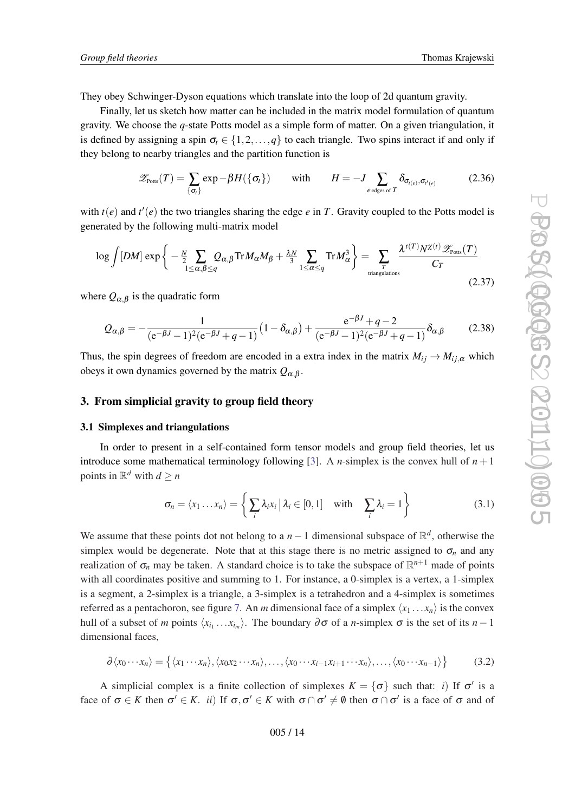<span id="page-13-0"></span>They obey Schwinger-Dyson equations which translate into the loop of 2d quantum gravity.

Finally, let us sketch how matter can be included in the matrix model formulation of quantum gravity. We choose the *q*-state Potts model as a simple form of matter. On a given triangulation, it is defined by assigning a spin  $\sigma_t \in \{1, 2, ..., q\}$  to each triangle. Two spins interact if and only if they belong to nearby triangles and the partition function is

$$
\mathscr{Z}_{\text{Potts}}(T) = \sum_{\{\sigma_t\}} \exp{-\beta H(\{\sigma_t\})} \quad \text{with} \quad H = -J \sum_{e \text{ edges of } T} \delta_{\sigma_{t(e)}, \sigma_{t'(e)}} \quad (2.36)
$$

with  $t(e)$  and  $t'(e)$  the two triangles sharing the edge  $e$  in  $T$ . Gravity coupled to the Potts model is generated by the following multi-matrix model

$$
\log \int [DM] \exp \left\{ -\frac{N}{2} \sum_{1 \le \alpha, \beta \le q} Q_{\alpha,\beta} \text{Tr} M_{\alpha} M_{\beta} + \frac{\lambda N}{3} \sum_{1 \le \alpha \le q} \text{Tr} M_{\alpha}^3 \right\} = \sum_{\text{triangulations}} \frac{\lambda^{t(T)} N^{\chi(t)} \mathcal{Z}_{\text{Potts}}(T)}{C_T}
$$
\n(2.37)

where  $Q_{\alpha,\beta}$  is the quadratic form

$$
Q_{\alpha,\beta} = -\frac{1}{(e^{-\beta J} - 1)^2 (e^{-\beta J} + q - 1)} \left(1 - \delta_{\alpha,\beta}\right) + \frac{e^{-\beta J} + q - 2}{(e^{-\beta J} - 1)^2 (e^{-\beta J} + q - 1)} \delta_{\alpha,\beta}
$$
(2.38)

Thus, the spin degrees of freedom are encoded in a extra index in the matrix  $M_{ij} \rightarrow M_{ij,\alpha}$  which obeys it own dynamics governed by the matrix  $Q_{\alpha,\beta}$ .

## 3. From simplicial gravity to group field theory

#### 3.1 Simplexes and triangulations

In order to present in a self-contained form tensor models and group field theories, let us introduce some mathematical terminology following [\[3\]](#page-53-0). A *n*-simplex is the convex hull of  $n + 1$ points in  $\mathbb{R}^d$  with  $d \ge n$ 

$$
\sigma_n = \langle x_1 \dots x_n \rangle = \left\{ \sum_i \lambda_i x_i \, | \, \lambda_i \in [0, 1] \quad \text{with} \quad \sum_i \lambda_i = 1 \right\} \tag{3.1}
$$

We assume that these points dot not belong to a  $n-1$  dimensional subspace of  $\mathbb{R}^d$ , otherwise the simplex would be degenerate. Note that at this stage there is no metric assigned to  $\sigma_n$  and any realization of  $\sigma_n$  may be taken. A standard choice is to take the subspace of  $\mathbb{R}^{n+1}$  made of points with all coordinates positive and summing to 1. For instance, a 0-simplex is a vertex, a 1-simplex is a segment, a 2-simplex is a triangle, a 3-simplex is a tetrahedron and a 4-simplex is sometimes referred as a pentachoron, see figure [7](#page-14-0). An *m* dimensional face of a simplex  $\langle x_1 ... x_n \rangle$  is the convex hull of a subset of *m* points  $\langle x_{i_1} \dots x_{i_m} \rangle$ . The boundary ∂ of a *n*-simplex  $\sigma$  is the set of its *n* − 1 dimensional faces,

$$
\partial \langle x_0 \cdots x_n \rangle = \{ \langle x_1 \cdots x_n \rangle, \langle x_0 x_2 \cdots x_n \rangle, \ldots, \langle x_0 \cdots x_{i-1} x_{i+1} \cdots x_n \rangle, \ldots, \langle x_0 \cdots x_{n-1} \rangle \}
$$
(3.2)

A simplicial complex is a finite collection of simplexes  $K = \{\sigma\}$  such that: *i*) If  $\sigma'$  is a face of  $\sigma \in K$  then  $\sigma' \in K$ . *ii*) If  $\sigma, \sigma' \in K$  with  $\sigma \cap \sigma' \neq \emptyset$  then  $\sigma \cap \sigma'$  is a face of  $\sigma$  and of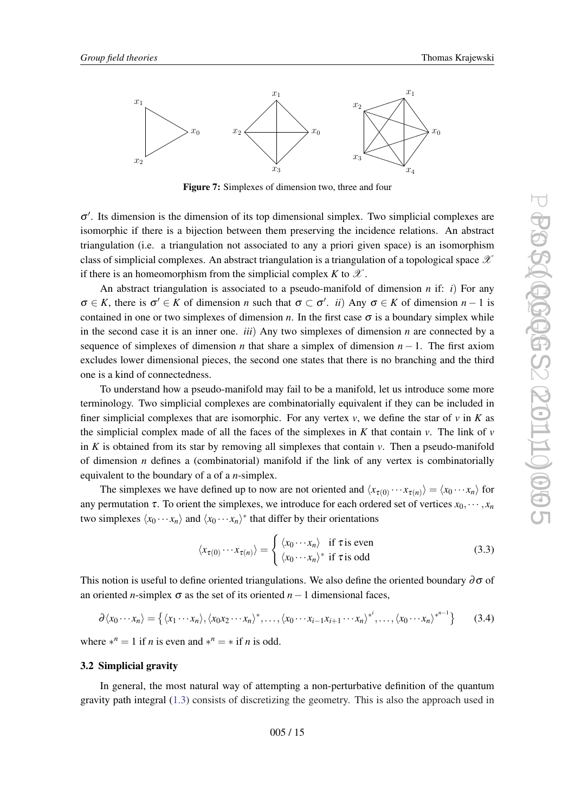<span id="page-14-0"></span>

Figure 7: Simplexes of dimension two, three and four

σ 0 . Its dimension is the dimension of its top dimensional simplex. Two simplicial complexes are isomorphic if there is a bijection between them preserving the incidence relations. An abstract triangulation (i.e. a triangulation not associated to any a priori given space) is an isomorphism class of simplicial complexes. An abstract triangulation is a triangulation of a topological space  $\mathscr X$ if there is an homeomorphism from the simplicial complex *K* to  $\mathscr X$ .

An abstract triangulation is associated to a pseudo-manifold of dimension *n* if: *i*) For any  $\sigma \in K$ , there is  $\sigma' \in K$  of dimension *n* such that  $\sigma \subset \sigma'$ . *ii*) Any  $\sigma \in K$  of dimension *n* − 1 is contained in one or two simplexes of dimension *n*. In the first case  $\sigma$  is a boundary simplex while in the second case it is an inner one. *iii*) Any two simplexes of dimension *n* are connected by a sequence of simplexes of dimension *n* that share a simplex of dimension  $n - 1$ . The first axiom excludes lower dimensional pieces, the second one states that there is no branching and the third one is a kind of connectedness.

To understand how a pseudo-manifold may fail to be a manifold, let us introduce some more terminology. Two simplicial complexes are combinatorially equivalent if they can be included in finer simplicial complexes that are isomorphic. For any vertex  $v$ , we define the star of  $v$  in  $K$  as the simplicial complex made of all the faces of the simplexes in  $K$  that contain  $v$ . The link of  $v$ in  $K$  is obtained from its star by removing all simplexes that contain  $v$ . Then a pseudo-manifold of dimension *n* defines a (combinatorial) manifold if the link of any vertex is combinatorially equivalent to the boundary of a of a *n*-simplex.

The simplexes we have defined up to now are not oriented and  $\langle x_{\tau(0)} \cdots x_{\tau(n)} \rangle = \langle x_0 \cdots x_n \rangle$  for any permutation  $\tau$ . To orient the simplexes, we introduce for each ordered set of vertices  $x_0, \dots, x_n$ two simplexes  $\langle x_0 \cdots x_n \rangle$  and  $\langle x_0 \cdots x_n \rangle^*$  that differ by their orientations

$$
\langle x_{\tau(0)} \cdots x_{\tau(n)} \rangle = \begin{cases} \langle x_0 \cdots x_n \rangle & \text{if } \tau \text{ is even} \\ \langle x_0 \cdots x_n \rangle^* & \text{if } \tau \text{ is odd} \end{cases}
$$
(3.3)

This notion is useful to define oriented triangulations. We also define the oriented boundary  $\partial \sigma$  of an oriented *n*-simplex  $\sigma$  as the set of its oriented *n* − 1 dimensional faces,

$$
\partial \langle x_0 \cdots x_n \rangle = \left\{ \langle x_1 \cdots x_n \rangle, \langle x_0 x_2 \cdots x_n \rangle^*, \ldots, \langle x_0 \cdots x_{i-1} x_{i+1} \cdots x_n \rangle^{*^i}, \ldots, \langle x_0 \cdots x_n \rangle^{*^{n-1}} \right\}
$$
(3.4)

where  $*^n = 1$  if *n* is even and  $*^n = *$  if *n* is odd.

#### 3.2 Simplicial gravity

In general, the most natural way of attempting a non-perturbative definition of the quantum gravity path integral ([1.3\)](#page-1-0) consists of discretizing the geometry. This is also the approach used in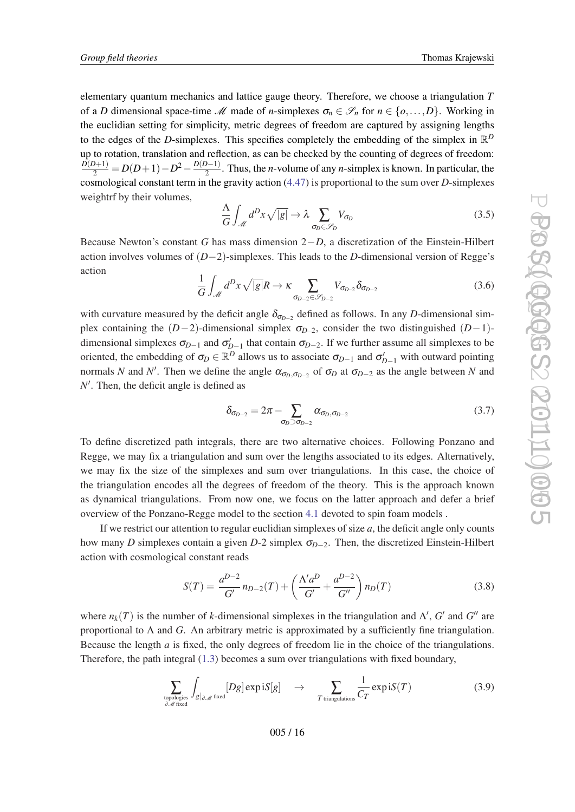<span id="page-15-0"></span>elementary quantum mechanics and lattice gauge theory. Therefore, we choose a triangulation *T* of a *D* dimensional space-time M made of *n*-simplexes  $\sigma_n \in \mathscr{S}_n$  for  $n \in \{o, \ldots, D\}$ . Working in the euclidian setting for simplicity, metric degrees of freedom are captured by assigning lengths to the edges of the *D*-simplexes. This specifies completely the embedding of the simplex in  $\mathbb{R}^D$ up to rotation, translation and reflection, as can be checked by the counting of degrees of freedom:  $\frac{D(D+1)}{2} = D(D+1) - D^2 - \frac{D(D-1)}{2}$  $\frac{2^{n}-1}{2}$ . Thus, the *n*-volume of any *n*-simplex is known. In particular, the cosmological constant term in the gravity action [\(4.47](#page-1-0)) is proportional to the sum over *D*-simplexes weightrf by their volumes,

$$
\frac{\Lambda}{G} \int_{\mathcal{M}} d^D x \sqrt{|g|} \to \lambda \sum_{\sigma_D \in \mathcal{S}_D} V_{\sigma_D} \tag{3.5}
$$

Because Newton's constant *G* has mass dimension 2−*D*, a discretization of the Einstein-Hilbert action involves volumes of (*D*−2)-simplexes. This leads to the *D*-dimensional version of Regge's action

$$
\frac{1}{G} \int_{\mathcal{M}} d^D x \sqrt{|g|} R \to \kappa \sum_{\sigma_{D-2} \in \mathcal{S}_{D-2}} V_{\sigma_{D-2}} \delta_{\sigma_{D-2}} \tag{3.6}
$$

with curvature measured by the deficit angle  $\delta_{\sigma_{D-2}}$  defined as follows. In any *D*-dimensional simplex containing the  $(D-2)$ -dimensional simplex  $\sigma_{D-2}$ , consider the two distinguished  $(D-1)$ dimensional simplexes  $\sigma_{D-1}$  and  $\sigma'_{D-1}$  that contain  $\sigma_{D-2}$ . If we further assume all simplexes to be oriented, the embedding of  $\sigma_D \in \mathbb{R}^D$  allows us to associate  $\sigma_{D-1}$  and  $\sigma'_{D-1}$  with outward pointing normals *N* and *N'*. Then we define the angle  $\alpha_{\sigma_D, \sigma_{D-2}}$  of  $\sigma_D$  at  $\sigma_{D-2}$  as the angle between *N* and N'. Then, the deficit angle is defined as

$$
\delta_{\sigma_{D-2}} = 2\pi - \sum_{\sigma_D \supset \sigma_{D-2}} \alpha_{\sigma_D, \sigma_{D-2}} \tag{3.7}
$$

To define discretized path integrals, there are two alternative choices. Following Ponzano and Regge, we may fix a triangulation and sum over the lengths associated to its edges. Alternatively, we may fix the size of the simplexes and sum over triangulations. In this case, the choice of the triangulation encodes all the degrees of freedom of the theory. This is the approach known as dynamical triangulations. From now one, we focus on the latter approach and defer a brief overview of the Ponzano-Regge model to the section [4.1](#page-30-0) devoted to spin foam models .

If we restrict our attention to regular euclidian simplexes of size  $a$ , the deficit angle only counts how many *D* simplexes contain a given *D*-2 simplex  $\sigma_{D-2}$ . Then, the discretized Einstein-Hilbert action with cosmological constant reads

$$
S(T) = \frac{a^{D-2}}{G'} n_{D-2}(T) + \left(\frac{\Lambda' a^D}{G'} + \frac{a^{D-2}}{G''}\right) n_D(T) \tag{3.8}
$$

where  $n_k(T)$  is the number of *k*-dimensional simplexes in the triangulation and  $\Lambda'$ ,  $G'$  and  $G''$  are proportional to  $\Lambda$  and  $G$ . An arbitrary metric is approximated by a sufficiently fine triangulation. Because the length *a* is fixed, the only degrees of freedom lie in the choice of the triangulations. Therefore, the path integral ([1.3\)](#page-1-0) becomes a sum over triangulations with fixed boundary,

$$
\sum_{\text{topologies} \atop \partial \mathcal{M} \text{ fixed}} \int_{g|_{\partial \mathcal{M}}} [Dg] \exp iS[g] \quad \to \quad \sum_{T \text{ triangulations}} \frac{1}{C_T} \exp iS(T) \tag{3.9}
$$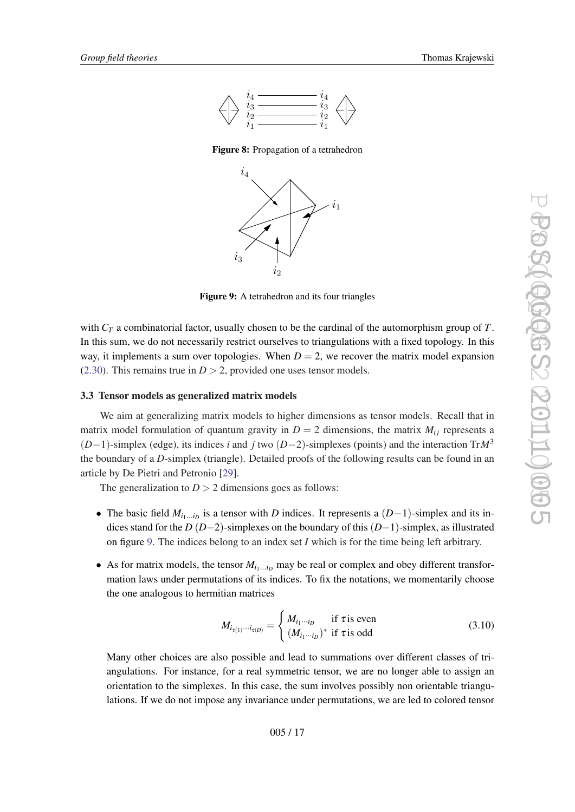<span id="page-16-0"></span>

Figure 8: Propagation of a tetrahedron



Figure 9: A tetrahedron and its four triangles

with *C<sup>T</sup>* a combinatorial factor, usually chosen to be the cardinal of the automorphism group of *T*. In this sum, we do not necessarily restrict ourselves to triangulations with a fixed topology. In this way, it implements a sum over topologies. When  $D = 2$ , we recover the matrix model expansion ([2.30](#page-11-0)). This remains true in  $D > 2$ , provided one uses tensor models.

## 3.3 Tensor models as generalized matrix models

We aim at generalizing matrix models to higher dimensions as tensor models. Recall that in matrix model formulation of quantum gravity in  $D = 2$  dimensions, the matrix  $M_{ij}$  represents a (*D*−1)-simplex (edge), its indices *i* and *j* two (*D*−2)-simplexes (points) and the interaction Tr*M*<sup>3</sup> the boundary of a *D*-simplex (triangle). Detailed proofs of the following results can be found in an article by De Pietri and Petronio [[29](#page-55-0)].

The generalization to  $D > 2$  dimensions goes as follows:

- The basic field  $M_{i_1...i_D}$  is a tensor with *D* indices. It represents a  $(D-1)$ -simplex and its indices stand for the *D* (*D*−2)-simplexes on the boundary of this (*D*−1)-simplex, as illustrated on figure 9. The indices belong to an index set *I* which is for the time being left arbitrary.
- As for matrix models, the tensor  $M_{i_1...i_D}$  may be real or complex and obey different transformation laws under permutations of its indices. To fix the notations, we momentarily choose the one analogous to hermitian matrices

$$
M_{i_{\tau(1)}\cdots i_{\tau(D)}} = \begin{cases} M_{i_1\cdots i_D} & \text{if } \tau \text{ is even} \\ (M_{i_1\cdots i_D})^* & \text{if } \tau \text{ is odd} \end{cases}
$$
(3.10)

Many other choices are also possible and lead to summations over different classes of triangulations. For instance, for a real symmetric tensor, we are no longer able to assign an orientation to the simplexes. In this case, the sum involves possibly non orientable triangulations. If we do not impose any invariance under permutations, we are led to colored tensor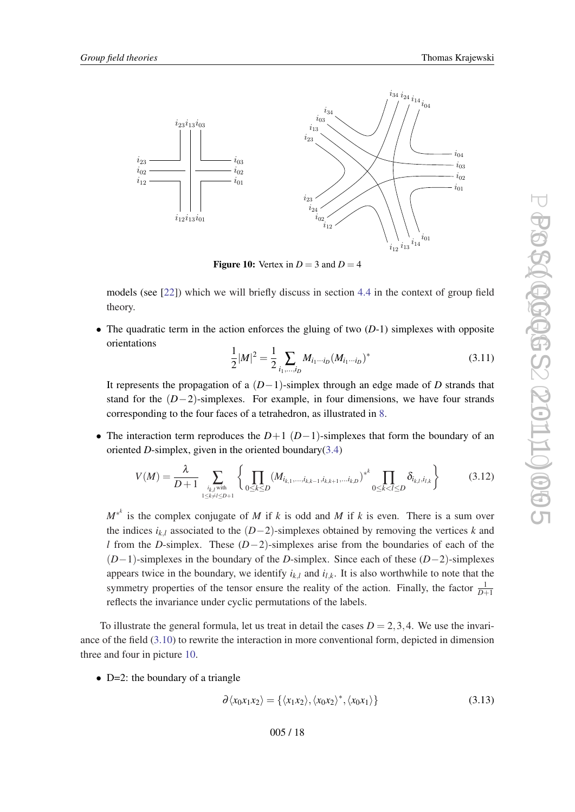<span id="page-17-0"></span>

**Figure 10:** Vertex in  $D = 3$  and  $D = 4$ 

models (see [[22\]](#page-54-0)) which we will briefly discuss in section [4.4](#page-38-0) in the context of group field theory.

• The quadratic term in the action enforces the gluing of two  $(D-1)$  simplexes with opposite orientations

$$
\frac{1}{2}|M|^2 = \frac{1}{2} \sum_{i_1,\dots,i_D} M_{i_1\cdots i_D} (M_{i_1\cdots i_D})^*
$$
\n(3.11)

It represents the propagation of a (*D*−1)-simplex through an edge made of *D* strands that stand for the (*D*−2)-simplexes. For example, in four dimensions, we have four strands corresponding to the four faces of a tetrahedron, as illustrated in [8](#page-16-0).

• The interaction term reproduces the  $D+1$  ( $D-1$ )-simplexes that form the boundary of an oriented *D*-simplex, given in the oriented boundary $(3.4)$  $(3.4)$ 

$$
V(M) = \frac{\lambda}{D+1} \sum_{\substack{i_{k,l} \text{ with } \\ 1 \le k \ne l \le D+1}} \left\{ \prod_{0 \le k \le D} (M_{i_{k,1},\ldots,i_{k,k-1},i_{k,k+1},\ldots,i_{k,D}})^{*^k} \prod_{0 \le k < l \le D} \delta_{i_{k,l},i_{l,k}} \right\} \tag{3.12}
$$

 $M^{*k}$  is the complex conjugate of *M* if *k* is odd and *M* if *k* is even. There is a sum over the indices  $i_{k,l}$  associated to the  $(D-2)$ -simplexes obtained by removing the vertices  $k$  and *l* from the *D*-simplex. These (*D*−2)-simplexes arise from the boundaries of each of the (*D*−1)-simplexes in the boundary of the *D*-simplex. Since each of these (*D*−2)-simplexes appears twice in the boundary, we identify  $i_{k,l}$  and  $i_{l,k}$ . It is also worthwhile to note that the symmetry properties of the tensor ensure the reality of the action. Finally, the factor  $\frac{1}{D+1}$ reflects the invariance under cyclic permutations of the labels.

To illustrate the general formula, let us treat in detail the cases  $D = 2,3,4$ . We use the invariance of the field [\(3.10](#page-16-0)) to rewrite the interaction in more conventional form, depicted in dimension three and four in picture 10.

• D=2: the boundary of a triangle

$$
\partial \langle x_0 x_1 x_2 \rangle = {\langle x_1 x_2 \rangle, \langle x_0 x_2 \rangle^*, \langle x_0 x_1 \rangle}
$$
\n(3.13)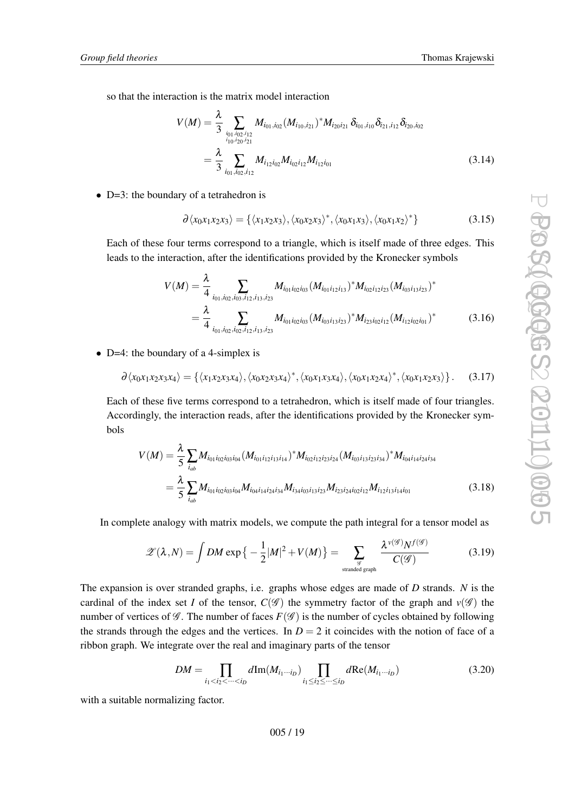so that the interaction is the matrix model interaction

$$
V(M) = \frac{\lambda}{3} \sum_{\substack{i_{01}, i_{02}, i_{12} \\ i_{10}, i_{20}, i_{21}}} M_{i_{01}, i_{02}} (M_{i_{10}, i_{21}})^* M_{i_{20} i_{21}} \, \delta_{i_{01}, i_{10}} \delta_{i_{21}, i_{12}} \delta_{i_{20}, i_{02}}
$$
\n
$$
= \frac{\lambda}{3} \sum_{i_{01}, i_{02}, i_{12}} M_{i_{12} i_{02}} M_{i_{02} i_{12}} M_{i_{12} i_{01}} \tag{3.14}
$$

• D=3: the boundary of a tetrahedron is

$$
\partial \langle x_0 x_1 x_2 x_3 \rangle = \{ \langle x_1 x_2 x_3 \rangle, \langle x_0 x_2 x_3 \rangle^*, \langle x_0 x_1 x_3 \rangle, \langle x_0 x_1 x_2 \rangle^* \}
$$
(3.15)

Each of these four terms correspond to a triangle, which is itself made of three edges. This leads to the interaction, after the identifications provided by the Kronecker symbols

$$
V(M) = \frac{\lambda}{4} \sum_{i_{01}, i_{02}, i_{03}, i_{12}, i_{13}, i_{23}} M_{i_{01}i_{02}i_{03}} (M_{i_{01}i_{12}i_{13}})^* M_{i_{02}i_{12}i_{23}} (M_{i_{03}i_{13}i_{23}})^*
$$
  
= 
$$
\frac{\lambda}{4} \sum_{i_{01}, i_{02}, i_{02}, i_{12}, i_{13}, i_{23}} M_{i_{01}i_{02}i_{03}} (M_{i_{03}i_{13}i_{23}})^* M_{i_{23}i_{02}i_{12}} (M_{i_{12}i_{02}i_{01}})^*
$$
(3.16)

• D=4: the boundary of a 4-simplex is

$$
\partial \langle x_0 x_1 x_2 x_3 x_4 \rangle = \{ \langle x_1 x_2 x_3 x_4 \rangle, \langle x_0 x_2 x_3 x_4 \rangle^*, \langle x_0 x_1 x_3 x_4 \rangle, \langle x_0 x_1 x_2 x_4 \rangle^*, \langle x_0 x_1 x_2 x_3 \rangle \}.
$$
 (3.17)

Each of these five terms correspond to a tetrahedron, which is itself made of four triangles. Accordingly, the interaction reads, after the identifications provided by the Kronecker symbols

$$
V(M) = \frac{\lambda}{5} \sum_{i_{ab}} M_{i_{01}i_{02}i_{03}i_{04}} (M_{i_{01}i_{12}i_{13}i_{14}})^* M_{i_{02}i_{12}i_{23}i_{24}} (M_{i_{03}i_{13}i_{23}i_{34}})^* M_{i_{04}i_{14}i_{24}i_{34}}
$$
  
= 
$$
\frac{\lambda}{5} \sum_{i_{ab}} M_{i_{01}i_{02}i_{03}i_{04}} M_{i_{04}i_{14}i_{24}i_{34}} M_{i_{34}i_{03}i_{13}i_{23}} M_{i_{23}i_{24}i_{02}i_{12}} M_{i_{12}i_{13}i_{14}i_{01}}
$$
(3.18)

In complete analogy with matrix models, we compute the path integral for a tensor model as

$$
\mathscr{Z}(\lambda, N) = \int DM \exp\left\{-\frac{1}{2}|M|^2 + V(M)\right\} = \sum_{\text{stranded graph}} \frac{\lambda^{\nu(\mathscr{G})} N^{f(\mathscr{G})}}{C(\mathscr{G})}
$$
(3.19)

The expansion is over stranded graphs, i.e. graphs whose edges are made of *D* strands. *N* is the cardinal of the index set *I* of the tensor,  $C(\mathscr{G})$  the symmetry factor of the graph and  $v(\mathscr{G})$  the number of vertices of  $\mathcal G$ . The number of faces  $F(\mathcal G)$  is the number of cycles obtained by following the strands through the edges and the vertices. In  $D = 2$  it coincides with the notion of face of a ribbon graph. We integrate over the real and imaginary parts of the tensor

$$
DM = \prod_{i_1 < i_2 < \cdots < i_D} d\text{Im}(M_{i_1 \cdots i_D}) \prod_{i_1 \leq i_2 \leq \cdots \leq i_D} d\text{Re}(M_{i_1 \cdots i_D}) \tag{3.20}
$$

with a suitable normalizing factor.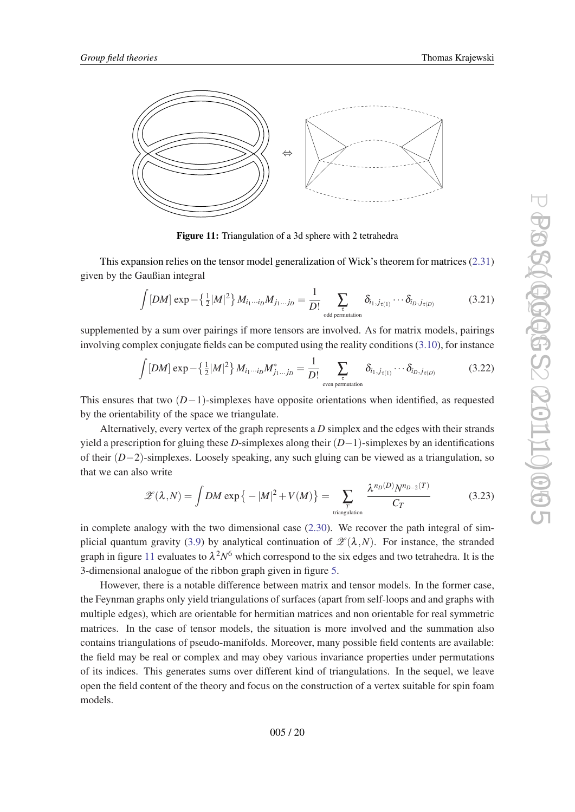

Figure 11: Triangulation of a 3d sphere with 2 tetrahedra

This expansion relies on the tensor model generalization of Wick's theorem for matrices [\(2.31](#page-11-0)) given by the Gaußian integral

$$
\int [DM] \exp - \left\{ \frac{1}{2} |M|^2 \right\} M_{i_1 \cdots i_D} M_{j_1 \cdots j_D} = \frac{1}{D!} \sum_{\substack{\tau \\ \text{odd permutation}}} \delta_{i_1, j_{\tau(1)}} \cdots \delta_{i_D, j_{\tau(D)}} \tag{3.21}
$$

supplemented by a sum over pairings if more tensors are involved. As for matrix models, pairings involving complex conjugate fields can be computed using the reality conditions ([3.10\)](#page-16-0), for instance

$$
\int [DM] \exp - \left\{ \frac{1}{2} |M|^2 \right\} M_{i_1 \cdots i_D} M_{j_1 \cdots j_D}^* = \frac{1}{D!} \sum_{\substack{\tau \\ \text{even permutation}}} \delta_{i_1, j_{\tau(1)}} \cdots \delta_{i_D, j_{\tau(D)}} \tag{3.22}
$$

This ensures that two  $(D-1)$ -simplexes have opposite orientations when identified, as requested by the orientability of the space we triangulate.

Alternatively, every vertex of the graph represents a *D* simplex and the edges with their strands yield a prescription for gluing these *D*-simplexes along their (*D*−1)-simplexes by an identifications of their (*D*−2)-simplexes. Loosely speaking, any such gluing can be viewed as a triangulation, so that we can also write

$$
\mathscr{Z}(\lambda, N) = \int DM \exp\left\{-|M|^2 + V(M)\right\} = \sum_{\substack{T \text{ triangulation} \\ \text{triangular}}} \frac{\lambda^{n_D(D)} N^{n_{D-2}(T)}}{C_T} \tag{3.23}
$$

in complete analogy with the two dimensional case [\(2.30](#page-11-0)). We recover the path integral of sim-plicial quantum gravity [\(3.9](#page-15-0)) by analytical continuation of  $\mathscr{L}(\lambda,N)$ . For instance, the stranded graph in figure 11 evaluates to  $\lambda^2 N^6$  which correspond to the six edges and two tetrahedra. It is the 3-dimensional analogue of the ribbon graph given in figure [5.](#page-11-0)

However, there is a notable difference between matrix and tensor models. In the former case, the Feynman graphs only yield triangulations of surfaces (apart from self-loops and and graphs with multiple edges), which are orientable for hermitian matrices and non orientable for real symmetric matrices. In the case of tensor models, the situation is more involved and the summation also contains triangulations of pseudo-manifolds. Moreover, many possible field contents are available: the field may be real or complex and may obey various invariance properties under permutations of its indices. This generates sums over different kind of triangulations. In the sequel, we leave open the field content of the theory and focus on the construction of a vertex suitable for spin foam models.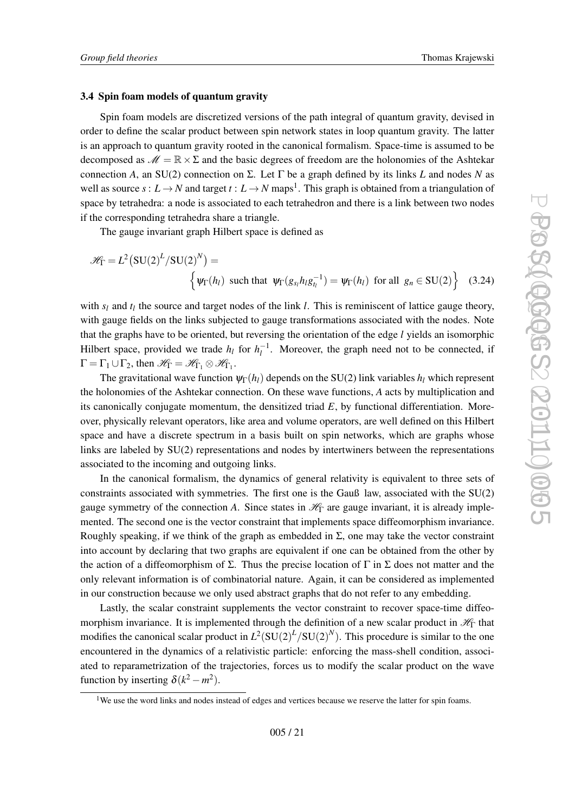#### 3.4 Spin foam models of quantum gravity

Spin foam models are discretized versions of the path integral of quantum gravity, devised in order to define the scalar product between spin network states in loop quantum gravity. The latter is an approach to quantum gravity rooted in the canonical formalism. Space-time is assumed to be decomposed as  $\mathcal{M} = \mathbb{R} \times \Sigma$  and the basic degrees of freedom are the holonomies of the Ashtekar connection *A*, an SU(2) connection on Σ. Let Γ be a graph defined by its links *L* and nodes *N* as well as source  $s: L \to N$  and target  $t: L \to N$  maps<sup>1</sup>. This graph is obtained from a triangulation of space by tetrahedra: a node is associated to each tetrahedron and there is a link between two nodes if the corresponding tetrahedra share a triangle.

The gauge invariant graph Hilbert space is defined as

$$
\mathcal{H}_{\Gamma} = L^2 \left( \text{SU}(2)^L / \text{SU}(2)^N \right) =
$$
\n
$$
\left\{ \psi_{\Gamma}(h_l) \text{ such that } \psi_{\Gamma}(g_{s_l} h_l g_{t_l}^{-1}) = \psi_{\Gamma}(h_l) \text{ for all } g_n \in \text{SU}(2) \right\}
$$
\n(3.24)

with  $s_l$  and  $t_l$  the source and target nodes of the link *l*. This is reminiscent of lattice gauge theory, with gauge fields on the links subjected to gauge transformations associated with the nodes. Note that the graphs have to be oriented, but reversing the orientation of the edge *l* yields an isomorphic Hilbert space, provided we trade  $h_l$  for  $h_l^{-1}$ . Moreover, the graph need not to be connected, if  $\Gamma = \Gamma_1 \cup \Gamma_2$ , then  $\mathscr{H}_{\Gamma} = \mathscr{H}_{\Gamma_1} \otimes \mathscr{H}_{\Gamma_1}$ .

The gravitational wave function  $\psi_{\Gamma}(h_l)$  depends on the SU(2) link variables  $h_l$  which represent the holonomies of the Ashtekar connection. On these wave functions, *A* acts by multiplication and its canonically conjugate momentum, the densitized triad *E*, by functional differentiation. Moreover, physically relevant operators, like area and volume operators, are well defined on this Hilbert space and have a discrete spectrum in a basis built on spin networks, which are graphs whose links are labeled by SU(2) representations and nodes by intertwiners between the representations associated to the incoming and outgoing links.

In the canonical formalism, the dynamics of general relativity is equivalent to three sets of constraints associated with symmetries. The first one is the Gauß law, associated with the SU(2) gauge symmetry of the connection *A*. Since states in  $\mathcal{H}_{\Gamma}$  are gauge invariant, it is already implemented. The second one is the vector constraint that implements space diffeomorphism invariance. Roughly speaking, if we think of the graph as embedded in  $\Sigma$ , one may take the vector constraint into account by declaring that two graphs are equivalent if one can be obtained from the other by the action of a diffeomorphism of  $\Sigma$ . Thus the precise location of  $\Gamma$  in  $\Sigma$  does not matter and the only relevant information is of combinatorial nature. Again, it can be considered as implemented in our construction because we only used abstract graphs that do not refer to any embedding.

Lastly, the scalar constraint supplements the vector constraint to recover space-time diffeomorphism invariance. It is implemented through the definition of a new scalar product in  $\mathcal{H}_{\Gamma}$  that modifies the canonical scalar product in  $L^2(SU(2)^L/SU(2)^N)$ . This procedure is similar to the one encountered in the dynamics of a relativistic particle: enforcing the mass-shell condition, associated to reparametrization of the trajectories, forces us to modify the scalar product on the wave function by inserting  $\delta(k^2 - m^2)$ .

<sup>&</sup>lt;sup>1</sup>We use the word links and nodes instead of edges and vertices because we reserve the latter for spin foams.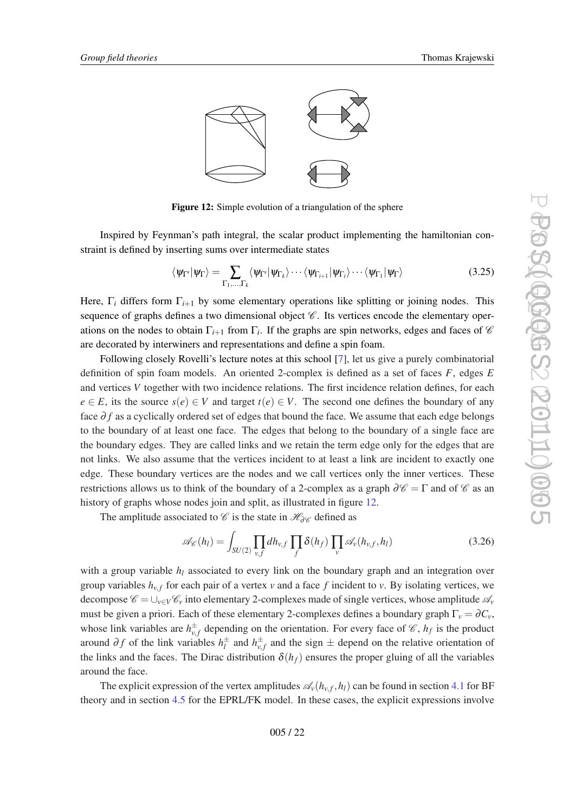<span id="page-21-0"></span>

Figure 12: Simple evolution of a triangulation of the sphere

Inspired by Feynman's path integral, the scalar product implementing the hamiltonian constraint is defined by inserting sums over intermediate states

$$
\langle \psi_{\Gamma'} | \psi_{\Gamma} \rangle = \sum_{\Gamma_1, \dots, \Gamma_k} \langle \psi_{\Gamma'} | \psi_{\Gamma_k} \rangle \cdots \langle \psi_{\Gamma_{i+1}} | \psi_{\Gamma_i} \rangle \cdots \langle \psi_{\Gamma_1} | \psi_{\Gamma} \rangle \tag{3.25}
$$

Here,  $\Gamma_i$  differs form  $\Gamma_{i+1}$  by some elementary operations like splitting or joining nodes. This sequence of graphs defines a two dimensional object  $\mathscr{C}$ . Its vertices encode the elementary operations on the nodes to obtain  $\Gamma_{i+1}$  from  $\Gamma_i$ . If the graphs are spin networks, edges and faces of  $\mathscr C$ are decorated by interwiners and representations and define a spin foam.

Following closely Rovelli's lecture notes at this school [\[7\]](#page-54-0), let us give a purely combinatorial definition of spin foam models. An oriented 2-complex is defined as a set of faces *F*, edges *E* and vertices *V* together with two incidence relations. The first incidence relation defines, for each  $e \in E$ , its the source  $s(e) \in V$  and target  $t(e) \in V$ . The second one defines the boundary of any face  $\partial f$  as a cyclically ordered set of edges that bound the face. We assume that each edge belongs to the boundary of at least one face. The edges that belong to the boundary of a single face are the boundary edges. They are called links and we retain the term edge only for the edges that are not links. We also assume that the vertices incident to at least a link are incident to exactly one edge. These boundary vertices are the nodes and we call vertices only the inner vertices. These restrictions allows us to think of the boundary of a 2-complex as a graph  $\partial \mathscr{C} = \Gamma$  and of  $\mathscr{C}$  as an history of graphs whose nodes join and split, as illustrated in figure 12.

The amplitude associated to  $\mathscr C$  is the state in  $\mathscr H_{\partial\mathscr C}$  defined as

$$
\mathscr{A}_{\mathscr{C}}(h_l) = \int_{SU(2)} \prod_{v,f} dh_{v,f} \prod_f \delta(h_f) \prod_v \mathscr{A}_v(h_{v,f}, h_l)
$$
(3.26)

with a group variable  $h_l$  associated to every link on the boundary graph and an integration over group variables  $h_{v,f}$  for each pair of a vertex  $v$  and a face  $f$  incident to  $v$ . By isolating vertices, we decompose  $\mathscr{C} = \cup_{v \in V} \mathscr{C}_v$  into elementary 2-complexes made of single vertices, whose amplitude  $\mathscr{A}_v$ must be given a priori. Each of these elementary 2-complexes defines a boundary graph  $\Gamma_v = \partial C_v$ , whose link variables are  $h_{v,f}^{\pm}$  depending on the orientation. For every face of  $\mathscr{C}$ ,  $h_f$  is the product around  $\partial f$  of the link variables  $h_l^{\pm}$  $\frac{d}{dt}$  and  $h_{v,f}^{\pm}$  and the sign  $\pm$  depend on the relative orientation of the links and the faces. The Dirac distribution  $\delta(h_f)$  ensures the proper gluing of all the variables around the face.

The explicit expression of the vertex amplitudes  $\mathcal{A}_{\nu}(h_{\nu,f},h_l)$  can be found in section [4.1](#page-30-0) for BF theory and in section [4.5](#page-44-0) for the EPRL/FK model. In these cases, the explicit expressions involve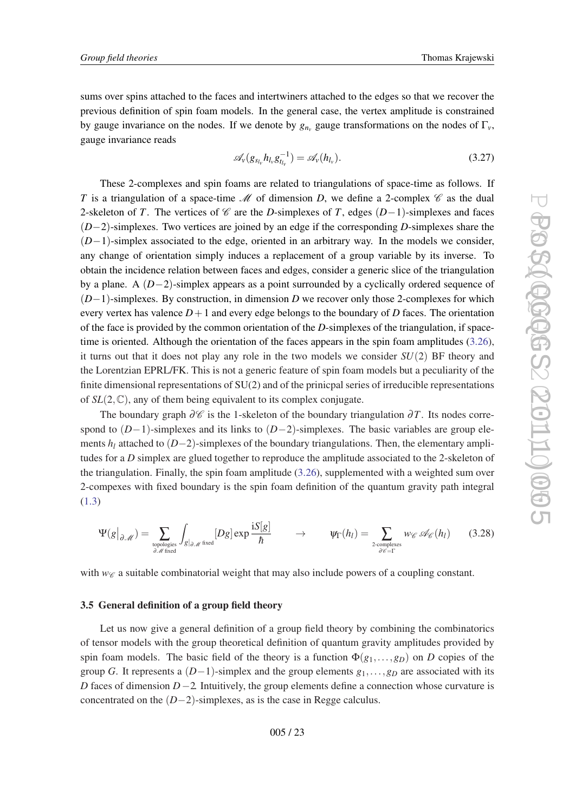<span id="page-22-0"></span>sums over spins attached to the faces and intertwiners attached to the edges so that we recover the previous definition of spin foam models. In the general case, the vertex amplitude is constrained by gauge invariance on the nodes. If we denote by  $g_{n_v}$  gauge transformations on the nodes of  $\Gamma_v$ , gauge invariance reads

$$
\mathscr{A}_{\nu}(g_{s_{l_{\nu}}}h_{l_{\nu}}g_{t_{l_{\nu}}}^{-1}) = \mathscr{A}_{\nu}(h_{l_{\nu}}).
$$
\n(3.27)

These 2-complexes and spin foams are related to triangulations of space-time as follows. If *T* is a triangulation of a space-time  $\mathcal M$  of dimension *D*, we define a 2-complex  $\mathcal C$  as the dual 2-skeleton of *T*. The vertices of *C* are the *D*-simplexes of *T*, edges (*D*−1)-simplexes and faces (*D*−2)-simplexes. Two vertices are joined by an edge if the corresponding *D*-simplexes share the (*D*−1)-simplex associated to the edge, oriented in an arbitrary way. In the models we consider, any change of orientation simply induces a replacement of a group variable by its inverse. To obtain the incidence relation between faces and edges, consider a generic slice of the triangulation by a plane. A (*D*−2)-simplex appears as a point surrounded by a cyclically ordered sequence of (*D*−1)-simplexes. By construction, in dimension *D* we recover only those 2-complexes for which every vertex has valence  $D+1$  and every edge belongs to the boundary of *D* faces. The orientation of the face is provided by the common orientation of the *D*-simplexes of the triangulation, if space-time is oriented. Although the orientation of the faces appears in the spin foam amplitudes [\(3.26\)](#page-21-0), it turns out that it does not play any role in the two models we consider *SU*(2) BF theory and the Lorentzian EPRL/FK. This is not a generic feature of spin foam models but a peculiarity of the finite dimensional representations of SU(2) and of the prinicpal series of irreducible representations of  $SL(2,\mathbb{C})$ , any of them being equivalent to its complex conjugate.

The boundary graph  $\partial\mathscr{C}$  is the 1-skeleton of the boundary triangulation  $\partial T$ . Its nodes correspond to (*D*−1)-simplexes and its links to (*D*−2)-simplexes. The basic variables are group elements *h<sup>l</sup>* attached to (*D*−2)-simplexes of the boundary triangulations. Then, the elementary amplitudes for a *D* simplex are glued together to reproduce the amplitude associated to the 2-skeleton of the triangulation. Finally, the spin foam amplitude ([3.26\)](#page-21-0), supplemented with a weighted sum over 2-compexes with fixed boundary is the spin foam definition of the quantum gravity path integral ([1.3\)](#page-1-0)

$$
\Psi(g|_{\partial \mathcal{M}}) = \sum_{\substack{\text{topologies} \\ \partial \mathcal{M} \text{ fixed}}} \int_{g|_{\partial \mathcal{M}}} [Dg] \exp \frac{iS[g]}{\hbar} \qquad \to \qquad \Psi_{\Gamma}(h_{l}) = \sum_{\substack{\text{2-complexs} \\ \partial \mathcal{C} = \Gamma}} w_{\mathcal{C}} \mathcal{A}_{\mathcal{C}}(h_{l}) \qquad (3.28)
$$

with  $w_{\mathscr{C}}$  a suitable combinatorial weight that may also include powers of a coupling constant.

## 3.5 General definition of a group field theory

Let us now give a general definition of a group field theory by combining the combinatorics of tensor models with the group theoretical definition of quantum gravity amplitudes provided by spin foam models. The basic field of the theory is a function  $\Phi(g_1,...,g_D)$  on *D* copies of the group *G*. It represents a  $(D-1)$ -simplex and the group elements  $g_1, \ldots, g_D$  are associated with its *D* faces of dimension *D*−2. Intuitively, the group elements define a connection whose curvature is concentrated on the (*D*−2)-simplexes, as is the case in Regge calculus.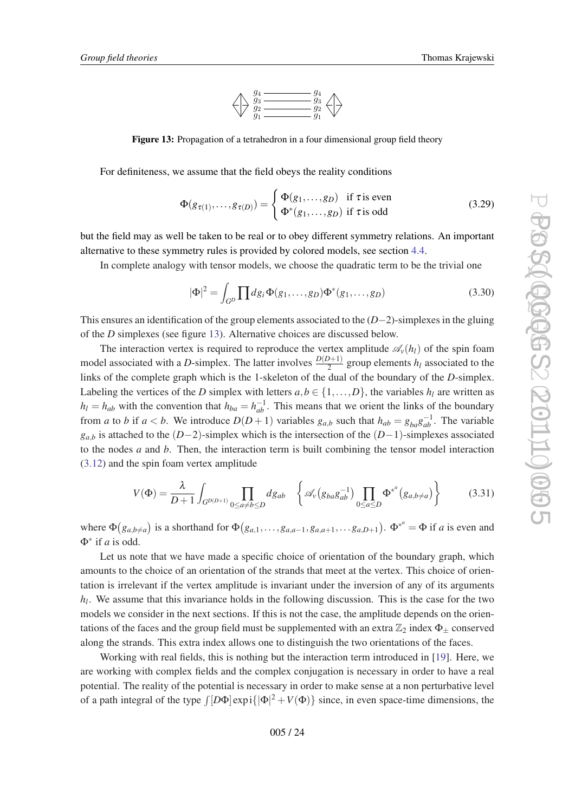

<span id="page-23-0"></span>**Figure 13:** Propagation of a tetrahedron in a four dimensional group field theory

For definiteness, we assume that the field obeys the reality conditions

$$
\Phi(g_{\tau(1)},\ldots,g_{\tau(D)}) = \begin{cases} \Phi(g_1,\ldots,g_D) & \text{if } \tau \text{ is even} \\ \Phi^*(g_1,\ldots,g_D) & \text{if } \tau \text{ is odd} \end{cases}
$$
(3.29)

but the field may as well be taken to be real or to obey different symmetry relations. An important alternative to these symmetry rules is provided by colored models, see section [4.4.](#page-38-0)

In complete analogy with tensor models, we choose the quadratic term to be the trivial one

$$
|\Phi|^2 = \int_{G^D} \prod dg_i \Phi(g_1, \dots, g_D) \Phi^*(g_1, \dots, g_D)
$$
\n(3.30)

This ensures an identification of the group elements associated to the (*D*−2)-simplexes in the gluing of the *D* simplexes (see figure 13). Alternative choices are discussed below.

The interaction vertex is required to reproduce the vertex amplitude  $\mathscr{A}_{\nu}(h_l)$  of the spin foam model associated with a *D*-simplex. The latter involves  $\frac{D(D+1)}{2}$  group elements  $h_l$  associated to the links of the complete graph which is the 1-skeleton of the dual of the boundary of the *D*-simplex. Labeling the vertices of the *D* simplex with letters  $a, b \in \{1, \ldots, D\}$ , the variables  $h_l$  are written as  $h_l = h_{ab}$  with the convention that  $h_{ba} = h_{ab}^{-1}$ . This means that we orient the links of the boundary from *a* to *b* if  $a < b$ . We introduce  $D(D+1)$  variables  $g_{a,b}$  such that  $h_{ab} = g_{ba}g_{ab}^{-1}$ . The variable *g*<sub>*a*,*b*</sub> is attached to the (*D*−2)-simplex which is the intersection of the (*D*−1)-simplexes associated to the nodes *a* and *b*. Then, the interaction term is built combining the tensor model interaction ([3.12](#page-17-0)) and the spin foam vertex amplitude

$$
V(\Phi) = \frac{\lambda}{D+1} \int_{G^{D(D+1)}} \prod_{0 \le a \ne b \le D} dg_{ab} \quad \left\{ \mathcal{A}_{\nu} (g_{ba} g_{ab}^{-1}) \prod_{0 \le a \le D} \Phi^{*^a} (g_{a,b \ne a}) \right\}
$$
(3.31)

where  $\Phi(g_{a,b\neq a})$  is a shorthand for  $\Phi(g_{a,1},\ldots,g_{a,a-1},g_{a,a+1},\ldots,g_{a,D+1})$ .  $\Phi^{*^a} = \Phi$  if *a* is even and Φ∗ if *a* is odd.

Let us note that we have made a specific choice of orientation of the boundary graph, which amounts to the choice of an orientation of the strands that meet at the vertex. This choice of orientation is irrelevant if the vertex amplitude is invariant under the inversion of any of its arguments *hl* . We assume that this invariance holds in the following discussion. This is the case for the two models we consider in the next sections. If this is not the case, the amplitude depends on the orientations of the faces and the group field must be supplemented with an extra  $\mathbb{Z}_2$  index  $\Phi_{\pm}$  conserved along the strands. This extra index allows one to distinguish the two orientations of the faces.

Working with real fields, this is nothing but the interaction term introduced in [[19\]](#page-54-0). Here, we are working with complex fields and the complex conjugation is necessary in order to have a real potential. The reality of the potential is necessary in order to make sense at a non perturbative level of a path integral of the type  $\int [D\Phi] \exp i({|\Phi|^2} + V(\Phi))$  since, in even space-time dimensions, the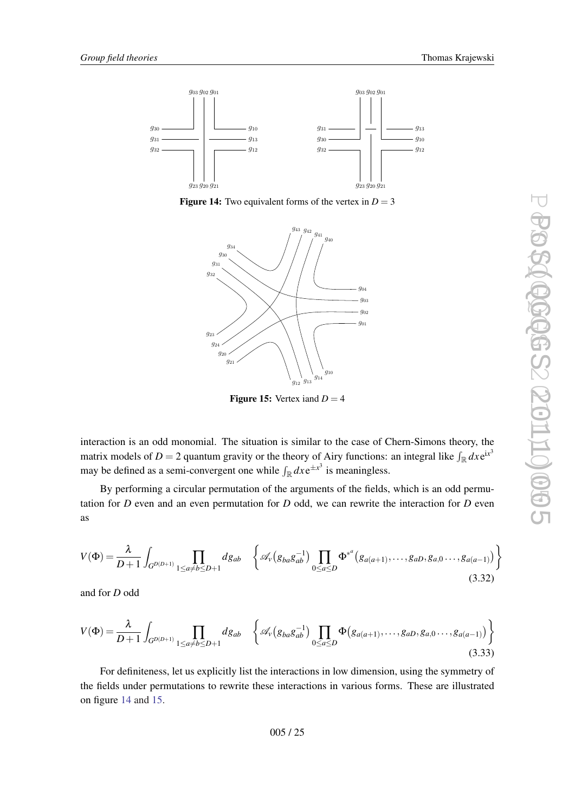

**Figure 14:** Two equivalent forms of the vertex in  $D = 3$ 



**Figure 15:** Vertex iand  $D = 4$ 

interaction is an odd monomial. The situation is similar to the case of Chern-Simons theory, the matrix models of  $D = 2$  quantum gravity or the theory of Airy functions: an integral like  $\int_{\mathbb{R}} dx e^{ix^3}$ may be defined as a semi-convergent one while  $\int_{\mathbb{R}} dx e^{\pm x^3}$  is meaningless.

By performing a circular permutation of the arguments of the fields, which is an odd permutation for *D* even and an even permutation for *D* odd, we can rewrite the interaction for *D* even as

$$
V(\Phi) = \frac{\lambda}{D+1} \int_{G^{D(D+1)}} \prod_{1 \le a \ne b \le D+1} dg_{ab} \left\{ \mathcal{A}_{\nu} (g_{ba} g_{ab}^{-1}) \prod_{0 \le a \le D} \Phi^{*a} (g_{a(a+1)}, \dots, g_{aD}, g_{a,0} \dots, g_{a(a-1)}) \right\}
$$
(3.32)

and for *D* odd

$$
V(\Phi) = \frac{\lambda}{D+1} \int_{G^{D(D+1)}} \prod_{1 \le a \ne b \le D+1} dg_{ab} \quad \left\{ \mathcal{A}_{\nu} (g_{ba} g_{ab}^{-1}) \prod_{0 \le a \le D} \Phi (g_{a(a+1)}, \dots, g_{aD}, g_{a,0} \dots, g_{a(a-1)}) \right\}
$$
(3.33)

For definiteness, let us explicitly list the interactions in low dimension, using the symmetry of the fields under permutations to rewrite these interactions in various forms. These are illustrated on figure 14 and 15.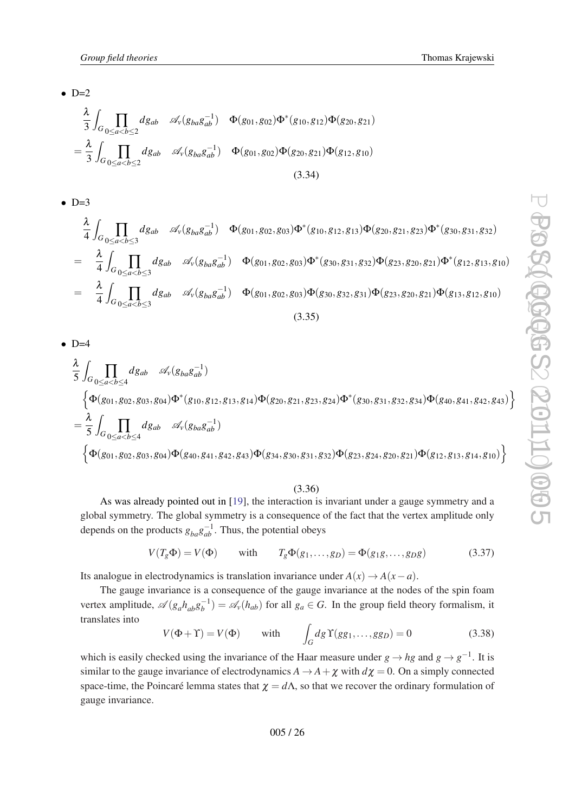<span id="page-25-0"></span> $\bullet$  D=2

$$
\frac{\lambda}{3} \int_{G} \prod_{0 \le a < b \le 2} dg_{ab} \quad \mathcal{A}_{\nu}(g_{ba}g_{ab}^{-1}) \quad \Phi(g_{01}, g_{02}) \Phi^*(g_{10}, g_{12}) \Phi(g_{20}, g_{21})
$$
\n
$$
= \frac{\lambda}{3} \int_{G} \prod_{0 \le a < b \le 2} dg_{ab} \quad \mathcal{A}_{\nu}(g_{ba}g_{ab}^{-1}) \quad \Phi(g_{01}, g_{02}) \Phi(g_{20}, g_{21}) \Phi(g_{12}, g_{10})
$$
\n(3.34)

 $\bullet$  D=3

$$
\frac{\lambda}{4} \int_{G} \prod_{0 \le a < b \le 3} dg_{ab} \mathscr{A}_{\nu}(g_{ba}g_{ab}^{-1}) \Phi(g_{01}, g_{02}, g_{03}) \Phi^*(g_{10}, g_{12}, g_{13}) \Phi(g_{20}, g_{21}, g_{23}) \Phi^*(g_{30}, g_{31}, g_{32})
$$
\n
$$
= \frac{\lambda}{4} \int_{G} \prod_{0 \le a < b \le 3} dg_{ab} \mathscr{A}_{\nu}(g_{ba}g_{ab}^{-1}) \Phi(g_{01}, g_{02}, g_{03}) \Phi^*(g_{30}, g_{31}, g_{32}) \Phi(g_{23}, g_{20}, g_{21}) \Phi^*(g_{12}, g_{13}, g_{10})
$$
\n
$$
= \frac{\lambda}{4} \int_{G} \prod_{0 \le a < b \le 3} dg_{ab} \mathscr{A}_{\nu}(g_{ba}g_{ab}^{-1}) \Phi(g_{01}, g_{02}, g_{03}) \Phi(g_{30}, g_{32}, g_{31}) \Phi(g_{23}, g_{20}, g_{21}) \Phi(g_{13}, g_{12}, g_{10})
$$
\n(3.35)

 $\bullet$  D=4

$$
\frac{\lambda}{5} \int_{G} \prod_{0 \le a < b \le 4} dg_{ab} \mathscr{A}_{\nu}(g_{ba}g_{ab}^{-1})
$$
\n
$$
\left\{ \Phi(g_{01}, g_{02}, g_{03}, g_{04}) \Phi^*(g_{10}, g_{12}, g_{13}, g_{14}) \Phi(g_{20}, g_{21}, g_{23}, g_{24}) \Phi^*(g_{30}, g_{31}, g_{32}, g_{34}) \Phi(g_{40}, g_{41}, g_{42}, g_{43}) \right\}
$$
\n
$$
= \frac{\lambda}{5} \int_{G} \prod_{0 \le a < b \le 4} dg_{ab} \mathscr{A}_{\nu}(g_{ba}g_{ab}^{-1})
$$
\n
$$
\left\{ \Phi(g_{01}, g_{02}, g_{03}, g_{04}) \Phi(g_{40}, g_{41}, g_{42}, g_{43}) \Phi(g_{34}, g_{30}, g_{31}, g_{32}) \Phi(g_{23}, g_{24}, g_{20}, g_{21}) \Phi(g_{12}, g_{13}, g_{14}, g_{10}) \right\}
$$

## (3.36)

As was already pointed out in [[19\]](#page-54-0), the interaction is invariant under a gauge symmetry and a global symmetry. The global symmetry is a consequence of the fact that the vertex amplitude only depends on the products  $g_{ba}g_{ab}^{-1}$ . Thus, the potential obeys

$$
V(T_g \Phi) = V(\Phi) \quad \text{with} \quad T_g \Phi(g_1, \dots, g_D) = \Phi(g_1 g, \dots, g_D g) \tag{3.37}
$$

Its analogue in electrodynamics is translation invariance under  $A(x) \rightarrow A(x-a)$ .

The gauge invariance is a consequence of the gauge invariance at the nodes of the spin foam vertex amplitude,  $\mathscr{A}(g_a h_{ab} g_b^{-1}) = \mathscr{A}_{\nu}(h_{ab})$  for all  $g_a \in G$ . In the group field theory formalism, it translates into

$$
V(\Phi + \Upsilon) = V(\Phi) \quad \text{with} \quad \int_G dg \,\Upsilon(gg_1, \dots, gg_D) = 0 \tag{3.38}
$$

which is easily checked using the invariance of the Haar measure under  $g \to hg$  and  $g \to g^{-1}$ . It is similar to the gauge invariance of electrodynamics  $A \to A + \chi$  with  $d\chi = 0$ . On a simply connected space-time, the Poincaré lemma states that  $\chi = d\Lambda$ , so that we recover the ordinary formulation of gauge invariance.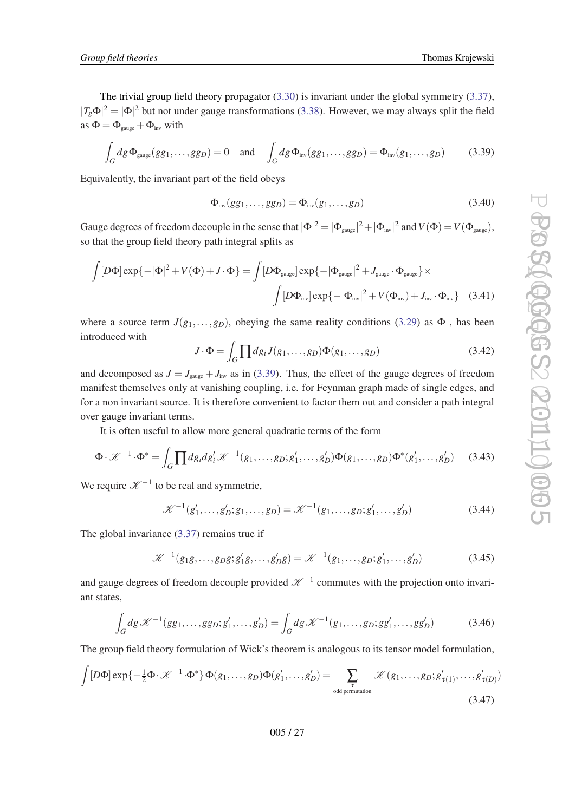<span id="page-26-0"></span>The trivial group field theory propagator [\(3.30\)](#page-23-0) is invariant under the global symmetry [\(3.37\)](#page-25-0),  $|T_g\Phi|^2 = |\Phi|^2$  but not under gauge transformations ([3.38\)](#page-25-0). However, we may always split the field as  $\Phi = \Phi_{\text{gauge}} + \Phi_{\text{inv}}$  with

$$
\int_{G} dg \, \Phi_{\text{gauge}}(gg_1, \dots, gg_D) = 0 \quad \text{and} \quad \int_{G} dg \, \Phi_{\text{inv}}(gg_1, \dots, gg_D) = \Phi_{\text{inv}}(g_1, \dots, g_D) \tag{3.39}
$$

Equivalently, the invariant part of the field obeys

$$
\Phi_{\text{inv}}(gg_1,\ldots,gg_D) = \Phi_{\text{inv}}(g_1,\ldots,g_D) \tag{3.40}
$$

Gauge degrees of freedom decouple in the sense that  $|\Phi|^2 = |\Phi_{gauge}|^2 + |\Phi_{inv}|^2$  and  $V(\Phi) = V(\Phi_{gauge})$ , so that the group field theory path integral splits as

$$
\int [D\Phi] \exp\{-|\Phi|^2 + V(\Phi) + J \cdot \Phi\} = \int [D\Phi_{gauge}] \exp\{-|\Phi_{gauge}|^2 + J_{gauge} \cdot \Phi_{gauge}\} \times
$$

$$
\int [D\Phi_{inv}] \exp\{-|\Phi_{inv}|^2 + V(\Phi_{inv}) + J_{inv} \cdot \Phi_{inv}\} \quad (3.41)
$$

where a source term  $J(g_1,...,g_n)$ , obeying the same reality conditions ([3.29\)](#page-23-0) as  $\Phi$ , has been introduced with

$$
J \cdot \Phi = \int_G \prod dg_i J(g_1, \dots, g_D) \Phi(g_1, \dots, g_D) \tag{3.42}
$$

and decomposed as  $J = J_{\text{gauge}} + J_{\text{inv}}$  as in (3.39). Thus, the effect of the gauge degrees of freedom manifest themselves only at vanishing coupling, i.e. for Feynman graph made of single edges, and for a non invariant source. It is therefore convenient to factor them out and consider a path integral over gauge invariant terms.

It is often useful to allow more general quadratic terms of the form

$$
\Phi \cdot \mathscr{K}^{-1} \cdot \Phi^* = \int_G \prod dg_i dg'_i \mathscr{K}^{-1}(g_1, \dots, g_D; g'_1, \dots, g'_D) \Phi(g_1, \dots, g_D) \Phi^*(g'_1, \dots, g'_D) \tag{3.43}
$$

We require  $\mathcal{K}^{-1}$  to be real and symmetric,

$$
\mathcal{K}^{-1}(g'_1, \dots, g'_D; g_1, \dots, g_D) = \mathcal{K}^{-1}(g_1, \dots, g_D; g'_1, \dots, g'_D)
$$
(3.44)

The global invariance [\(3.37](#page-25-0)) remains true if

$$
\mathcal{K}^{-1}(g_1g, \dots, g_Dg; g'_1g, \dots, g'_Dg) = \mathcal{K}^{-1}(g_1, \dots, g_D; g'_1, \dots, g'_D)
$$
(3.45)

and gauge degrees of freedom decouple provided  $\mathscr{K}^{-1}$  commutes with the projection onto invariant states,

$$
\int_{G} dg \, \mathcal{K}^{-1}(gg_1, \dots, gg_D; g'_1, \dots, g'_D) = \int_{G} dg \, \mathcal{K}^{-1}(g_1, \dots, g_D; gg'_1, \dots, gg'_D) \tag{3.46}
$$

The group field theory formulation of Wick's theorem is analogous to its tensor model formulation,

$$
\int [D\Phi] \exp\{-\frac{1}{2}\Phi \cdot \mathcal{K}^{-1} \cdot \Phi^* \} \Phi(g_1, \dots, g_D) \Phi(g'_1, \dots, g'_D) = \sum_{\substack{\tau \text{odd permutation} \\ \text{odd permutation}}} \mathcal{K}(g_1, \dots, g_D; g'_{\tau(1)}, \dots, g'_{\tau(D)})
$$
\n(3.47)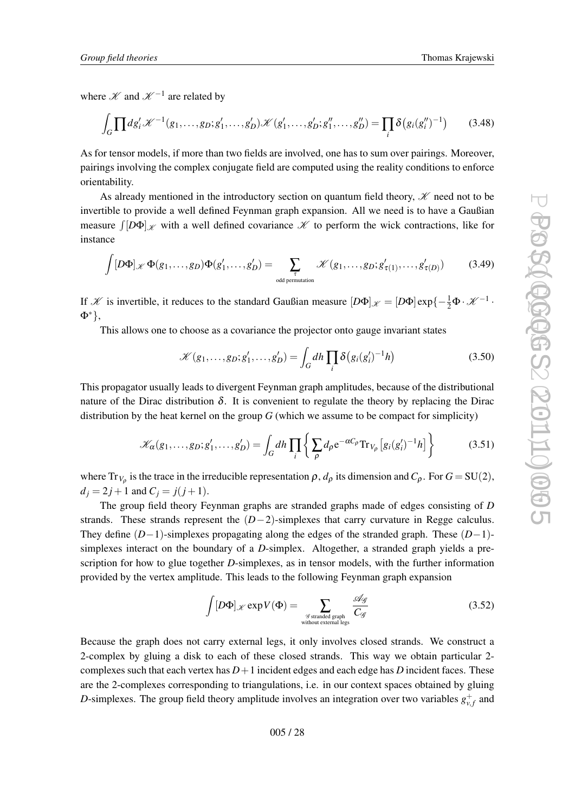<span id="page-27-0"></span>where  $\mathscr K$  and  $\mathscr K^{-1}$  are related by

$$
\int_{G} \prod dg_i' \mathscr{K}^{-1}(g_1, \dots, g_D; g'_1, \dots, g'_D) \mathscr{K}(g'_1, \dots, g'_D; g''_1, \dots, g''_D) = \prod_i \delta(g_i(g''_i)^{-1}) \tag{3.48}
$$

As for tensor models, if more than two fields are involved, one has to sum over pairings. Moreover, pairings involving the complex conjugate field are computed using the reality conditions to enforce orientability.

As already mentioned in the introductory section on quantum field theory,  $\mathcal{K}$  need not to be invertible to provide a well defined Feynman graph expansion. All we need is to have a Gaußian measure  $\int [D\Phi]_{\mathscr{K}}$  with a well defined covariance  $\mathscr{K}$  to perform the wick contractions, like for instance

$$
\int [D\Phi]_{\mathscr{K}} \Phi(g_1, \dots, g_D) \Phi(g'_1, \dots, g'_D) = \sum_{\substack{\tau \text{odd permutation} \\ \text{odd permutation}}} \mathscr{K}(g_1, \dots, g_D; g'_{\tau(1)}, \dots, g'_{\tau(D)}) \tag{3.49}
$$

If *K* is invertible, it reduces to the standard Gaußian measure  $[D\Phi]_{\mathscr{K}} = [D\Phi] \exp\{-\frac{1}{2}\Phi \cdot \mathscr{K}^{-1} \cdot$ Φ∗},

This allows one to choose as a covariance the projector onto gauge invariant states

$$
\mathcal{K}(g_1,\ldots,g_D;g'_1,\ldots,g'_D) = \int_G dh \prod_i \delta\big(g_i(g'_i)^{-1}h\big) \tag{3.50}
$$

This propagator usually leads to divergent Feynman graph amplitudes, because of the distributional nature of the Dirac distribution  $\delta$ . It is convenient to regulate the theory by replacing the Dirac distribution by the heat kernel on the group *G* (which we assume to be compact for simplicity)

$$
\mathcal{K}_{\alpha}(g_1,\ldots,g_D;g'_1,\ldots,g'_D) = \int_G dh \prod_i \left\{ \sum_{\rho} d_{\rho} e^{-\alpha C_{\rho}} \text{Tr}_{V_{\rho}} \left[ g_i(g'_i)^{-1} h \right] \right\} \tag{3.51}
$$

where  $Tr_{V_{\rho}}$  is the trace in the irreducible representation  $\rho$ ,  $d_{\rho}$  its dimension and  $C_{\rho}$ . For  $G = SU(2)$ ,  $d_i = 2j + 1$  and  $C_i = j(j + 1)$ .

The group field theory Feynman graphs are stranded graphs made of edges consisting of *D* strands. These strands represent the (*D*−2)-simplexes that carry curvature in Regge calculus. They define (*D*−1)-simplexes propagating along the edges of the stranded graph. These (*D*−1) simplexes interact on the boundary of a *D*-simplex. Altogether, a stranded graph yields a prescription for how to glue together *D*-simplexes, as in tensor models, with the further information provided by the vertex amplitude. This leads to the following Feynman graph expansion

$$
\int [D\Phi]_{\mathscr{K}} \exp V(\Phi) = \sum_{\substack{\mathscr{G} \text{stranded graph} \\ \text{without external legs}}} \frac{\mathscr{A}_{\mathscr{G}}}{C_{\mathscr{G}}}
$$
(3.52)

Because the graph does not carry external legs, it only involves closed strands. We construct a 2-complex by gluing a disk to each of these closed strands. This way we obtain particular 2 complexes such that each vertex has  $D+1$  incident edges and each edge has *D* incident faces. These are the 2-complexes corresponding to triangulations, i.e. in our context spaces obtained by gluing *D*-simplexes. The group field theory amplitude involves an integration over two variables  $g_{v,f}^+$  and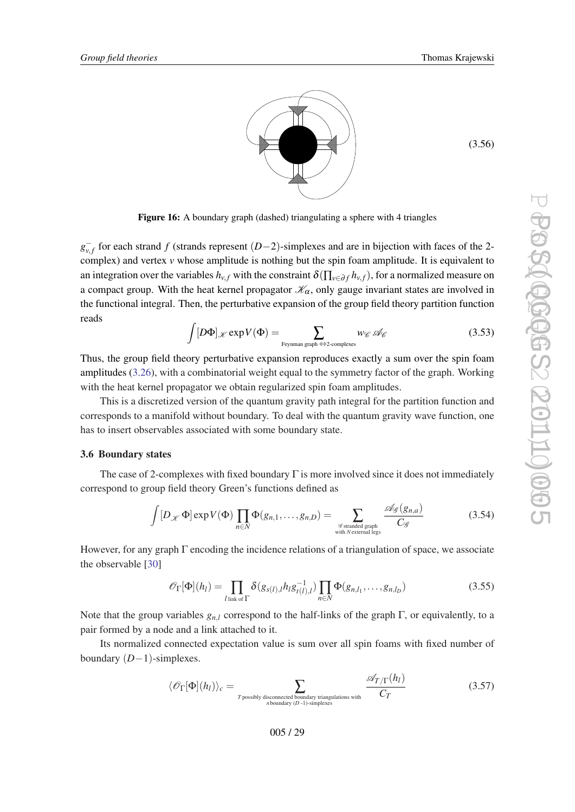(3.56)

<span id="page-28-0"></span>

Figure 16: A boundary graph (dashed) triangulating a sphere with 4 triangles

*g*<sub>v,*f*</sub></sub> for each strand *f* (strands represent (*D*−2)-simplexes and are in bijection with faces of the 2complex) and vertex *v* whose amplitude is nothing but the spin foam amplitude. It is equivalent to an integration over the variables  $h_{v,f}$  with the constraint  $\delta(\prod_{v \in \partial f} h_{v,f})$ , for a normalized measure on a compact group. With the heat kernel propagator  $\mathcal{K}_{\alpha}$ , only gauge invariant states are involved in the functional integral. Then, the perturbative expansion of the group field theory partition function reads

$$
\int [D\Phi]_{\mathscr{K}} \exp V(\Phi) = \sum_{\text{Feynman graph} \Leftrightarrow 2\text{-complexes}} w_{\mathscr{C}} \mathscr{A}_{\mathscr{C}}
$$
(3.53)

Thus, the group field theory perturbative expansion reproduces exactly a sum over the spin foam amplitudes [\(3.26](#page-21-0)), with a combinatorial weight equal to the symmetry factor of the graph. Working with the heat kernel propagator we obtain regularized spin foam amplitudes.

This is a discretized version of the quantum gravity path integral for the partition function and corresponds to a manifold without boundary. To deal with the quantum gravity wave function, one has to insert observables associated with some boundary state.

#### 3.6 Boundary states

The case of 2-complexes with fixed boundary Γ is more involved since it does not immediately correspond to group field theory Green's functions defined as

$$
\int [D_{\mathcal{K}} \Phi] \exp V(\Phi) \prod_{n \in N} \Phi(g_{n,1}, \dots, g_{n,D}) = \sum_{\substack{\mathcal{G} \text{stranded graph} \\ \text{with } N \text{ external legs}}} \frac{\mathcal{A}_{\mathcal{G}}(g_{n,a})}{C_{\mathcal{G}}}
$$
(3.54)

However, for any graph Γ encoding the incidence relations of a triangulation of space, we associate the observable [[30\]](#page-55-0)

$$
\mathscr{O}_{\Gamma}[\Phi](h_l) = \prod_{l \text{ link of } \Gamma} \delta(g_{s(l),l} h_l g_{t(l),l}^{-1}) \prod_{n \in N} \Phi(g_{n,l_1}, \dots, g_{n,l_D})
$$
\n(3.55)

Note that the group variables  $g_{n,l}$  correspond to the half-links of the graph  $\Gamma$ , or equivalently, to a pair formed by a node and a link attached to it.

Its normalized connected expectation value is sum over all spin foams with fixed number of boundary (*D*−1)-simplexes.

$$
\langle \mathcal{O}_{\Gamma}[\Phi](h_l) \rangle_c = \sum_{\substack{T \text{ possibly disconnected boundary triangulations with} \\ n \text{ boundary } (D-1)\text{-simplices}}} \frac{\mathcal{A}_{T/\Gamma}(h_l)}{C_T}
$$
(3.57)

005 / 29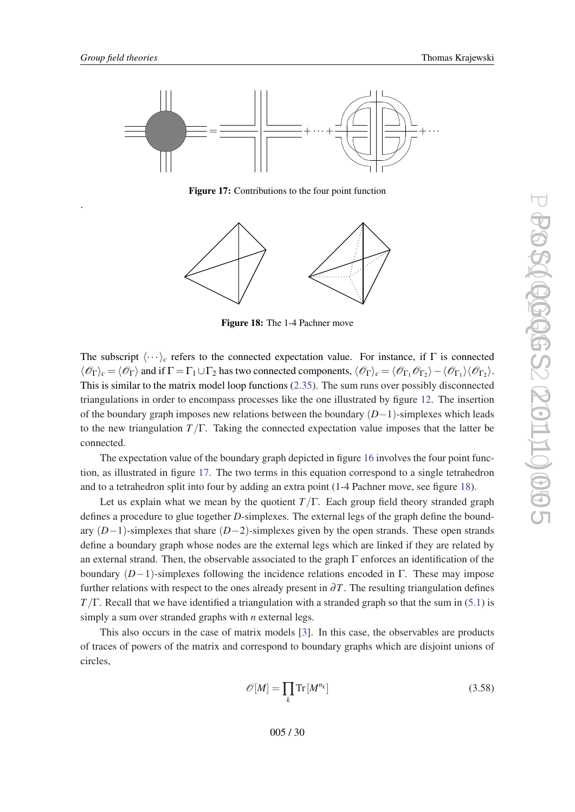.



<span id="page-29-0"></span>

Figure 17: Contributions to the four point function



Figure 18: The 1-4 Pachner move

The subscript  $\langle \cdots \rangle_c$  refers to the connected expectation value. For instance, if  $\Gamma$  is connected  $\langle \mathcal{O}_{\Gamma} \rangle_c = \langle \mathcal{O}_{\Gamma} \rangle$  and if  $\Gamma = \Gamma_1 \cup \Gamma_2$  has two connected components,  $\langle \mathcal{O}_{\Gamma} \rangle_c = \langle \mathcal{O}_{\Gamma_1} \mathcal{O}_{\Gamma_2} \rangle - \langle \mathcal{O}_{\Gamma_1} \rangle \langle \mathcal{O}_{\Gamma_2} \rangle$ . This is similar to the matrix model loop functions [\(2.35](#page-12-0)). The sum runs over possibly disconnected triangulations in order to encompass processes like the one illustrated by figure [12](#page-21-0). The insertion of the boundary graph imposes new relations between the boundary (*D*−1)-simplexes which leads to the new triangulation *T*/Γ. Taking the connected expectation value imposes that the latter be connected.

The expectation value of the boundary graph depicted in figure [16](#page-28-0) involves the four point function, as illustrated in figure 17. The two terms in this equation correspond to a single tetrahedron and to a tetrahedron split into four by adding an extra point (1-4 Pachner move, see figure 18).

Let us explain what we mean by the quotient  $T/\Gamma$ . Each group field theory stranded graph defines a procedure to glue together *D*-simplexes. The external legs of the graph define the boundary (*D*−1)-simplexes that share (*D*−2)-simplexes given by the open strands. These open strands define a boundary graph whose nodes are the external legs which are linked if they are related by an external strand. Then, the observable associated to the graph  $\Gamma$  enforces an identification of the boundary  $(D-1)$ -simplexes following the incidence relations encoded in Γ. These may impose further relations with respect to the ones already present in  $\partial T$ . The resulting triangulation defines *T*/Γ. Recall that we have identified a triangulation with a stranded graph so that the sum in ([5.1](#page-28-0)) is simply a sum over stranded graphs with *n* external legs.

This also occurs in the case of matrix models [[3](#page-53-0)]. In this case, the observables are products of traces of powers of the matrix and correspond to boundary graphs which are disjoint unions of circles,

$$
\mathcal{O}[M] = \prod_{k} \text{Tr}[M^{n_k}] \tag{3.58}
$$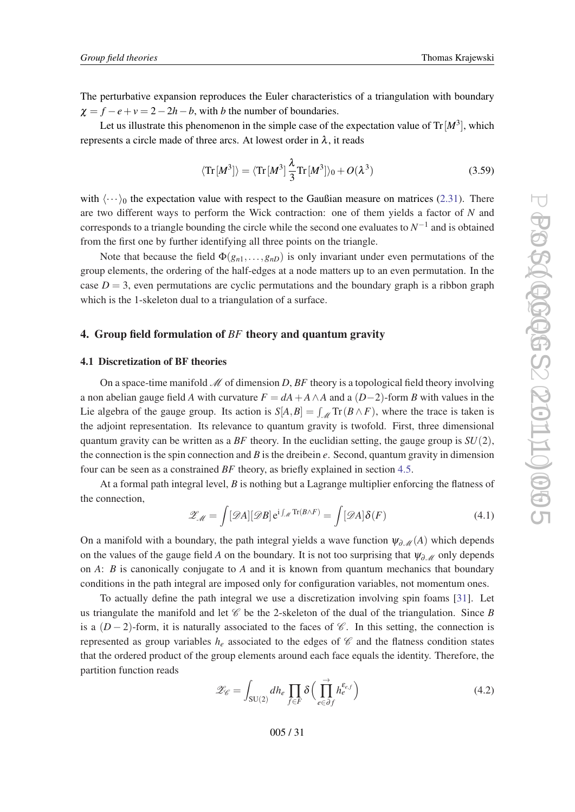<span id="page-30-0"></span>The perturbative expansion reproduces the Euler characteristics of a triangulation with boundary  $\chi = f - e + v = 2 - 2h - b$ , with *b* the number of boundaries.

Let us illustrate this phenomenon in the simple case of the expectation value of  $\text{Tr}\left[M^3\right]$ , which represents a circle made of three arcs. At lowest order in  $\lambda$ , it reads

$$
\langle \operatorname{Tr}[M^3] \rangle = \langle \operatorname{Tr}[M^3] \frac{\lambda}{3} \operatorname{Tr}[M^3] \rangle_0 + O(\lambda^3)
$$
 (3.59)

with  $\langle \cdots \rangle_0$  the expectation value with respect to the Gaußian measure on matrices ([2.31\)](#page-11-0). There are two different ways to perform the Wick contraction: one of them yields a factor of *N* and corresponds to a triangle bounding the circle while the second one evaluates to  $N^{-1}$  and is obtained from the first one by further identifying all three points on the triangle.

Note that because the field  $\Phi(g_{n1},...,g_{nD})$  is only invariant under even permutations of the group elements, the ordering of the half-edges at a node matters up to an even permutation. In the case  $D = 3$ , even permutations are cyclic permutations and the boundary graph is a ribbon graph which is the 1-skeleton dual to a triangulation of a surface.

# 4. Group field formulation of *BF* theory and quantum gravity

#### 4.1 Discretization of BF theories

On a space-time manifold  $\mathcal M$  of dimension D, BF theory is a topological field theory involving a non abelian gauge field *A* with curvature  $F = dA + A \wedge A$  and a  $(D-2)$ -form *B* with values in the Lie algebra of the gauge group. Its action is  $S[A, B] = \int_{\mathcal{M}} \text{Tr}(B \wedge F)$ , where the trace is taken is the adjoint representation. Its relevance to quantum gravity is twofold. First, three dimensional quantum gravity can be written as a *BF* theory. In the euclidian setting, the gauge group is  $SU(2)$ , the connection is the spin connection and *B* is the dreibein *e*. Second, quantum gravity in dimension four can be seen as a constrained *BF* theory, as briefly explained in section [4.5.](#page-44-0)

At a formal path integral level, *B* is nothing but a Lagrange multiplier enforcing the flatness of the connection,

$$
\mathscr{Z}_{\mathscr{M}} = \int [\mathscr{D}A][\mathscr{D}B] e^{i\int_{\mathscr{M}} \text{Tr}(B\wedge F)} = \int [\mathscr{D}A]\delta(F)
$$
(4.1)

On a manifold with a boundary, the path integral yields a wave function  $\psi_{\partial \mathcal{M}}(A)$  which depends on the values of the gauge field *A* on the boundary. It is not too surprising that  $\psi_{\partial M}$  only depends on *A*: *B* is canonically conjugate to *A* and it is known from quantum mechanics that boundary conditions in the path integral are imposed only for configuration variables, not momentum ones.

To actually define the path integral we use a discretization involving spin foams [\[31](#page-55-0)]. Let us triangulate the manifold and let  $\mathscr C$  be the 2-skeleton of the dual of the triangulation. Since *B* is a  $(D-2)$ -form, it is naturally associated to the faces of  $\mathscr{C}$ . In this setting, the connection is represented as group variables  $h_e$  associated to the edges of  $\mathscr C$  and the flatness condition states that the ordered product of the group elements around each face equals the identity. Therefore, the partition function reads

$$
\mathscr{Z}_{\mathscr{C}} = \int_{\text{SU}(2)} dh_e \prod_{f \in F} \delta\left(\prod_{e \in \partial f}^{\rightarrow} h_e^{\varepsilon_{e,f}}\right)
$$
(4.2)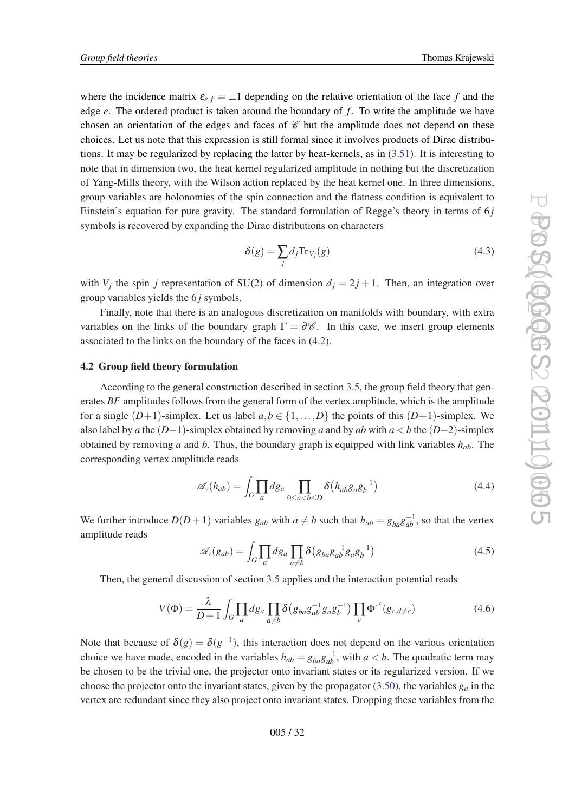<span id="page-31-0"></span>where the incidence matrix  $\varepsilon_{e,f} = \pm 1$  depending on the relative orientation of the face f and the edge *e*. The ordered product is taken around the boundary of *f* . To write the amplitude we have chosen an orientation of the edges and faces of  $\mathscr C$  but the amplitude does not depend on these choices. Let us note that this expression is still formal since it involves products of Dirac distributions. It may be regularized by replacing the latter by heat-kernels, as in  $(3.51)$  $(3.51)$ . It is interesting to note that in dimension two, the heat kernel regularized amplitude in nothing but the discretization of Yang-Mills theory, with the Wilson action replaced by the heat kernel one. In three dimensions, group variables are holonomies of the spin connection and the flatness condition is equivalent to Einstein's equation for pure gravity. The standard formulation of Regge's theory in terms of 6 *j* symbols is recovered by expanding the Dirac distributions on characters

$$
\delta(g) = \sum_{j} d_j \text{Tr}_{V_j}(g) \tag{4.3}
$$

with  $V_j$  the spin *j* representation of SU(2) of dimension  $d_j = 2j + 1$ . Then, an integration over group variables yields the 6 *j* symbols.

Finally, note that there is an analogous discretization on manifolds with boundary, with extra variables on the links of the boundary graph  $\Gamma = \partial \mathscr{C}$ . In this case, we insert group elements associated to the links on the boundary of the faces in [\(4.2](#page-30-0)).

## 4.2 Group field theory formulation

According to the general construction described in section [3.5](#page-22-0), the group field theory that generates *BF* amplitudes follows from the general form of the vertex amplitude, which is the amplitude for a single  $(D+1)$ -simplex. Let us label  $a, b \in \{1, ..., D\}$  the points of this  $(D+1)$ -simplex. We also label by *a* the  $(D-1)$ -simplex obtained by removing *a* and by *ab* with  $a < b$  the  $(D-2)$ -simplex obtained by removing *a* and *b*. Thus, the boundary graph is equipped with link variables *hab*. The corresponding vertex amplitude reads

$$
\mathscr{A}_{\nu}(h_{ab}) = \int_{G} \prod_{a} dg_{a} \prod_{0 \le a < b \le D} \delta(h_{ab} g_{a} g_{b}^{-1})
$$
\n(4.4)

We further introduce  $D(D+1)$  variables  $g_{ab}$  with  $a \neq b$  such that  $h_{ab} = g_{ba}g_{ab}^{-1}$ , so that the vertex amplitude reads

$$
\mathscr{A}_{\nu}(g_{ab}) = \int_{G} \prod_{a} dg_{a} \prod_{a \neq b} \delta(g_{ba} g_{ab}^{-1} g_{a} g_{b}^{-1})
$$
(4.5)

Then, the general discussion of section [3.5](#page-22-0) applies and the interaction potential reads

$$
V(\Phi) = \frac{\lambda}{D+1} \int_G \prod_a dg_a \prod_{a \neq b} \delta(g_{ba}g_{ab}^{-1}g_a g_b^{-1}) \prod_c \Phi^{*c}(g_{c,d \neq c})
$$
(4.6)

Note that because of  $\delta(g) = \delta(g^{-1})$ , this interaction does not depend on the various orientation choice we have made, encoded in the variables  $h_{ab} = g_{ba}g_{ab}^{-1}$ , with  $a < b$ . The quadratic term may be chosen to be the trivial one, the projector onto invariant states or its regularized version. If we choose the projector onto the invariant states, given by the propagator  $(3.50)$  $(3.50)$  $(3.50)$ , the variables  $g_a$  in the vertex are redundant since they also project onto invariant states. Dropping these variables from the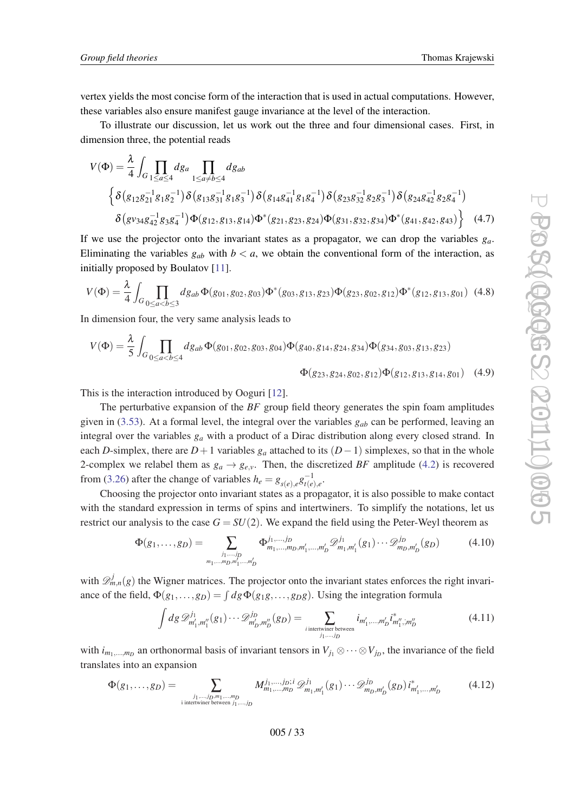<span id="page-32-0"></span>vertex yields the most concise form of the interaction that is used in actual computations. However, these variables also ensure manifest gauge invariance at the level of the interaction.

To illustrate our discussion, let us work out the three and four dimensional cases. First, in dimension three, the potential reads

$$
V(\Phi) = \frac{\lambda}{4} \int_{G} \prod_{1 \leq a \leq 4} dg_a \prod_{1 \leq a \neq b \leq 4} dg_{ab}
$$
  

$$
\left\{ \delta(g_{12}g_{21}^{-1}g_{1}g_{2}^{-1}) \delta(g_{13}g_{31}^{-1}g_{1}g_{3}^{-1}) \delta(g_{14}g_{41}^{-1}g_{1}g_{4}^{-1}) \delta(g_{23}g_{32}^{-1}g_{2}g_{3}^{-1}) \delta(g_{24}g_{42}^{-1}g_{2}g_{4}^{-1}) \delta(g_{23}g_{32}^{-1}g_{2}g_{3}^{-1}) \delta(g_{24}g_{42}^{-1}g_{2}g_{4}^{-1}) \delta(g_{24}g_{42}^{-1}g_{2}g_{4}^{-1}) \delta(g_{24}g_{42}^{-1}g_{2}g_{4}^{-1}) \delta(g_{24}g_{42}^{-1}g_{2}g_{4}^{-1}) \delta(g_{24}g_{42}^{-1}g_{2}g_{4}^{-1}) \Phi(g_{12}, g_{13}, g_{14}) \Phi^*(g_{21}, g_{23}, g_{24}) \Phi(g_{31}, g_{32}, g_{34}) \Phi^*(g_{41}, g_{42}, g_{43}) \right\} (4.7)
$$

If we use the projector onto the invariant states as a propagator, we can drop the variables  $g_a$ . Eliminating the variables  $g_{ab}$  with  $b < a$ , we obtain the conventional form of the interaction, as initially proposed by Boulatov [[11](#page-54-0)].

$$
V(\Phi) = \frac{\lambda}{4} \int_{G} \prod_{0 \le a < b \le 3} dg_{ab} \Phi(g_{01}, g_{02}, g_{03}) \Phi^*(g_{03}, g_{13}, g_{23}) \Phi(g_{23}, g_{02}, g_{12}) \Phi^*(g_{12}, g_{13}, g_{01}) \tag{4.8}
$$

In dimension four, the very same analysis leads to

$$
V(\Phi) = \frac{\lambda}{5} \int_{G} \prod_{0 \le a < b \le 4} dg_{ab} \Phi(g_{01}, g_{02}, g_{03}, g_{04}) \Phi(g_{40}, g_{14}, g_{24}, g_{34}) \Phi(g_{34}, g_{03}, g_{13}, g_{23})
$$
  

$$
\Phi(g_{23}, g_{24}, g_{02}, g_{12}) \Phi(g_{12}, g_{13}, g_{14}, g_{01}) \quad (4.9)
$$

This is the interaction introduced by Ooguri [\[12](#page-54-0)].

The perturbative expansion of the *BF* group field theory generates the spin foam amplitudes given in [\(3.53](#page-28-0)). At a formal level, the integral over the variables *gab* can be performed, leaving an integral over the variables *g<sup>a</sup>* with a product of a Dirac distribution along every closed strand. In each *D*-simplex, there are  $D+1$  variables  $g_a$  attached to its  $(D-1)$  simplexes, so that in the whole 2-complex we relabel them as  $g_a \rightarrow g_{e,v}$ . Then, the discretized *BF* amplitude [\(4.2](#page-30-0)) is recovered from ([3.26\)](#page-21-0) after the change of variables  $h_e = g_{s(e),e} g_{t(e)}^{-1}$  $\frac{(-1)}{t(e),e}$ 

Choosing the projector onto invariant states as a propagator, it is also possible to make contact with the standard expression in terms of spins and intertwiners. To simplify the notations, let us restrict our analysis to the case  $G = SU(2)$ . We expand the field using the Peter-Weyl theorem as

$$
\Phi(g_1, \dots, g_D) = \sum_{\substack{j_1, \dots, j_D \\ m_1, \dots, m_D, m_1', \dots, m_D'}} \Phi^{j_1, \dots, j_D}_{m_1, \dots, m_D, m_1', \dots, m_D'} \mathcal{D}^{j_1}_{m_1, m_1'}(g_1) \cdots \mathcal{D}^{j_D}_{m_D, m_D'}(g_D)
$$
(4.10)

with  $\mathscr{D}_{m,n}^{j}(g)$  the Wigner matrices. The projector onto the invariant states enforces the right invariance of the field,  $\Phi(g_1, \ldots, g_D) = \int dg \Phi(g_1g, \ldots, g_Dg)$ . Using the integration formula

$$
\int dg \, \mathscr{D}_{m'_1, m''_1}^{j_1}(g_1) \cdots \mathscr{D}_{m'_D, m''_D}^{j_D}(g_D) = \sum_{\substack{i \text{ intertwiner between} \\ j_1, \dots, j_D}} i_{m'_1, \dots, m'_D} i_{m''_1, m''_D}^* \tag{4.11}
$$

with  $i_{m_1,...,m_D}$  an orthonormal basis of invariant tensors in  $V_{j_1} \otimes \cdots \otimes V_{j_D}$ , the invariance of the field translates into an expansion

$$
\Phi(g_1, \dots, g_D) = \sum_{\substack{j_1, \dots, j_D, m_1, \dots, m_D \\ \text{inter twice in } j_1, \dots, j_D}} M^{j_1, \dots, j_D; i}_{m_1, \dots, m_D} \mathcal{D}_{m_1, m'_1}^{j_1}(g_1) \dots \mathcal{D}_{m_D, m'_D}^{j_D}(g_D) i_{m'_1, \dots, m'_D}^* \tag{4.12}
$$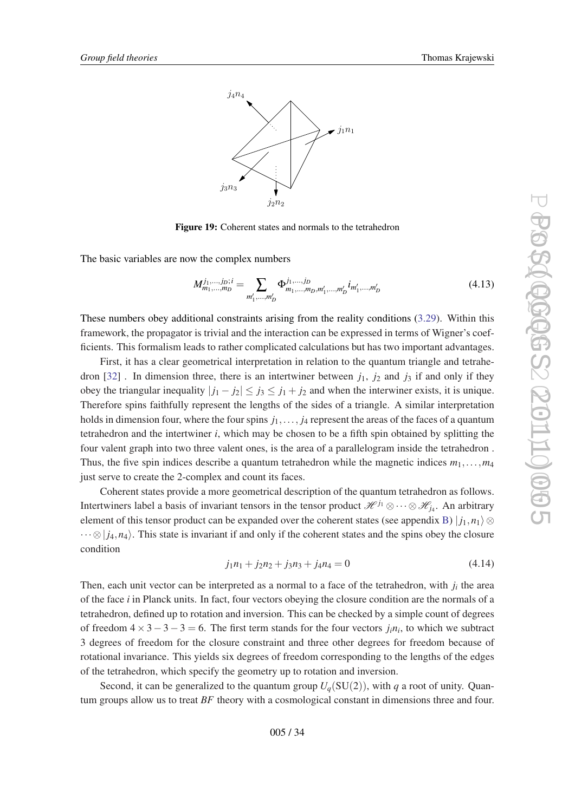<span id="page-33-0"></span>

Figure 19: Coherent states and normals to the tetrahedron

The basic variables are now the complex numbers

$$
M_{m_1,\dots,m_D}^{j_1,\dots,j_D;i} = \sum_{m'_1,\dots,m'_D} \Phi_{m_1,\dots,m_D,m'_1,\dots,m'_D}^{j_1,\dots,j_D} i_{m'_1,\dots,m'_D}
$$
(4.13)

These numbers obey additional constraints arising from the reality conditions ([3.29\)](#page-23-0). Within this framework, the propagator is trivial and the interaction can be expressed in terms of Wigner's coefficients. This formalism leads to rather complicated calculations but has two important advantages.

First, it has a clear geometrical interpretation in relation to the quantum triangle and tetrahe-dron [[32\]](#page-55-0). In dimension three, there is an intertwiner between  $j_1$ ,  $j_2$  and  $j_3$  if and only if they obey the triangular inequality  $|j_1 - j_2| \le j_3 \le j_1 + j_2$  and when the interwiner exists, it is unique. Therefore spins faithfully represent the lengths of the sides of a triangle. A similar interpretation holds in dimension four, where the four spins  $j_1, \ldots, j_4$  represent the areas of the faces of a quantum tetrahedron and the intertwiner *i*, which may be chosen to be a fifth spin obtained by splitting the four valent graph into two three valent ones, is the area of a parallelogram inside the tetrahedron . Thus, the five spin indices describe a quantum tetrahedron while the magnetic indices  $m_1, \ldots, m_4$ just serve to create the 2-complex and count its faces.

Coherent states provide a more geometrical description of the quantum tetrahedron as follows. Intertwiners label a basis of invariant tensors in the tensor product  $\mathcal{H}^{j_1}\otimes\cdots\otimes\mathcal{H}_{j_4}$ . An arbitrary element of this tensor product can be expanded over the coherent states (see appendix [B](#page-51-0))  $|j_1, n_1\rangle$ ⊗  $\cdots \otimes |j_4,n_4\rangle$ . This state is invariant if and only if the coherent states and the spins obey the closure condition

$$
j_1n_1 + j_2n_2 + j_3n_3 + j_4n_4 = 0 \tag{4.14}
$$

Then, each unit vector can be interpreted as a normal to a face of the tetrahedron, with  $j_i$  the area of the face *i* in Planck units. In fact, four vectors obeying the closure condition are the normals of a tetrahedron, defined up to rotation and inversion. This can be checked by a simple count of degrees of freedom  $4 \times 3 - 3 - 3 = 6$ . The first term stands for the four vectors  $j_i n_i$ , to which we subtract 3 degrees of freedom for the closure constraint and three other degrees for freedom because of rotational invariance. This yields six degrees of freedom corresponding to the lengths of the edges of the tetrahedron, which specify the geometry up to rotation and inversion.

Second, it can be generalized to the quantum group  $U_q(SU(2))$ , with *q* a root of unity. Quantum groups allow us to treat *BF* theory with a cosmological constant in dimensions three and four.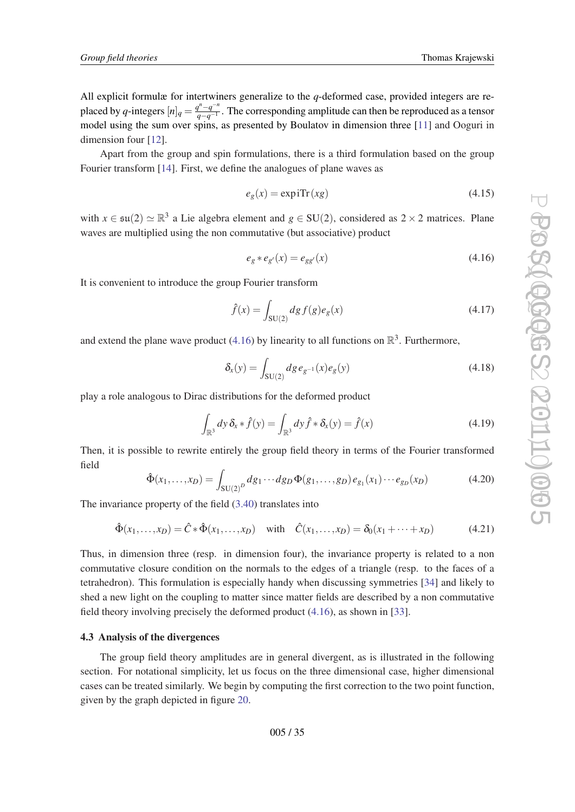All explicit formulæ for intertwiners generalize to the *q*-deformed case, provided integers are replaced by *q*-integers  $[n]_q = \frac{q^n - q^{-n}}{q - q^{-1}}$ *q−q*<sup>−1</sup>. The corresponding amplitude can then be reproduced as a tensor model using the sum over spins, as presented by Boulatov in dimension three [[11\]](#page-54-0) and Ooguri in dimension four [\[12\]](#page-54-0).

Apart from the group and spin formulations, there is a third formulation based on the group Fourier transform [[14\]](#page-54-0). First, we define the analogues of plane waves as

$$
e_g(x) = \exp i \text{Tr}(xg) \tag{4.15}
$$

with  $x \in \mathfrak{su}(2) \simeq \mathbb{R}^3$  a Lie algebra element and  $g \in SU(2)$ , considered as  $2 \times 2$  matrices. Plane waves are multiplied using the non commutative (but associative) product

$$
e_g * e_{g'}(x) = e_{gg'}(x)
$$
\n(4.16)

It is convenient to introduce the group Fourier transform

$$
\hat{f}(x) = \int_{SU(2)} dg f(g)e_g(x)
$$
\n(4.17)

and extend the plane wave product (4.16) by linearity to all functions on  $\mathbb{R}^3$ . Furthermore,

$$
\delta_x(y) = \int_{SU(2)} dg \, e_{g^{-1}}(x) e_g(y) \tag{4.18}
$$

play a role analogous to Dirac distributions for the deformed product

$$
\int_{\mathbb{R}^3} dy \,\delta_x * \hat{f}(y) = \int_{\mathbb{R}^3} dy \,\hat{f} * \delta_x(y) = \hat{f}(x)
$$
\n(4.19)

Then, it is possible to rewrite entirely the group field theory in terms of the Fourier transformed field

$$
\hat{\Phi}(x_1,\ldots,x_D) = \int_{\text{SU}(2)^D} dg_1 \cdots dg_D \Phi(g_1,\ldots,g_D) e_{g_1}(x_1) \cdots e_{g_D}(x_D) \tag{4.20}
$$

The invariance property of the field ([3.40\)](#page-26-0) translates into

$$
\hat{\Phi}(x_1,\ldots,x_D) = \hat{C} * \hat{\Phi}(x_1,\ldots,x_D) \quad \text{with} \quad \hat{C}(x_1,\ldots,x_D) = \delta_0(x_1 + \cdots + x_D) \tag{4.21}
$$

Thus, in dimension three (resp. in dimension four), the invariance property is related to a non commutative closure condition on the normals to the edges of a triangle (resp. to the faces of a tetrahedron). This formulation is especially handy when discussing symmetries [\[34](#page-55-0)] and likely to shed a new light on the coupling to matter since matter fields are described by a non commutative field theory involving precisely the deformed product (4.16), as shown in [\[33](#page-55-0)].

## 4.3 Analysis of the divergences

The group field theory amplitudes are in general divergent, as is illustrated in the following section. For notational simplicity, let us focus on the three dimensional case, higher dimensional cases can be treated similarly. We begin by computing the first correction to the two point function, given by the graph depicted in figure [20](#page-35-0).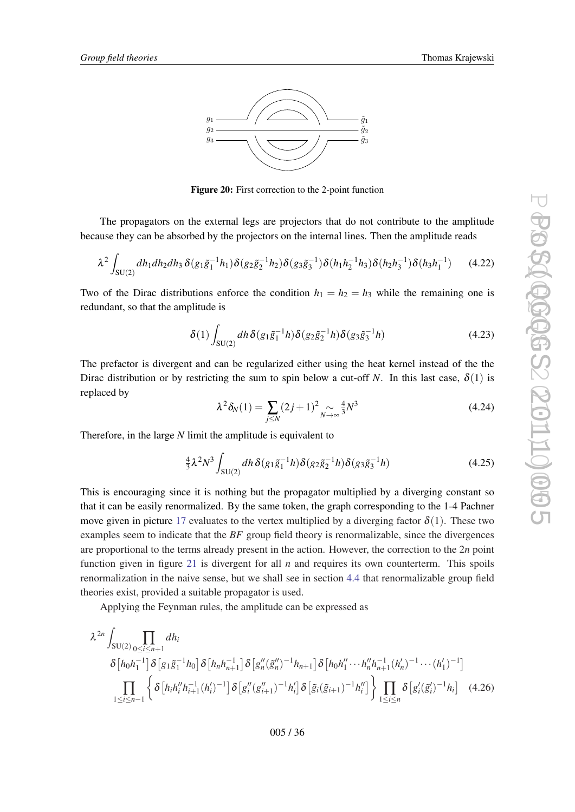<span id="page-35-0"></span>

Figure 20: First correction to the 2-point function

The propagators on the external legs are projectors that do not contribute to the amplitude because they can be absorbed by the projectors on the internal lines. Then the amplitude reads

$$
\lambda^2 \int_{SU(2)} dh_1 dh_2 dh_3 \, \delta(g_1 \tilde{g}_1^{-1} h_1) \delta(g_2 \tilde{g}_2^{-1} h_2) \delta(g_3 \tilde{g}_3^{-1}) \delta(h_1 h_2^{-1} h_3) \delta(h_2 h_3^{-1}) \delta(h_3 h_1^{-1}) \tag{4.22}
$$

Two of the Dirac distributions enforce the condition  $h_1 = h_2 = h_3$  while the remaining one is redundant, so that the amplitude is

$$
\delta(1) \int_{SU(2)} dh \, \delta(g_1 \tilde{g}_1^{-1} h) \delta(g_2 \tilde{g}_2^{-1} h) \delta(g_3 \tilde{g}_3^{-1} h) \tag{4.23}
$$

The prefactor is divergent and can be regularized either using the heat kernel instead of the the Dirac distribution or by restricting the sum to spin below a cut-off *N*. In this last case,  $\delta(1)$  is replaced by

$$
\lambda^2 \delta_N(1) = \sum_{j \le N} (2j+1)^2 \underset{N \to \infty}{\sim} \frac{4}{3} N^3 \tag{4.24}
$$

Therefore, in the large *N* limit the amplitude is equivalent to

$$
\frac{4}{3}\lambda^2 N^3 \int_{SU(2)} dh \, \delta(g_1 \tilde{g}_1^{-1} h) \delta(g_2 \tilde{g}_2^{-1} h) \delta(g_3 \tilde{g}_3^{-1} h) \tag{4.25}
$$

This is encouraging since it is nothing but the propagator multiplied by a diverging constant so that it can be easily renormalized. By the same token, the graph corresponding to the 1-4 Pachner move given in picture [17](#page-29-0) evaluates to the vertex multiplied by a diverging factor  $\delta(1)$ . These two examples seem to indicate that the *BF* group field theory is renormalizable, since the divergences are proportional to the terms already present in the action. However, the correction to the 2*n* point function given in figure [21](#page-36-0) is divergent for all *n* and requires its own counterterm. This spoils renormalization in the naive sense, but we shall see in section [4.4](#page-38-0) that renormalizable group field theories exist, provided a suitable propagator is used.

Applying the Feynman rules, the amplitude can be expressed as

$$
\lambda^{2n} \int_{SU(2)} \prod_{0 \le i \le n+1} dh_i
$$
\n
$$
\delta \left[ h_0 h_1^{-1} \right] \delta \left[ g_1 \tilde{g}_1^{-1} h_0 \right] \delta \left[ h_n h_{n+1}^{-1} \right] \delta \left[ g''_n (\tilde{g}''_n)^{-1} h_{n+1} \right] \delta \left[ h_0 h''_1 \cdots h''_n h_{n+1}^{-1} (h'_n)^{-1} \cdots (h'_1)^{-1} \right]
$$
\n
$$
\prod_{1 \le i \le n-1} \left\{ \delta \left[ h_i h_i'' h_{i+1}^{-1} (h'_i)^{-1} \right] \delta \left[ g''_i (g''_{i+1})^{-1} h'_i \right] \delta \left[ \tilde{g}_i (\tilde{g}_{i+1})^{-1} h''_i \right] \right\} \prod_{1 \le i \le n} \delta \left[ g'_i (\tilde{g}'_i)^{-1} h_i \right] \quad (4.26)
$$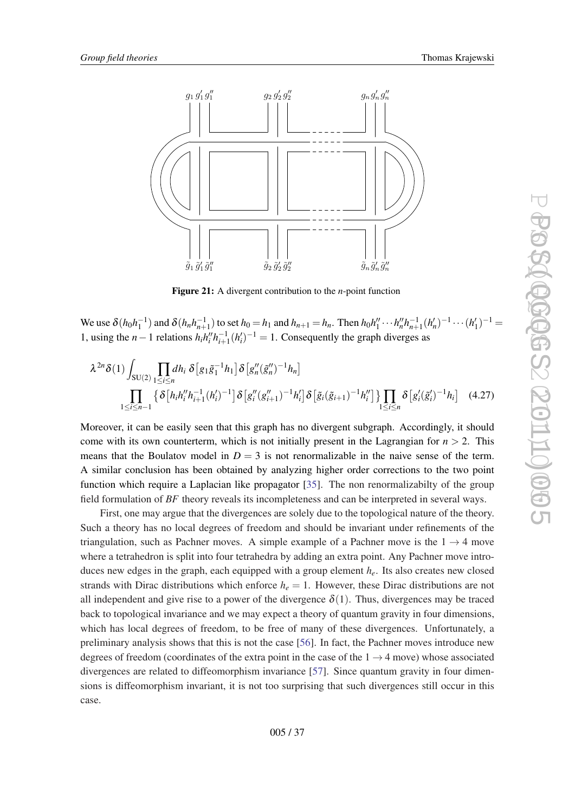<span id="page-36-0"></span>



Figure 21: A divergent contribution to the *n*-point function

We use  $\delta(h_0h_1^{-1})$  and  $\delta(h_nh_{n+1}^{-1})$  to set  $h_0 = h_1$  and  $h_{n+1} = h_n$ . Then  $h_0h''_1 \cdots h''_nh_{n+1}^{-1}(h'_n)^{-1} \cdots (h'_1)^{-1} =$ 1, using the *n* − 1 relations  $h_i h_i'' h_{i+1}^{-1} (h'_i)^{-1} = 1$ . Consequently the graph diverges as

$$
\lambda^{2n}\delta(1)\int_{SU(2)}\prod_{1\leq i\leq n}dh_i\,\delta\left[g_1\tilde{g}_1^{-1}h_1\right]\delta\left[g''_n(\tilde{g}''_n)^{-1}h_n\right]
$$
\n
$$
\prod_{1\leq i\leq n-1}\left\{\delta\left[h_ih_i''h_{i+1}^{-1}(h_i')^{-1}\right]\delta\left[g''_i(g_{i+1}'')^{-1}h_i'\right]\delta\left[\tilde{g}_i(\tilde{g}_{i+1})^{-1}h_i''\right]\right\}\prod_{1\leq i\leq n}\delta\left[g'_i(\tilde{g}'_i)^{-1}h_i\right] \quad(4.27)
$$

Moreover, it can be easily seen that this graph has no divergent subgraph. Accordingly, it should come with its own counterterm, which is not initially present in the Lagrangian for  $n > 2$ . This means that the Boulatov model in  $D = 3$  is not renormalizable in the naive sense of the term. A similar conclusion has been obtained by analyzing higher order corrections to the two point function which require a Laplacian like propagator [\[35](#page-55-0)]. The non renormalizabilty of the group field formulation of *BF* theory reveals its incompleteness and can be interpreted in several ways.

First, one may argue that the divergences are solely due to the topological nature of the theory. Such a theory has no local degrees of freedom and should be invariant under refinements of the triangulation, such as Pachner moves. A simple example of a Pachner move is the  $1 \rightarrow 4$  move where a tetrahedron is split into four tetrahedra by adding an extra point. Any Pachner move introduces new edges in the graph, each equipped with a group element *he*. Its also creates new closed strands with Dirac distributions which enforce  $h_e = 1$ . However, these Dirac distributions are not all independent and give rise to a power of the divergence  $\delta(1)$ . Thus, divergences may be traced back to topological invariance and we may expect a theory of quantum gravity in four dimensions, which has local degrees of freedom, to be free of many of these divergences. Unfortunately, a preliminary analysis shows that this is not the case [[56\]](#page-56-0). In fact, the Pachner moves introduce new degrees of freedom (coordinates of the extra point in the case of the  $1 \rightarrow 4$  move) whose associated divergences are related to diffeomorphism invariance [[57](#page-56-0)]. Since quantum gravity in four dimensions is diffeomorphism invariant, it is not too surprising that such divergences still occur in this case.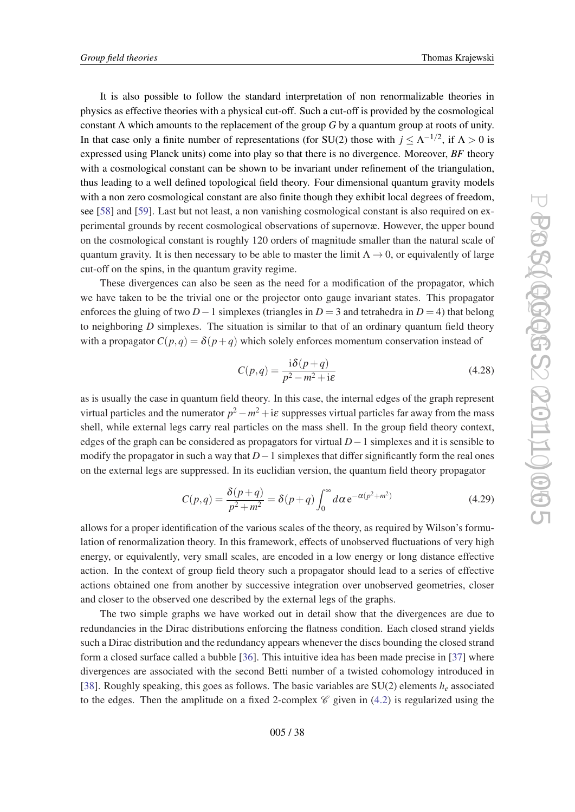It is also possible to follow the standard interpretation of non renormalizable theories in physics as effective theories with a physical cut-off. Such a cut-off is provided by the cosmological constant Λ which amounts to the replacement of the group *G* by a quantum group at roots of unity. In that case only a finite number of representations (for SU(2) those with  $j \leq \Lambda^{-1/2}$ , if  $\Lambda > 0$  is expressed using Planck units) come into play so that there is no divergence. Moreover, *BF* theory with a cosmological constant can be shown to be invariant under refinement of the triangulation, thus leading to a well defined topological field theory. Four dimensional quantum gravity models with a non zero cosmological constant are also finite though they exhibit local degrees of freedom, see [[58\]](#page-56-0) and [[59\]](#page-56-0). Last but not least, a non vanishing cosmological constant is also required on experimental grounds by recent cosmological observations of supernovæ. However, the upper bound on the cosmological constant is roughly 120 orders of magnitude smaller than the natural scale of quantum gravity. It is then necessary to be able to master the limit  $\Lambda \to 0$ , or equivalently of large cut-off on the spins, in the quantum gravity regime.

These divergences can also be seen as the need for a modification of the propagator, which we have taken to be the trivial one or the projector onto gauge invariant states. This propagator enforces the gluing of two *D*−1 simplexes (triangles in *D* = 3 and tetrahedra in *D* = 4) that belong to neighboring *D* simplexes. The situation is similar to that of an ordinary quantum field theory with a propagator  $C(p,q) = \delta(p+q)$  which solely enforces momentum conservation instead of

$$
C(p,q) = \frac{i\delta(p+q)}{p^2 - m^2 + i\varepsilon}
$$
\n(4.28)

as is usually the case in quantum field theory. In this case, the internal edges of the graph represent virtual particles and the numerator  $p^2 - m^2 + i\varepsilon$  suppresses virtual particles far away from the mass shell, while external legs carry real particles on the mass shell. In the group field theory context, edges of the graph can be considered as propagators for virtual *D*−1 simplexes and it is sensible to modify the propagator in such a way that *D*−1 simplexes that differ significantly form the real ones on the external legs are suppressed. In its euclidian version, the quantum field theory propagator

$$
C(p,q) = \frac{\delta(p+q)}{p^2 + m^2} = \delta(p+q) \int_0^\infty d\alpha \, e^{-\alpha(p^2 + m^2)}
$$
\n(4.29)

allows for a proper identification of the various scales of the theory, as required by Wilson's formulation of renormalization theory. In this framework, effects of unobserved fluctuations of very high energy, or equivalently, very small scales, are encoded in a low energy or long distance effective action. In the context of group field theory such a propagator should lead to a series of effective actions obtained one from another by successive integration over unobserved geometries, closer and closer to the observed one described by the external legs of the graphs.

The two simple graphs we have worked out in detail show that the divergences are due to redundancies in the Dirac distributions enforcing the flatness condition. Each closed strand yields such a Dirac distribution and the redundancy appears whenever the discs bounding the closed strand form a closed surface called a bubble [\[36](#page-55-0)]. This intuitive idea has been made precise in [\[37](#page-55-0)] where divergences are associated with the second Betti number of a twisted cohomology introduced in [[38\]](#page-55-0). Roughly speaking, this goes as follows. The basic variables are SU(2) elements *h<sup>e</sup>* associated to the edges. Then the amplitude on a fixed 2-complex  $\mathscr C$  given in ([4.2](#page-30-0)) is regularized using the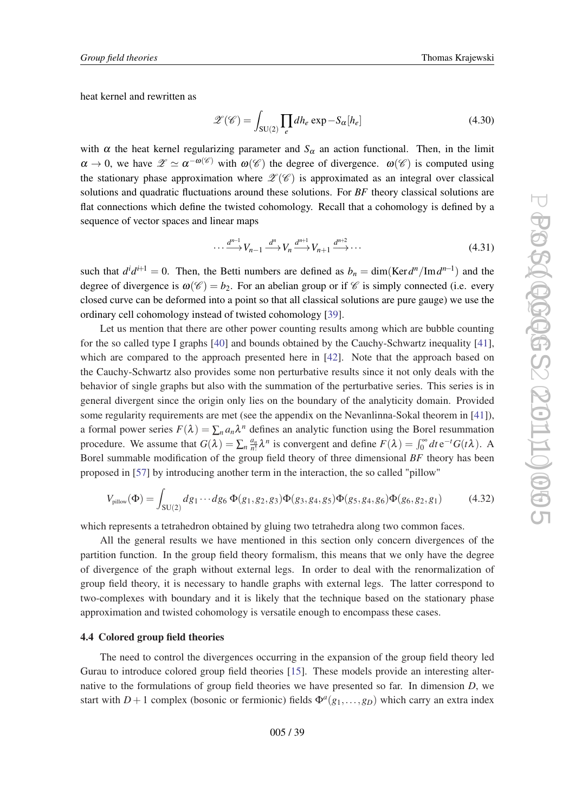<span id="page-38-0"></span>heat kernel and rewritten as

$$
\mathscr{Z}(\mathscr{C}) = \int_{\text{SU}(2)} \prod_{e} dh_e \exp -S_{\alpha}[h_e]
$$
\n(4.30)

with  $\alpha$  the heat kernel regularizing parameter and  $S_{\alpha}$  an action functional. Then, in the limit  $\alpha \to 0$ , we have  $\mathscr{Z} \simeq \alpha^{-\omega(\mathscr{C})}$  with  $\omega(\mathscr{C})$  the degree of divergence.  $\omega(\mathscr{C})$  is computed using the stationary phase approximation where  $\mathscr{L}(\mathscr{C})$  is approximated as an integral over classical solutions and quadratic fluctuations around these solutions. For *BF* theory classical solutions are flat connections which define the twisted cohomology. Recall that a cohomology is defined by a sequence of vector spaces and linear maps

$$
\cdots \xrightarrow{d^{n-1}} V_{n-1} \xrightarrow{d^n} V_n \xrightarrow{d^{n+1}} V_{n+1} \xrightarrow{d^{n+2}} \cdots \tag{4.31}
$$

such that  $d^{i}d^{i+1} = 0$ . Then, the Betti numbers are defined as  $b_n = \dim(\text{Ker } d^n / \text{Im } d^{n-1})$  and the degree of divergence is  $\omega(\mathscr{C}) = b_2$ . For an abelian group or if  $\mathscr{C}$  is simply connected (i.e. every closed curve can be deformed into a point so that all classical solutions are pure gauge) we use the ordinary cell cohomology instead of twisted cohomology [\[39](#page-55-0)].

Let us mention that there are other power counting results among which are bubble counting for the so called type I graphs [[40\]](#page-55-0) and bounds obtained by the Cauchy-Schwartz inequality [[41\]](#page-55-0), which are compared to the approach presented here in [[42\]](#page-55-0). Note that the approach based on the Cauchy-Schwartz also provides some non perturbative results since it not only deals with the behavior of single graphs but also with the summation of the perturbative series. This series is in general divergent since the origin only lies on the boundary of the analyticity domain. Provided some regularity requirements are met (see the appendix on the Nevanlinna-Sokal theorem in [\[41\]](#page-55-0)), a formal power series  $F(\lambda) = \sum_n a_n \lambda^n$  defines an analytic function using the Borel resummation procedure. We assume that  $G(\lambda) = \sum_{n} \frac{a_n}{n!} \lambda^n$  is convergent and define  $F(\lambda) = \int_0^\infty dt \, e^{-t} G(t\lambda)$ . A Borel summable modification of the group field theory of three dimensional *BF* theory has been proposed in [[57\]](#page-56-0) by introducing another term in the interaction, the so called "pillow"

$$
V_{\text{pillow}}(\Phi) = \int_{SU(2)} dg_1 \cdots dg_6 \, \Phi(g_1, g_2, g_3) \Phi(g_3, g_4, g_5) \Phi(g_5, g_4, g_6) \Phi(g_6, g_2, g_1) \tag{4.32}
$$

which represents a tetrahedron obtained by gluing two tetrahedra along two common faces.

All the general results we have mentioned in this section only concern divergences of the partition function. In the group field theory formalism, this means that we only have the degree of divergence of the graph without external legs. In order to deal with the renormalization of group field theory, it is necessary to handle graphs with external legs. The latter correspond to two-complexes with boundary and it is likely that the technique based on the stationary phase approximation and twisted cohomology is versatile enough to encompass these cases.

## 4.4 Colored group field theories

The need to control the divergences occurring in the expansion of the group field theory led Gurau to introduce colored group field theories [\[15\]](#page-54-0). These models provide an interesting alternative to the formulations of group field theories we have presented so far. In dimension *D*, we start with  $D+1$  complex (bosonic or fermionic) fields  $\Phi^a(g_1,...,g_D)$  which carry an extra index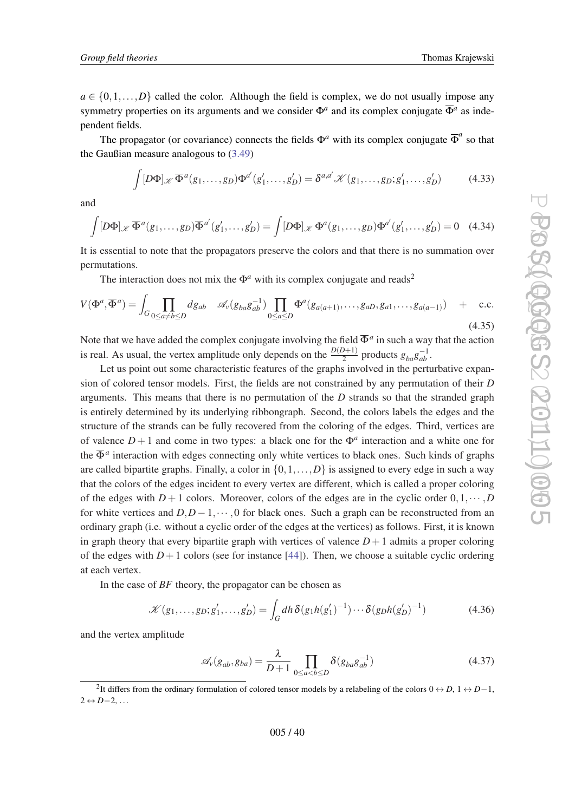$a \in \{0,1,\ldots,D\}$  called the color. Although the field is complex, we do not usually impose any symmetry properties on its arguments and we consider  $\Phi^a$  and its complex conjugate  $\overline{\Phi}^a$  as independent fields.

The propagator (or covariance) connects the fields  $\Phi^a$  with its complex conjugate  $\overline{\Phi}^a$  so that the Gaußian measure analogous to ([3.49](#page-27-0))

$$
\int [D\Phi]_{\mathscr{K}} \overline{\Phi}^{a}(g_1,\ldots,g_D)\Phi^{a'}(g'_1,\ldots,g'_D) = \delta^{a,a'} \mathscr{K}(g_1,\ldots,g_D;g'_1,\ldots,g'_D) \tag{4.33}
$$

and

$$
\int [D\Phi]_{\mathscr{K}} \overline{\Phi}^{a}(g_1,\ldots,g_D) \overline{\Phi}^{a'}(g'_1,\ldots,g'_D) = \int [D\Phi]_{\mathscr{K}} \Phi^{a}(g_1,\ldots,g_D) \Phi^{a'}(g'_1,\ldots,g'_D) = 0 \quad (4.34)
$$

It is essential to note that the propagators preserve the colors and that there is no summation over permutations.

The interaction does not mix the  $\Phi^a$  with its complex conjugate and reads<sup>2</sup>

$$
V(\Phi^a, \overline{\Phi}^a) = \int_G \prod_{0 \le a \ne b \le D} dg_{ab} \quad \mathcal{A}_v(g_{ba}g_{ab}^{-1}) \prod_{0 \le a \le D} \Phi^a(g_{a(a+1)}, \dots, g_{aD}, g_{a1}, \dots, g_{a(a-1)}) \quad + \quad \text{c.c.}
$$
\n
$$
(4.35)
$$

Note that we have added the complex conjugate involving the field  $\overline{\Phi}^a$  in such a way that the action is real. As usual, the vertex amplitude only depends on the  $\frac{D(D+1)}{2}$  products  $g_{ba}g_{ab}^{-1}$ .

Let us point out some characteristic features of the graphs involved in the perturbative expansion of colored tensor models. First, the fields are not constrained by any permutation of their *D* arguments. This means that there is no permutation of the *D* strands so that the stranded graph is entirely determined by its underlying ribbongraph. Second, the colors labels the edges and the structure of the strands can be fully recovered from the coloring of the edges. Third, vertices are of valence  $D+1$  and come in two types: a black one for the  $\Phi^a$  interaction and a white one for the  $\overline{\Phi}^a$  interaction with edges connecting only white vertices to black ones. Such kinds of graphs are called bipartite graphs. Finally, a color in  $\{0,1,\ldots,D\}$  is assigned to every edge in such a way that the colors of the edges incident to every vertex are different, which is called a proper coloring of the edges with  $D+1$  colors. Moreover, colors of the edges are in the cyclic order  $0,1,\dots,D$ for white vertices and  $D, D-1, \dots, 0$  for black ones. Such a graph can be reconstructed from an ordinary graph (i.e. without a cyclic order of the edges at the vertices) as follows. First, it is known in graph theory that every bipartite graph with vertices of valence  $D+1$  admits a proper coloring of the edges with  $D+1$  colors (see for instance [[44\]](#page-55-0)). Then, we choose a suitable cyclic ordering at each vertex.

In the case of *BF* theory, the propagator can be chosen as

$$
\mathcal{K}(g_1, \dots, g_D; g'_1, \dots, g'_D) = \int_G dh \, \delta(g_1 h(g'_1)^{-1}) \cdots \delta(g_D h(g'_D)^{-1}) \tag{4.36}
$$

and the vertex amplitude

$$
\mathscr{A}_{\nu}(g_{ab}, g_{ba}) = \frac{\lambda}{D+1} \prod_{0 \le a < b \le D} \delta(g_{ba} g_{ab}^{-1})
$$
\n(4.37)

<sup>&</sup>lt;sup>2</sup>It differs from the ordinary formulation of colored tensor models by a relabeling of the colors  $0 \leftrightarrow D$ ,  $1 \leftrightarrow D-1$ , 2 ↔ *D*−2, ...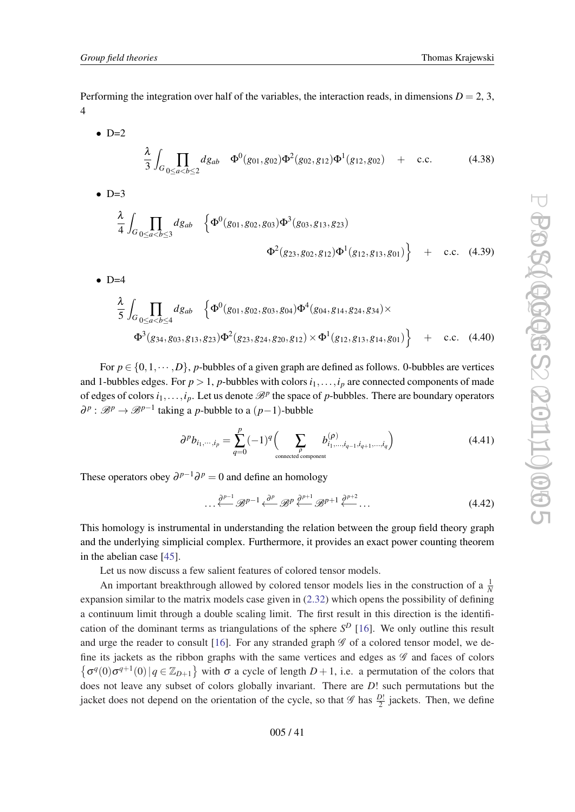Performing the integration over half of the variables, the interaction reads, in dimensions  $D = 2, 3$ , 4

- $\bullet$  D=2 λ 3  $\int_{G} \prod_{0 \leq a < b \leq 2}$  $dg_{ab}$   $\Phi^0(g_{01}, g_{02})\Phi^2(g_{02}, g_{12})\Phi^1(g_{12}, g_{02})$  **+ c.c. (4.38)**
- $\bullet$  D=3 λ 4  $\int_{G} \prod_{0 \leq a < b \leq 3}$  $dg_{ab}$   $\left\{\Phi^0(g_{01},g_{02},g_{03})\Phi^3(g_{03},g_{13},g_{23})\right\}$  $\Phi^2(g_{23}, g_{02}, g_{12})\Phi^1(g_{12}, g_{13}, g_{01})$  + c.c. (4.39)
- $\bullet$  D=4

$$
\frac{\lambda}{5} \int_{G} \prod_{0 \le a < b \le 4} dg_{ab} \left\{ \Phi^0(g_{01}, g_{02}, g_{03}, g_{04}) \Phi^4(g_{04}, g_{14}, g_{24}, g_{34}) \times \Phi^3(g_{34}, g_{03}, g_{13}, g_{23}) \Phi^2(g_{23}, g_{24}, g_{20}, g_{12}) \times \Phi^1(g_{12}, g_{13}, g_{14}, g_{01}) \right\} + \text{c.c.} \quad (4.40)
$$

For  $p \in \{0,1,\dots,D\}$ , *p*-bubbles of a given graph are defined as follows. 0-bubbles are vertices and 1-bubbles edges. For  $p > 1$ ,  $p$ -bubbles with colors  $i_1, \ldots, i_p$  are connected components of made of edges of colors  $i_1, \ldots, i_p$ . Let us denote  $\mathcal{B}^p$  the space of p-bubbles. There are boundary operators *∂*<sup>*p*</sup> :  $\mathcal{B}^p \to \mathcal{B}^{p-1}$  taking a *p*-bubble to a (*p*−1)-bubble

$$
\partial^p b_{i_1,\dots,i_p} = \sum_{q=0}^p (-1)^q \Big(\sum_{\substack{\rho \text{ connected component}}} b_{i_1,\dots,i_{q-1},i_{q+1},\dots,i_q}^{(\rho)}\Big) \tag{4.41}
$$

These operators obey  $\partial^{p-1}\partial^p = 0$  and define an homology

$$
\cdots \stackrel{\partial^{p-1}}{\longleftarrow} \mathcal{B}^{p-1} \stackrel{\partial^p}{\longleftarrow} \mathcal{B}^p \stackrel{\partial^{p+1}}{\longleftarrow} \mathcal{B}^{p+1} \stackrel{\partial^{p+2}}{\longleftarrow} \cdots \tag{4.42}
$$

This homology is instrumental in understanding the relation between the group field theory graph and the underlying simplicial complex. Furthermore, it provides an exact power counting theorem in the abelian case [[45\]](#page-55-0).

Let us now discuss a few salient features of colored tensor models.

An important breakthrough allowed by colored tensor models lies in the construction of a  $\frac{1}{N}$ expansion similar to the matrix models case given in ([2.32\)](#page-12-0) which opens the possibility of defining a continuum limit through a double scaling limit. The first result in this direction is the identification of the dominant terms as triangulations of the sphere  $S<sup>D</sup>$  [\[16](#page-54-0)]. We only outline this result and urge the reader to consult [\[16](#page-54-0)]. For any stranded graph  $\mathscr G$  of a colored tensor model, we define its jackets as the ribbon graphs with the same vertices and edges as  $\mathscr G$  and faces of colors  $\{\sigma^q(0)\sigma^{q+1}(0) | q \in \mathbb{Z}_{D+1}\}\$  with  $\sigma$  a cycle of length  $D+1$ , i.e. a permutation of the colors that does not leave any subset of colors globally invariant. There are *D*! such permutations but the jacket does not depend on the orientation of the cycle, so that  $\mathscr{G}$  has  $\frac{D!}{2}$  jackets. Then, we define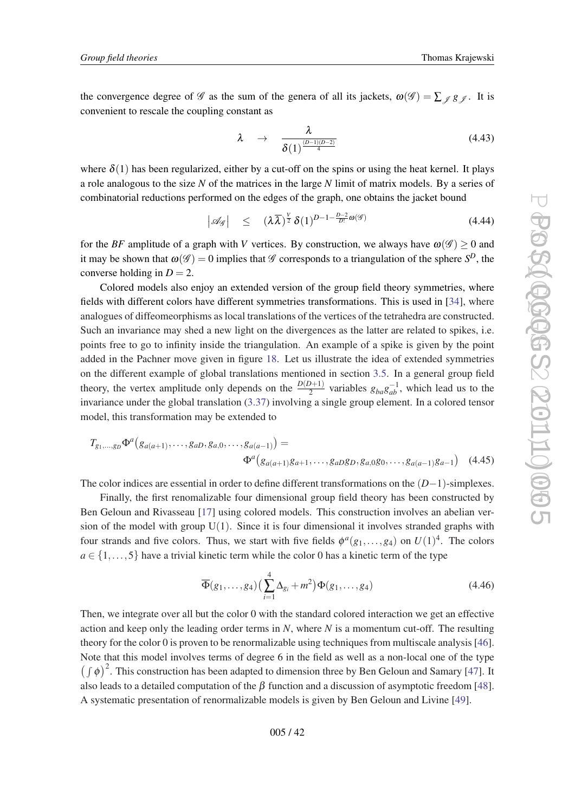the convergence degree of  $\mathscr G$  as the sum of the genera of all its jackets,  $\omega(\mathscr G) = \sum_{\mathscr G} g_{\mathscr G}$ . It is convenient to rescale the coupling constant as

$$
\lambda \rightarrow \frac{\lambda}{\delta(1)^{\frac{(D-1)(D-2)}{4}}} \tag{4.43}
$$

where  $\delta(1)$  has been regularized, either by a cut-off on the spins or using the heat kernel. It plays a role analogous to the size *N* of the matrices in the large *N* limit of matrix models. By a series of combinatorial reductions performed on the edges of the graph, one obtains the jacket bound

$$
\left|\mathscr{A}_{\mathscr{G}}\right| \leq (\lambda \overline{\lambda})^{\frac{V}{2}} \delta(1)^{D-1-\frac{D-2}{D!}\omega(\mathscr{G})} \tag{4.44}
$$

for the *BF* amplitude of a graph with *V* vertices. By construction, we always have  $\omega(\mathscr{G}) \ge 0$  and it may be shown that  $\omega(\mathscr{G}) = 0$  implies that  $\mathscr{G}$  corresponds to a triangulation of the sphere  $S^D$ , the converse holding in  $D = 2$ .

Colored models also enjoy an extended version of the group field theory symmetries, where fields with different colors have different symmetries transformations. This is used in [[34\]](#page-55-0), where analogues of diffeomeorphisms as local translations of the vertices of the tetrahedra are constructed. Such an invariance may shed a new light on the divergences as the latter are related to spikes, i.e. points free to go to infinity inside the triangulation. An example of a spike is given by the point added in the Pachner move given in figure [18.](#page-29-0) Let us illustrate the idea of extended symmetries on the different example of global translations mentioned in section [3.5](#page-22-0). In a general group field theory, the vertex amplitude only depends on the  $\frac{D(D+1)}{2}$  variables  $g_{ba}g_{ab}^{-1}$ , which lead us to the invariance under the global translation [\(3.37\)](#page-25-0) involving a single group element. In a colored tensor model, this transformation may be extended to

$$
T_{g_1,...,g_D} \Phi^a(g_{a(a+1)},...,g_{aD},g_{a,0},...,g_{a(a-1)}) =
$$
  

$$
\Phi^a(g_{a(a+1)}g_{a+1},...,g_{aD}g_D,g_{a,0}g_0,...,g_{a(a-1)}g_{a-1})
$$
 (4.45)

The color indices are essential in order to define different transformations on the (*D*−1)-simplexes.

Finally, the first renomalizable four dimensional group field theory has been constructed by Ben Geloun and Rivasseau [[17\]](#page-54-0) using colored models. This construction involves an abelian version of the model with group  $U(1)$ . Since it is four dimensional it involves stranded graphs with four strands and five colors. Thus, we start with five fields  $\phi^a(g_1,...,g_4)$  on  $U(1)^4$ . The colors  $a \in \{1, \ldots, 5\}$  have a trivial kinetic term while the color 0 has a kinetic term of the type

$$
\overline{\Phi}(g_1,\ldots,g_4)\left(\sum_{i=1}^4 \Delta_{g_i} + m^2\right) \Phi(g_1,\ldots,g_4)
$$
\n(4.46)

Then, we integrate over all but the color 0 with the standard colored interaction we get an effective action and keep only the leading order terms in *N*, where *N* is a momentum cut-off. The resulting theory for the color 0 is proven to be renormalizable using techniques from multiscale analysis [[46\]](#page-55-0). Note that this model involves terms of degree 6 in the field as well as a non-local one of the type  $(\int \phi)^2$ . This construction has been adapted to dimension three by Ben Geloun and Samary [[47\]](#page-56-0). It also leads to a detailed computation of the  $\beta$  function and a discussion of asymptotic freedom [[48\]](#page-56-0). A systematic presentation of renormalizable models is given by Ben Geloun and Livine [\[49](#page-56-0)].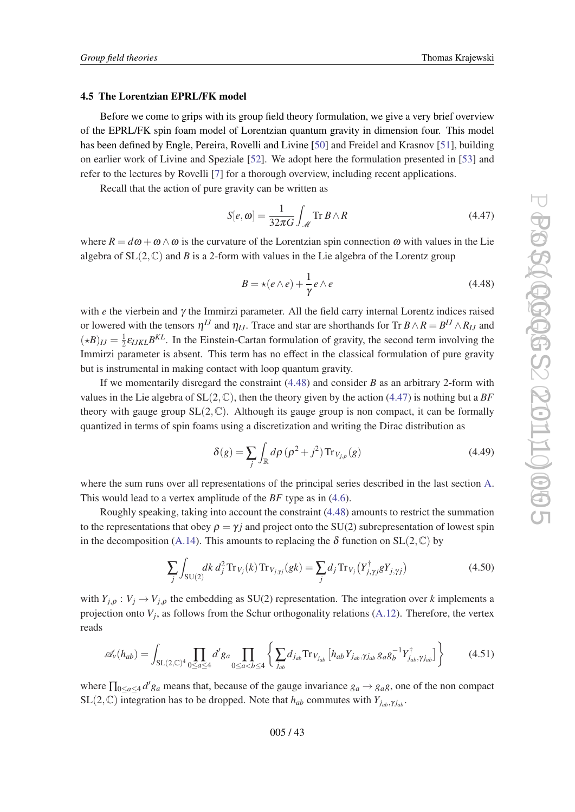## 4.5 The Lorentzian EPRL/FK model

Before we come to grips with its group field theory formulation, we give a very brief overview of the EPRL/FK spin foam model of Lorentzian quantum gravity in dimension four. This model has been defined by Engle, Pereira, Rovelli and Livine [[50\]](#page-56-0) and Freidel and Krasnov [[51\]](#page-56-0), building on earlier work of Livine and Speziale [\[52](#page-56-0)]. We adopt here the formulation presented in [[53](#page-56-0)] and refer to the lectures by Rovelli [\[7\]](#page-54-0) for a thorough overview, including recent applications.

Recall that the action of pure gravity can be written as

$$
S[e, \omega] = \frac{1}{32\pi G} \int_{\mathcal{M}} \text{Tr } B \wedge R \tag{4.47}
$$

where  $R = d\omega + \omega \wedge \omega$  is the curvature of the Lorentzian spin connection  $\omega$  with values in the Lie algebra of  $SL(2,\mathbb{C})$  and *B* is a 2-form with values in the Lie algebra of the Lorentz group

$$
B = \star(e \wedge e) + \frac{1}{\gamma} e \wedge e \tag{4.48}
$$

with *e* the vierbein and γ the Immirzi parameter. All the field carry internal Lorentz indices raised or lowered with the tensors  $\eta^{IJ}$  and  $\eta_{IJ}$ . Trace and star are shorthands for Tr  $B \wedge R = B^{IJ} \wedge R_{IJ}$  and  $(\star B)_{IJ} = \frac{1}{2}$  $\frac{1}{2} \varepsilon_{IJKL} B^{KL}$ . In the Einstein-Cartan formulation of gravity, the second term involving the Immirzi parameter is absent. This term has no effect in the classical formulation of pure gravity but is instrumental in making contact with loop quantum gravity.

If we momentarily disregard the constraint (4.48) and consider *B* as an arbitrary 2-form with values in the Lie algebra of  $SL(2,\mathbb{C})$ , then the theory given by the action [\(4.47](#page-1-0)) is nothing but a *BF* theory with gauge group  $SL(2,\mathbb{C})$ . Although its gauge group is non compact, it can be formally quantized in terms of spin foams using a discretization and writing the Dirac distribution as

$$
\delta(g) = \sum_{j} \int_{\mathbb{R}} d\rho \left(\rho^2 + j^2\right) \operatorname{Tr}_{V_{j,\rho}}(g) \tag{4.49}
$$

where the sum runs over all representations of the principal series described in the last section [A](#page-49-0). This would lead to a vertex amplitude of the *BF* type as in [\(4.6\)](#page-31-0).

Roughly speaking, taking into account the constraint (4.48) amounts to restrict the summation to the representations that obey  $\rho = \gamma i$  and project onto the SU(2) subrepresentation of lowest spin in the decomposition [\(A.14\)](#page-51-0). This amounts to replacing the  $\delta$  function on  $SL(2,\mathbb{C})$  by

$$
\sum_{j} \int_{SU(2)} dk \, d_j^2 \, \text{Tr}_{V_j}(k) \, \text{Tr}_{V_{j,\gamma j}}(gk) = \sum_{j} d_j \, \text{Tr}_{V_j} \left( Y_{j,\gamma j}^{\dagger} g Y_{j,\gamma j} \right) \tag{4.50}
$$

with  $Y_{i,o}: V_i \to V_{i,o}$  the embedding as SU(2) representation. The integration over *k* implements a projection onto  $V_j$ , as follows from the Schur orthogonality relations ([A.12](#page-51-0)). Therefore, the vertex reads

$$
\mathscr{A}_{v}(h_{ab}) = \int_{\mathrm{SL}(2,\mathbb{C})^4} \prod_{0 \le a \le 4} d'g_a \prod_{0 \le a < b \le 4} \left\{ \sum_{j_{ab}} d_{j_{ab}} \mathrm{Tr}_{V_{j_{ab}}} \left[ h_{ab} Y_{j_{ab}, \gamma j_{ab}} g_a g_b^{-1} Y_{j_{ab}, \gamma j_{ab}}^{\dagger} \right] \right\} \tag{4.51}
$$

where  $\prod_{0 \le a \le 4} d'g_a$  means that, because of the gauge invariance  $g_a \to g_a g$ , one of the non compact  $SL(2,\mathbb{C})$  integration has to be dropped. Note that  $h_{ab}$  commutes with  $Y_{j_{ab},\gamma_{j_{ab}}}$ .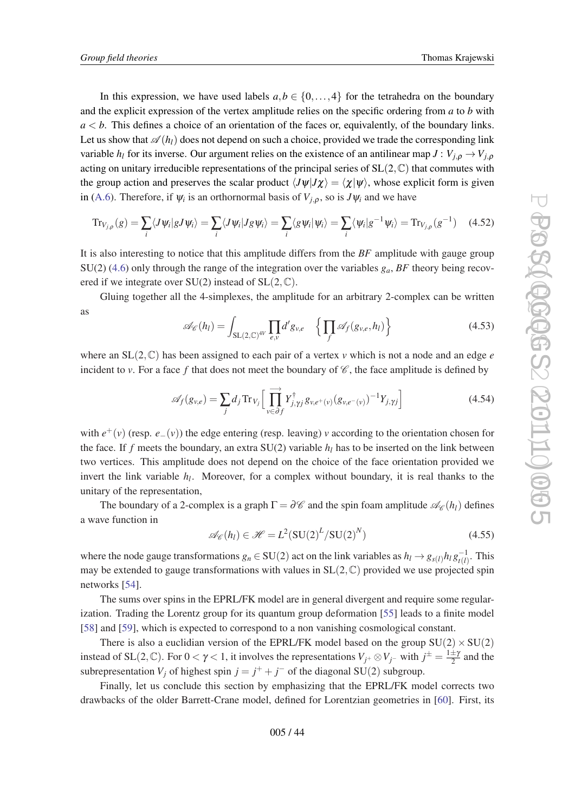<span id="page-43-0"></span>In this expression, we have used labels  $a, b \in \{0, \ldots, 4\}$  for the tetrahedra on the boundary and the explicit expression of the vertex amplitude relies on the specific ordering from *a* to *b* with  $a < b$ . This defines a choice of an orientation of the faces or, equivalently, of the boundary links. Let us show that  $\mathscr{A}(h_l)$  does not depend on such a choice, provided we trade the corresponding link variable  $h_l$  for its inverse. Our argument relies on the existence of an antilinear map  $J: V_{j,\rho} \to V_{j,\rho}$ acting on unitary irreducible representations of the principal series of  $SL(2,\mathbb{C})$  that commutes with the group action and preserves the scalar product  $\langle J\psi|J\chi\rangle = \langle \chi|\psi\rangle$ , whose explicit form is given in [\(A.6](#page-50-0)). Therefore, if  $\psi_i$  is an orthornormal basis of  $V_{j,\rho}$ , so is  $J\psi_i$  and we have

$$
\mathrm{Tr}_{V_{j,\rho}}(g) = \sum_{i} \langle J\psi_i | g J\psi_i \rangle = \sum_{i} \langle J\psi_i | Jg\psi_i \rangle = \sum_{i} \langle g\psi_i | \psi_i \rangle = \sum_{i} \langle \psi_i | g^{-1}\psi_i \rangle = \mathrm{Tr}_{V_{j,\rho}}(g^{-1}) \quad (4.52)
$$

It is also interesting to notice that this amplitude differs from the *BF* amplitude with gauge group  $SU(2)$  [\(4.6\)](#page-31-0) only through the range of the integration over the variables  $g_a$ , *BF* theory being recovered if we integrate over  $SU(2)$  instead of  $SL(2,\mathbb{C})$ .

Gluing together all the 4-simplexes, the amplitude for an arbitrary 2-complex can be written as

$$
\mathscr{A}_{\mathscr{C}}(h_l) = \int_{\mathrm{SL}(2,\mathbb{C})^{4V}} \prod_{e,v} d'g_{v,e} \left\{ \prod_f \mathscr{A}_f(g_{v,e}, h_l) \right\} \tag{4.53}
$$

where an  $SL(2,\mathbb{C})$  has been assigned to each pair of a vertex *v* which is not a node and an edge *e* incident to *v*. For a face f that does not meet the boundary of  $\mathscr{C}$ , the face amplitude is defined by

$$
\mathscr{A}_f(g_{v,e}) = \sum_j d_j \operatorname{Tr}_{V_j} \Big[ \prod_{v \in \partial f} \overrightarrow{Y}_{j,\gamma j}^{\dagger} g_{v,e^+(v)} (g_{v,e^-(v)})^{-1} Y_{j,\gamma j} \Big] \tag{4.54}
$$

with *e* <sup>+</sup>(*v*) (resp. *e*−(*v*)) the edge entering (resp. leaving) *v* according to the orientation chosen for the face. If  $f$  meets the boundary, an extra  $SU(2)$  variable  $h_l$  has to be inserted on the link between two vertices. This amplitude does not depend on the choice of the face orientation provided we invert the link variable  $h_l$ . Moreover, for a complex without boundary, it is real thanks to the unitary of the representation,

The boundary of a 2-complex is a graph  $\Gamma = \partial \mathscr{C}$  and the spin foam amplitude  $\mathscr{A}_{\mathscr{C}}(h_l)$  defines a wave function in

$$
\mathcal{A}_{\mathcal{C}}(h_l) \in \mathcal{H} = L^2(\text{SU}(2)^L/\text{SU}(2)^N)
$$
\n(4.55)

where the node gauge transformations  $g_n \in SU(2)$  act on the link variables as  $h_l \to g_{s(l)} h_l g_{t(l)}^{-1}$  $t_{t(l)}^{-1}$ . This may be extended to gauge transformations with values in  $SL(2,\mathbb{C})$  provided we use projected spin networks [[54](#page-56-0)].

The sums over spins in the EPRL/FK model are in general divergent and require some regularization. Trading the Lorentz group for its quantum group deformation [\[55](#page-56-0)] leads to a finite model [[58\]](#page-56-0) and [\[59](#page-56-0)], which is expected to correspond to a non vanishing cosmological constant.

There is also a euclidian version of the EPRL/FK model based on the group  $SU(2) \times SU(2)$ instead of SL(2,  $\mathbb{C}$ ). For  $0 < \gamma < 1$ , it involves the representations  $V_{j^+} \otimes V_{j^-}$  with  $j^{\pm} = \frac{1 \pm \gamma}{2}$  $\frac{\pm \gamma}{2}$  and the subrepresentation  $V_j$  of highest spin  $j = j^+ + j^-$  of the diagonal SU(2) subgroup.

Finally, let us conclude this section by emphasizing that the EPRL/FK model corrects two drawbacks of the older Barrett-Crane model, defined for Lorentzian geometries in [\[60](#page-56-0)]. First, its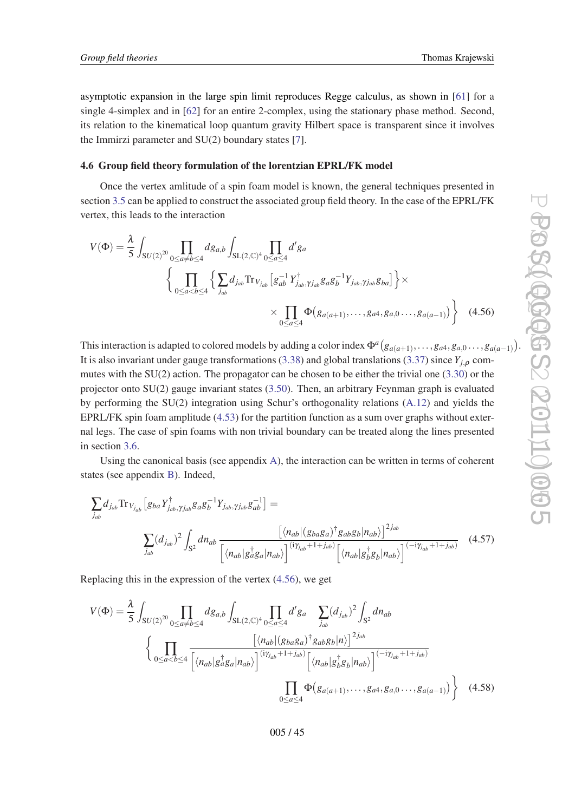<span id="page-44-0"></span>asymptotic expansion in the large spin limit reproduces Regge calculus, as shown in [\[61\]](#page-56-0) for a single 4-simplex and in [\[62\]](#page-56-0) for an entire 2-complex, using the stationary phase method. Second, its relation to the kinematical loop quantum gravity Hilbert space is transparent since it involves the Immirzi parameter and SU(2) boundary states [\[7](#page-54-0)].

## 4.6 Group field theory formulation of the lorentzian EPRL/FK model

Once the vertex amlitude of a spin foam model is known, the general techniques presented in section [3.5](#page-22-0) can be applied to construct the associated group field theory. In the case of the EPRL/FK vertex, this leads to the interaction

$$
V(\Phi) = \frac{\lambda}{5} \int_{SU(2)^{20}} \prod_{0 \le a \ne b \le 4} dg_{a,b} \int_{SL(2,\mathbb{C})^4} \prod_{0 \le a \le 4} d'g_a
$$
  

$$
\left\{ \prod_{0 \le a < b \le 4} \left\{ \sum_{j_{ab}} d_{j_{ab}} \text{Tr}_{V_{j_{ab}}} \left[ g_{ab}^{-1} Y_{j_{ab}, \gamma j_{ab}}^{\dagger} g_a g_b^{-1} Y_{j_{ab}, \gamma j_{ab}} g_{ba} \right] \right\} \times
$$
  

$$
\times \prod_{0 \le a \le 4} \Phi(g_{a(a+1)}, \dots, g_{a4}, g_{a,0} \dots, g_{a(a-1)}) \right\} \quad (4.56)
$$

This interaction is adapted to colored models by adding a color index  $\Phi^a(g_{a(a+1)},\ldots,g_{a4},g_{a,0}\ldots,g_{a(a-1)}).$ It is also invariant under gauge transformations [\(3.38](#page-25-0)) and global translations [\(3.37](#page-25-0)) since  $Y_{i,o}$  commutes with the SU(2) action. The propagator can be chosen to be either the trivial one ([3.30\)](#page-23-0) or the projector onto SU(2) gauge invariant states [\(3.50](#page-27-0)). Then, an arbitrary Feynman graph is evaluated by performing the SU(2) integration using Schur's orthogonality relations [\(A.12\)](#page-51-0) and yields the EPRL/FK spin foam amplitude ([4.53\)](#page-43-0) for the partition function as a sum over graphs without external legs. The case of spin foams with non trivial boundary can be treated along the lines presented in section [3.6.](#page-28-0)

Using the canonical basis (see appendix [A](#page-49-0)), the interaction can be written in terms of coherent states (see appendix [B\)](#page-51-0). Indeed,

$$
\sum_{j_{ab}} d_{j_{ab}} \text{Tr}_{V_{j_{ab}}} \left[ g_{ba} Y_{j_{ab}, \gamma j_{ab}}^{\dagger} g_{a} g_{b}^{-1} Y_{j_{ab}, \gamma j_{ab}} g_{ab}^{-1} \right] =
$$
\n
$$
\sum_{j_{ab}} (d_{j_{ab}})^{2} \int_{S^{2}} d n_{ab} \frac{\left[ \langle n_{ab} | (g_{ba} g_{a})^{\dagger} g_{ab} g_{b} | n_{ab} \rangle \right]^{2j_{ab}}}{\left[ \langle n_{ab} | g_{a}^{\dagger} g_{a} | n_{ab} \rangle \right]^{(\mathrm{i} \gamma j_{ab} + 1 + j_{ab})} \left[ \langle n_{ab} | g_{b}^{\dagger} g_{b} | n_{ab} \rangle \right]^{(-\mathrm{i} \gamma j_{ab} + 1 + j_{ab})}} (4.57)
$$

Replacing this in the expression of the vertex (4.56), we get

$$
V(\Phi) = \frac{\lambda}{5} \int_{SU(2)^{20}} \prod_{0 \le a \ne b \le 4} dg_{a,b} \int_{SL(2,\mathbb{C})^4} \prod_{0 \le a \le 4} d'g_a \sum_{j_{ab}} (d_{j_{ab}})^2 \int_{S^2} dn_{ab}
$$

$$
\left\{ \prod_{0 \le a < b \le 4} \frac{\left[ \langle n_{ab} | (g_{ba}g_a)^{\dagger} g_{ab}g_b | n \rangle \right]^{2j_{ab}}}{\left[ \langle n_{ab} | g_a^{\dagger} g_a | n_{ab} \rangle \right]^{(i\gamma_{j_{ab}} + 1 + j_{ab})} \left[ \langle n_{ab} | g_b^{\dagger} g_b | n_{ab} \rangle \right]^{(-i\gamma_{j_{ab}} + 1 + j_{ab})}}
$$

$$
\prod_{0 \le a \le 4} \Phi(g_{a(a+1)}, \dots, g_{a4}, g_{a,0} \dots, g_{a(a-1)}) \right\} \quad (4.58)
$$

005 / 45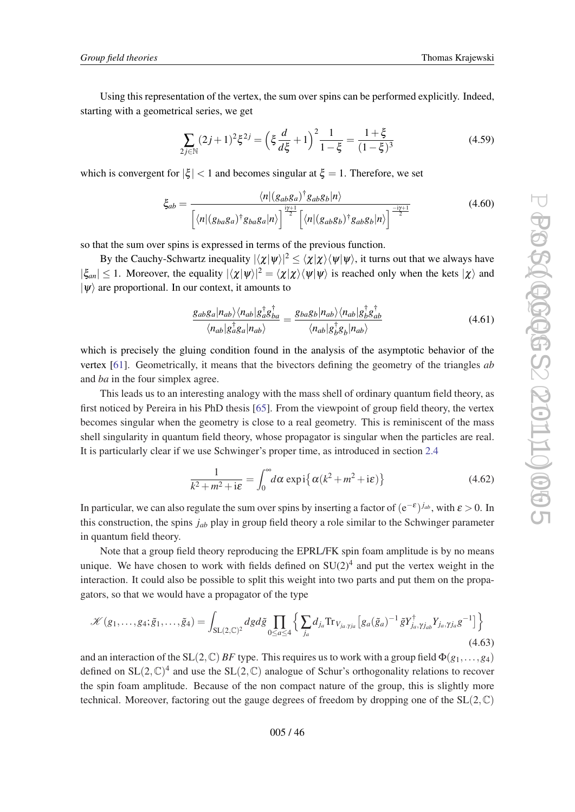Using this representation of the vertex, the sum over spins can be performed explicitly. Indeed, starting with a geometrical series, we get

$$
\sum_{2j \in \mathbb{N}} (2j+1)^2 \xi^{2j} = \left(\xi \frac{d}{d\xi} + 1\right)^2 \frac{1}{1-\xi} = \frac{1+\xi}{(1-\xi)^3}
$$
(4.59)

which is convergent for  $|\xi| < 1$  and becomes singular at  $\xi = 1$ . Therefore, we set

$$
\xi_{ab} = \frac{\langle n|(g_{ab}g_a)^{\dagger}g_{ab}g_b|n\rangle}{\left[\langle n|(g_{ba}g_a)^{\dagger}g_{ba}g_a|n\rangle\right]^{\frac{i\gamma+1}{2}}\left[\langle n|(g_{ab}g_b)^{\dagger}g_{ab}g_b|n\rangle\right]^{\frac{-i\gamma+1}{2}}}
$$
(4.60)

so that the sum over spins is expressed in terms of the previous function.

By the Cauchy-Schwartz inequality  $|\langle \chi | \psi \rangle|^2 \le \langle \chi | \chi \rangle \langle \psi | \psi \rangle$ , it turns out that we always have  $|\xi_{an}| \leq 1$ . Moreover, the equality  $|\langle \chi | \psi \rangle|^2 = \langle \chi | \chi \rangle \langle \psi | \psi \rangle$  is reached only when the kets  $|\chi \rangle$  and  $|\psi\rangle$  are proportional. In our context, it amounts to

$$
\frac{g_{ab}g_a|n_{ab}\rangle\langle n_{ab}|g_a^{\dagger}g_{ba}^{\dagger}}{\langle n_{ab}|g_a^{\dagger}g_a|n_{ab}\rangle} = \frac{g_{ba}g_b|n_{ab}\rangle\langle n_{ab}|g_b^{\dagger}g_{ab}^{\dagger}}{\langle n_{ab}|g_b^{\dagger}g_b|n_{ab}\rangle}
$$
(4.61)

which is precisely the gluing condition found in the analysis of the asymptotic behavior of the vertex [\[61](#page-56-0)]. Geometrically, it means that the bivectors defining the geometry of the triangles *ab* and *ba* in the four simplex agree.

This leads us to an interesting analogy with the mass shell of ordinary quantum field theory, as first noticed by Pereira in his PhD thesis [\[65](#page-56-0)]. From the viewpoint of group field theory, the vertex becomes singular when the geometry is close to a real geometry. This is reminiscent of the mass shell singularity in quantum field theory, whose propagator is singular when the particles are real. It is particularly clear if we use Schwinger's proper time, as introduced in section [2.4](#page-9-0)

$$
\frac{1}{k^2 + m^2 + i\varepsilon} = \int_0^\infty d\alpha \exp\left\{ \alpha (k^2 + m^2 + i\varepsilon) \right\} \tag{4.62}
$$

In particular, we can also regulate the sum over spins by inserting a factor of  $(e^{-\varepsilon})^{j_{ab}}$ , with  $\varepsilon > 0$ . In this construction, the spins *jab* play in group field theory a role similar to the Schwinger parameter in quantum field theory.

Note that a group field theory reproducing the EPRL/FK spin foam amplitude is by no means unique. We have chosen to work with fields defined on  $SU(2)^4$  and put the vertex weight in the interaction. It could also be possible to split this weight into two parts and put them on the propagators, so that we would have a propagator of the type

$$
\mathcal{K}(g_1,\ldots,g_4;\tilde{g}_1,\ldots,\tilde{g}_4) = \int_{\mathrm{SL}(2,\mathbb{C})^2} dg d\tilde{g} \prod_{0 \le a \le 4} \left\{ \sum_{j_a} d_{j_a} \mathrm{Tr}_{V_{ja},\gamma_{ja}} \left[ g_a(\tilde{g}_a)^{-1} \tilde{g} Y_{j_a,\gamma_{jab}}^{\dagger} Y_{j_a,\gamma_{ja}} g^{-1} \right] \right\} \tag{4.63}
$$

and an interaction of the SL(2, C) *BF* type. This requires us to work with a group field  $\Phi(g_1,...,g_4)$ defined on  $SL(2,\mathbb{C})^4$  and use the  $SL(2,\mathbb{C})$  analogue of Schur's orthogonality relations to recover the spin foam amplitude. Because of the non compact nature of the group, this is slightly more technical. Moreover, factoring out the gauge degrees of freedom by dropping one of the  $SL(2,\mathbb{C})$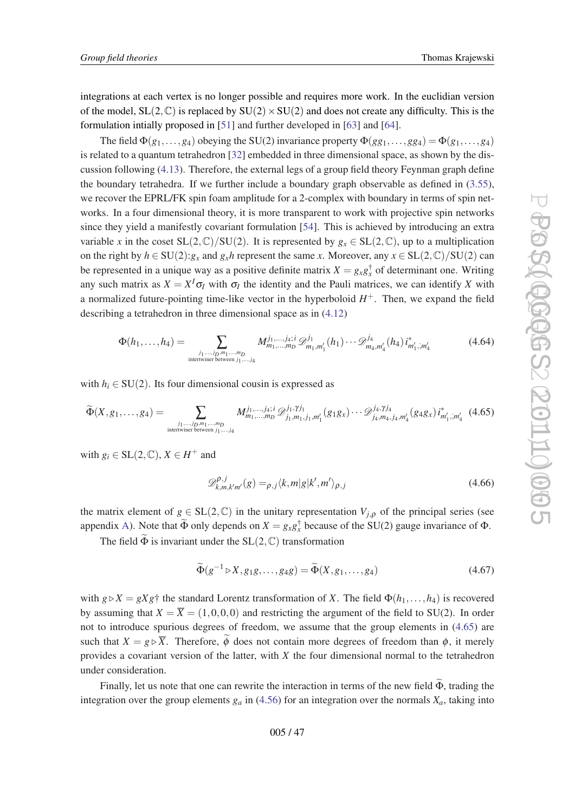integrations at each vertex is no longer possible and requires more work. In the euclidian version of the model,  $SL(2,\mathbb{C})$  is replaced by  $SU(2)\times SU(2)$  and does not create any difficulty. This is the formulation intially proposed in [[51\]](#page-56-0) and further developed in [[63\]](#page-56-0) and [\[64](#page-56-0)].

The field  $\Phi(g_1,...,g_4)$  obeying the SU(2) invariance property  $\Phi(g_1,...,g_{34}) = \Phi(g_1,...,g_4)$ is related to a quantum tetrahedron [[32\]](#page-55-0) embedded in three dimensional space, as shown by the discussion following ([4.13\)](#page-33-0). Therefore, the external legs of a group field theory Feynman graph define the boundary tetrahedra. If we further include a boundary graph observable as defined in [\(3.55\)](#page-28-0), we recover the EPRL/FK spin foam amplitude for a 2-complex with boundary in terms of spin networks. In a four dimensional theory, it is more transparent to work with projective spin networks since they yield a manifestly covariant formulation [[54\]](#page-56-0). This is achieved by introducing an extra variable *x* in the coset  $SL(2,\mathbb{C})/SU(2)$ . It is represented by  $g_x \in SL(2,\mathbb{C})$ , up to a multiplication on the right by  $h \in SU(2):g_x$  and  $g_xh$  represent the same *x*. Moreover, any  $x \in SL(2,\mathbb{C})/SU(2)$  can be represented in a unique way as a positive definite matrix  $X = g_x g_x^{\dagger}$  of determinant one. Writing any such matrix as  $X = X^I \sigma_I$  with  $\sigma_I$  the identity and the Pauli matrices, we can identify *X* with a normalized future-pointing time-like vector in the hyperboloid  $H^+$ . Then, we expand the field describing a tetrahedron in three dimensional space as in ([4.12](#page-32-0))

$$
\Phi(h_1, \ldots, h_4) = \sum_{\substack{j_1, \ldots, j_D, m_1, \ldots, m_D \\ \text{interwhere between } j_1, \ldots, j_4}} M_{m_1, \ldots, m_D}^{j_1, \ldots, j_4; i} \mathcal{D}_{m_1, m_1'}^{j_1}(h_1) \cdots \mathcal{D}_{m_4, m_4'}^{j_4}(h_4) i_{m_1', m_4'}^{*} \tag{4.64}
$$

with  $h_i \in SU(2)$ . Its four dimensional cousin is expressed as

$$
\widetilde{\Phi}(X,g_1,\ldots,g_4) = \sum_{\substack{j_1,\ldots,j_D,m_1,\ldots,m_D\\ \text{intertwiner between } j_1,\ldots,j_4}} M^{j_1,\ldots,j_4; i}_{m_1,\ldots,m_D} \mathcal{D}_{j_1,m_1,j_1,m_1'}^{j_1,\gamma j_1}(g_1g_x)\cdots \mathcal{D}_{j_4,m_4,j_4,m_4'}^{j_4,\gamma j_4}(g_4g_x) i_{m_1',m_4'}^*(4.65)
$$

with  $g_i \in SL(2, \mathbb{C}), X \in H^+$  and

$$
\mathscr{D}_{k,m,k'm'}^{\rho,j}(g) =_{\rho,j} \langle k,m|g|k',m'\rangle_{\rho,j} \tag{4.66}
$$

the matrix element of  $g \in SL(2,\mathbb{C})$  in the unitary representation  $V_{i,o}$  of the principal series (see appendix [A\)](#page-49-0). Note that  $\tilde{\Phi}$  only depends on  $X = g_x g_x^{\dagger}$  because of the SU(2) gauge invariance of  $\Phi$ .

The field  $\widetilde{\Phi}$  is invariant under the SL(2, C) transformation

$$
\widetilde{\Phi}(g^{-1} \triangleright X, g_1 g, \dots, g_4 g) = \widetilde{\Phi}(X, g_1, \dots, g_4)
$$
\n(4.67)

with  $g \triangleright X = gXg^+$  the standard Lorentz transformation of *X*. The field  $\Phi(h_1, \ldots, h_4)$  is recovered by assuming that  $X = \overline{X} = (1,0,0,0)$  and restricting the argument of the field to SU(2). In order not to introduce spurious degrees of freedom, we assume that the group elements in (4.65) are such that  $X = g \triangleright \overline{X}$ . Therefore,  $\phi$  does not contain more degrees of freedom than  $\phi$ , it merely provides a covariant version of the latter, with *X* the four dimensional normal to the tetrahedron under consideration.

Finally, let us note that one can rewrite the interaction in terms of the new field  $\Phi$ , trading the integration over the group elements  $g_a$  in ([4.56\)](#page-44-0) for an integration over the normals  $X_a$ , taking into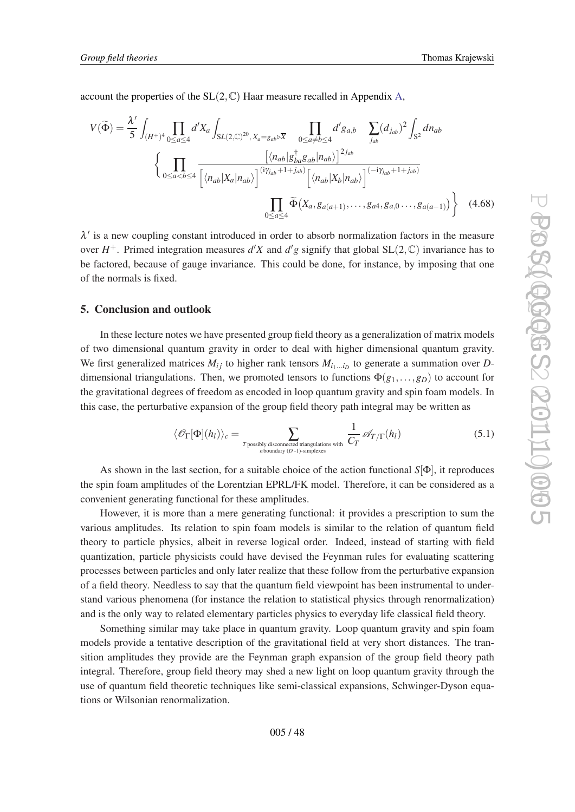account the properties of the  $SL(2,\mathbb{C})$  Haar measure recalled in Appendix [A,](#page-49-0)

$$
V(\tilde{\Phi}) = \frac{\lambda'}{5} \int_{(H^+)^4} \prod_{0 \le a \le 4} d'X_a \int_{SL(2,\mathbb{C})^{20}, X_a = g_{ab} \triangleright \overline{X}} \prod_{0 \le a \ne b \le 4} d'g_{a,b} \sum_{j_{ab}} (d_{j_{ab}})^2 \int_{S^2} dn_{ab}
$$

$$
\left\{ \prod_{0 \le a < b \le 4} \frac{\left[ \langle n_{ab} | g_{ba}^{\dagger} g_{ab} | n_{ab} \rangle \right]^{2j_{ab}}}{\left[ \langle n_{ab} | X_a | n_{ab} \rangle \right]^{(i\gamma_{jab} + 1 + j_{ab})} \left[ \langle n_{ab} | X_b | n_{ab} \rangle \right]^{(-i\gamma_{jab} + 1 + j_{ab})}}
$$

$$
\prod_{0 \le a \le 4} \tilde{\Phi}(X_a, g_{a(a+1)}, \dots, g_{a4}, g_{a,0} \dots, g_{a(a-1)}) \right\} \quad (4.68)
$$

 $\lambda'$  is a new coupling constant introduced in order to absorb normalization factors in the measure over  $H^+$ . Primed integration measures  $d'X$  and  $d'g$  signify that global  $SL(2,\mathbb{C})$  invariance has to be factored, because of gauge invariance. This could be done, for instance, by imposing that one of the normals is fixed.

# 5. Conclusion and outlook

In these lecture notes we have presented group field theory as a generalization of matrix models of two dimensional quantum gravity in order to deal with higher dimensional quantum gravity. We first generalized matrices  $M_{ij}$  to higher rank tensors  $M_{i_1...i_D}$  to generate a summation over *D*dimensional triangulations. Then, we promoted tensors to functions  $\Phi(g_1, \ldots, g_p)$  to account for the gravitational degrees of freedom as encoded in loop quantum gravity and spin foam models. In this case, the perturbative expansion of the group field theory path integral may be written as

$$
\langle \mathcal{O}_{\Gamma}[\Phi](h_l) \rangle_c = \sum_{\substack{T \text{ possibly disconnected triangulations with} \\ n \text{ boundary } (D-1)\text{-simplices}}} \frac{1}{C_T} \mathcal{A}_{T/\Gamma}(h_l) \tag{5.1}
$$

As shown in the last section, for a suitable choice of the action functional *S*[Φ], it reproduces the spin foam amplitudes of the Lorentzian EPRL/FK model. Therefore, it can be considered as a convenient generating functional for these amplitudes.

However, it is more than a mere generating functional: it provides a prescription to sum the various amplitudes. Its relation to spin foam models is similar to the relation of quantum field theory to particle physics, albeit in reverse logical order. Indeed, instead of starting with field quantization, particle physicists could have devised the Feynman rules for evaluating scattering processes between particles and only later realize that these follow from the perturbative expansion of a field theory. Needless to say that the quantum field viewpoint has been instrumental to understand various phenomena (for instance the relation to statistical physics through renormalization) and is the only way to related elementary particles physics to everyday life classical field theory.

Something similar may take place in quantum gravity. Loop quantum gravity and spin foam models provide a tentative description of the gravitational field at very short distances. The transition amplitudes they provide are the Feynman graph expansion of the group field theory path integral. Therefore, group field theory may shed a new light on loop quantum gravity through the use of quantum field theoretic techniques like semi-classical expansions, Schwinger-Dyson equations or Wilsonian renormalization.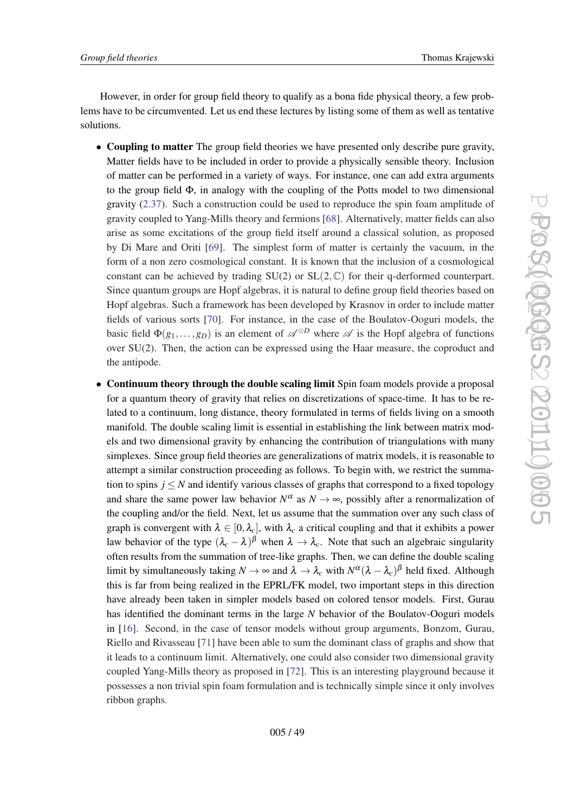However, in order for group field theory to qualify as a bona fide physical theory, a few problems have to be circumvented. Let us end these lectures by listing some of them as well as tentative solutions.

- Coupling to matter The group field theories we have presented only describe pure gravity, Matter fields have to be included in order to provide a physically sensible theory. Inclusion of matter can be performed in a variety of ways. For instance, one can add extra arguments to the group field  $\Phi$ , in analogy with the coupling of the Potts model to two dimensional gravity [\(2.37](#page-13-0)). Such a construction could be used to reproduce the spin foam amplitude of gravity coupled to Yang-Mills theory and fermions [[68](#page-57-0)]. Alternatively, matter fields can also arise as some excitations of the group field itself around a classical solution, as proposed by Di Mare and Oriti [\[69\]](#page-57-0). The simplest form of matter is certainly the vacuum, in the form of a non zero cosmological constant. It is known that the inclusion of a cosmological constant can be achieved by trading  $SU(2)$  or  $SL(2,\mathbb{C})$  for their q-derformed counterpart. Since quantum groups are Hopf algebras, it is natural to define group field theories based on Hopf algebras. Such a framework has been developed by Krasnov in order to include matter fields of various sorts [[70](#page-57-0)]. For instance, in the case of the Boulatov-Ooguri models, the basic field  $\Phi(g_1,...,g_n)$  is an element of  $\mathscr{A}^{\otimes D}$  where  $\mathscr{A}$  is the Hopf algebra of functions over SU(2). Then, the action can be expressed using the Haar measure, the coproduct and the antipode.
- Continuum theory through the double scaling limit Spin foam models provide a proposal for a quantum theory of gravity that relies on discretizations of space-time. It has to be related to a continuum, long distance, theory formulated in terms of fields living on a smooth manifold. The double scaling limit is essential in establishing the link between matrix models and two dimensional gravity by enhancing the contribution of triangulations with many simplexes. Since group field theories are generalizations of matrix models, it is reasonable to attempt a similar construction proceeding as follows. To begin with, we restrict the summation to spins  $j \leq N$  and identify various classes of graphs that correspond to a fixed topology and share the same power law behavior  $N^{\alpha}$  as  $N \rightarrow \infty$ , possibly after a renormalization of the coupling and/or the field. Next, let us assume that the summation over any such class of graph is convergent with  $\lambda \in [0, \lambda_c]$ , with  $\lambda_c$  a critical coupling and that it exhibits a power law behavior of the type  $(\lambda_c - \lambda)$ <sup> $\beta$ </sup> when  $\lambda \to \lambda_c$ . Note that such an algebraic singularity often results from the summation of tree-like graphs. Then, we can define the double scaling limit by simultaneously taking  $N \to \infty$  and  $\lambda \to \lambda_c$  with  $N^{\alpha}(\lambda - \lambda_c)^{\beta}$  held fixed. Although this is far from being realized in the EPRL/FK model, two important steps in this direction have already been taken in simpler models based on colored tensor models. First, Gurau has identified the dominant terms in the large *N* behavior of the Boulatov-Ooguri models in [\[16](#page-54-0)]. Second, in the case of tensor models without group arguments, Bonzom, Gurau, Riello and Rivasseau [\[71](#page-57-0)] have been able to sum the dominant class of graphs and show that it leads to a continuum limit. Alternatively, one could also consider two dimensional gravity coupled Yang-Mills theory as proposed in [\[72](#page-57-0)]. This is an interesting playground because it possesses a non trivial spin foam formulation and is technically simple since it only involves ribbon graphs.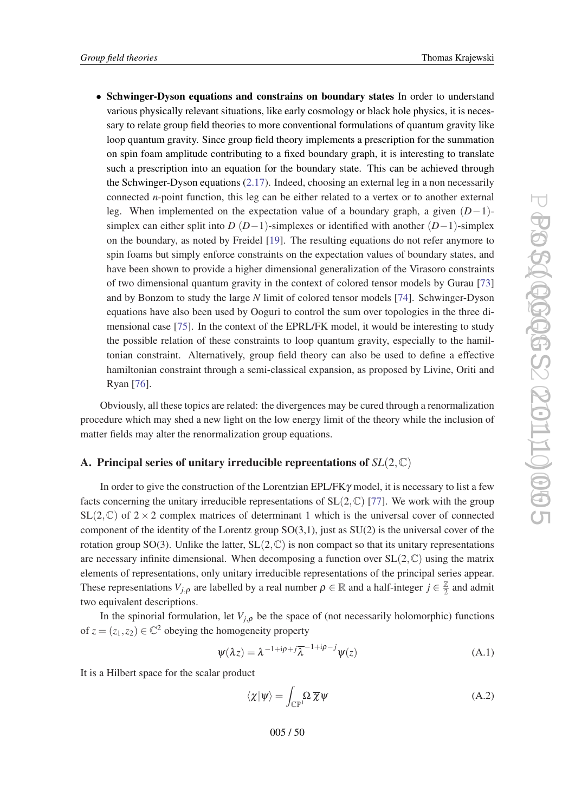<span id="page-49-0"></span>• Schwinger-Dyson equations and constrains on boundary states In order to understand various physically relevant situations, like early cosmology or black hole physics, it is necessary to relate group field theories to more conventional formulations of quantum gravity like loop quantum gravity. Since group field theory implements a prescription for the summation on spin foam amplitude contributing to a fixed boundary graph, it is interesting to translate such a prescription into an equation for the boundary state. This can be achieved through the Schwinger-Dyson equations [\(2.17](#page-7-0)). Indeed, choosing an external leg in a non necessarily connected *n*-point function, this leg can be either related to a vertex or to another external leg. When implemented on the expectation value of a boundary graph, a given (*D*−1) simplex can either split into *D* (*D*−1)-simplexes or identified with another (*D*−1)-simplex on the boundary, as noted by Freidel [[19\]](#page-54-0). The resulting equations do not refer anymore to spin foams but simply enforce constraints on the expectation values of boundary states, and have been shown to provide a higher dimensional generalization of the Virasoro constraints of two dimensional quantum gravity in the context of colored tensor models by Gurau [\[73](#page-57-0)] and by Bonzom to study the large *N* limit of colored tensor models [[74\]](#page-57-0). Schwinger-Dyson equations have also been used by Ooguri to control the sum over topologies in the three dimensional case [[75](#page-57-0)]. In the context of the EPRL/FK model, it would be interesting to study the possible relation of these constraints to loop quantum gravity, especially to the hamiltonian constraint. Alternatively, group field theory can also be used to define a effective hamiltonian constraint through a semi-classical expansion, as proposed by Livine, Oriti and Ryan [[76\]](#page-57-0).

Obviously, all these topics are related: the divergences may be cured through a renormalization procedure which may shed a new light on the low energy limit of the theory while the inclusion of matter fields may alter the renormalization group equations.

#### A. Principal series of unitary irreducible repreentations of *SL*(2,C)

In order to give the construction of the Lorentzian EPL/FK $\gamma$  model, it is necessary to list a few facts concerning the unitary irreducible representations of  $SL(2,\mathbb{C})$  [\[77](#page-57-0)]. We work with the group  $SL(2,\mathbb{C})$  of  $2\times 2$  complex matrices of determinant 1 which is the universal cover of connected component of the identity of the Lorentz group  $SO(3,1)$ , just as  $SU(2)$  is the universal cover of the rotation group SO(3). Unlike the latter,  $SL(2,\mathbb{C})$  is non compact so that its unitary representations are necessary infinite dimensional. When decomposing a function over  $SL(2,\mathbb{C})$  using the matrix elements of representations, only unitary irreducible representations of the principal series appear. These representations  $V_{j,\rho}$  are labelled by a real number  $\rho \in \mathbb{R}$  and a half-integer  $j \in \frac{\mathbb{Z}}{2}$  $\frac{2}{2}$  and admit two equivalent descriptions.

In the spinorial formulation, let  $V_{i,o}$  be the space of (not necessarily holomorphic) functions of  $z = (z_1, z_2) \in \mathbb{C}^2$  obeying the homogeneity property

$$
\psi(\lambda z) = \lambda^{-1 + i\rho + j} \overline{\lambda}^{-1 + i\rho - j} \psi(z)
$$
\n(A.1)

It is a Hilbert space for the scalar product

$$
\langle \chi | \psi \rangle = \int_{\mathbb{CP}^1} \Omega \, \overline{\chi} \psi \tag{A.2}
$$

005 / 50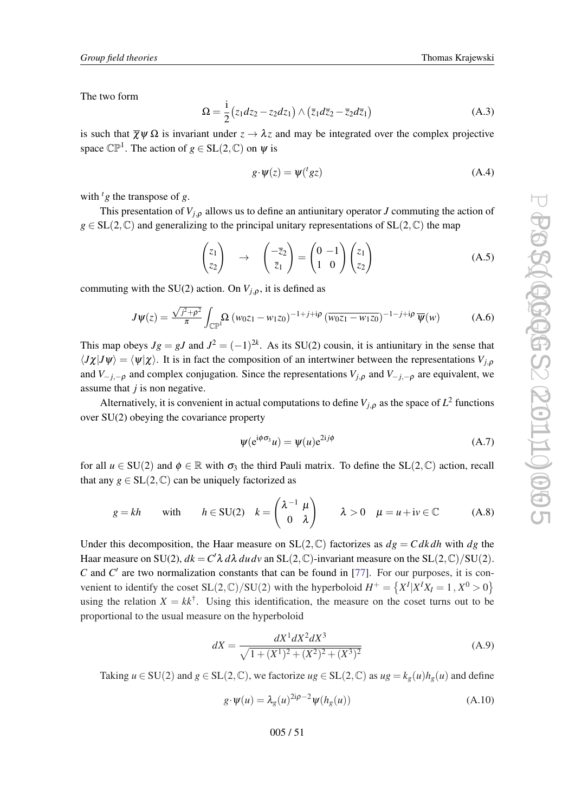<span id="page-50-0"></span>The two form

$$
\Omega = \frac{i}{2} \left( z_1 dz_2 - z_2 dz_1 \right) \wedge \left( \overline{z}_1 d \overline{z}_2 - \overline{z}_2 d \overline{z}_1 \right) \tag{A.3}
$$

is such that  $\overline{\chi}\psi\Omega$  is invariant under  $z \to \lambda z$  and may be integrated over the complex projective space  $\mathbb{CP}^1$ . The action of  $g \in SL(2,\mathbb{C})$  on  $\psi$  is

$$
g \cdot \psi(z) = \psi({}^{t} g z) \tag{A.4}
$$

with  $\frac{t}{g}$  the transpose of *g*.

This presentation of  $V_{i,o}$  allows us to define an antiunitary operator *J* commuting the action of  $g \in SL(2,\mathbb{C})$  and generalizing to the principal unitary representations of  $SL(2,\mathbb{C})$  the map

$$
\begin{pmatrix} z_1 \\ z_2 \end{pmatrix} \rightarrow \begin{pmatrix} -\overline{z}_2 \\ \overline{z}_1 \end{pmatrix} = \begin{pmatrix} 0 & -1 \\ 1 & 0 \end{pmatrix} \begin{pmatrix} z_1 \\ z_2 \end{pmatrix}
$$
 (A.5)

commuting with the SU(2) action. On  $V_{j,\rho}$ , it is defined as

$$
J\psi(z) = \frac{\sqrt{j^2 + \rho^2}}{\pi} \int_{\mathbb{CP}^1} \Omega \left( w_0 z_1 - w_1 z_0 \right)^{-1 + j + i\rho} \left( \overline{w_0 z_1 - w_1 z_0} \right)^{-1 - j + i\rho} \overline{\psi}(w) \tag{A.6}
$$

This map obeys  $Jg = gJ$  and  $J^2 = (-1)^{2k}$ . As its SU(2) cousin, it is antiunitary in the sense that  $\langle J\chi|J\psi\rangle = \langle \psi|\chi\rangle$ . It is in fact the composition of an intertwiner between the representations *V*<sub>*j*,*ρ*</sub> and  $V_{-j,-\rho}$  and complex conjugation. Since the representations  $V_{i,\rho}$  and  $V_{-j,-\rho}$  are equivalent, we assume that *j* is non negative.

Alternatively, it is convenient in actual computations to define  $V_{j,\rho}$  as the space of  $L^2$  functions over SU(2) obeying the covariance property

$$
\psi(e^{i\phi\sigma_3}u) = \psi(u)e^{2i j\phi}
$$
 (A.7)

for all  $u \in SU(2)$  and  $\phi \in \mathbb{R}$  with  $\sigma_3$  the third Pauli matrix. To define the SL(2, C) action, recall that any  $g \in SL(2, \mathbb{C})$  can be uniquely factorized as

$$
g = kh \quad \text{with} \quad h \in SU(2) \quad k = \begin{pmatrix} \lambda^{-1} & \mu \\ 0 & \lambda \end{pmatrix} \quad \lambda > 0 \quad \mu = u + iv \in \mathbb{C} \quad (A.8)
$$

Under this decomposition, the Haar measure on  $SL(2, \mathbb{C})$  factorizes as  $dg = C dk dh$  with  $dg$  the Haar measure on SU(2),  $dk = C' \lambda \, d\lambda \, du \, dv$  an SL(2, C)-invariant measure on the SL(2, C)/SU(2).  $C$  and  $C'$  are two normalization constants that can be found in [[77\]](#page-57-0). For our purposes, it is convenient to identify the coset  $SL(2, \mathbb{C})/SU(2)$  with the hyperboloid  $H^+ = \{X^I | X^I X_I = 1, X^0 > 0\}$ using the relation  $X = kk^{\dagger}$ . Using this identification, the measure on the coset turns out to be proportional to the usual measure on the hyperboloid

$$
dX = \frac{dX^1 dX^2 dX^3}{\sqrt{1 + (X^1)^2 + (X^2)^2 + (X^3)^2}}
$$
(A.9)

Taking  $u \in SU(2)$  and  $g \in SL(2,\mathbb{C})$ , we factorize  $ug \in SL(2,\mathbb{C})$  as  $ug = k_g(u)h_g(u)$  and define

$$
g \cdot \psi(u) = \lambda_g(u)^{2\mathbf{i}\rho - 2} \psi(h_g(u)) \tag{A.10}
$$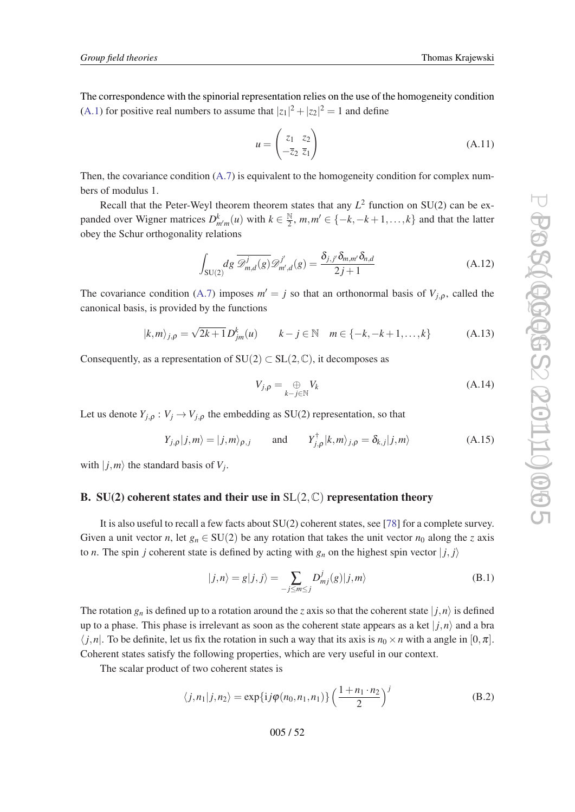<span id="page-51-0"></span>The correspondence with the spinorial representation relies on the use of the homogeneity condition ([A.1](#page-49-0)) for positive real numbers to assume that  $|z_1|^2 + |z_2|^2 = 1$  and define

$$
u = \begin{pmatrix} z_1 & z_2 \\ -\overline{z}_2 & \overline{z}_1 \end{pmatrix}
$$
 (A.11)

Then, the covariance condition  $(A.7)$  $(A.7)$  is equivalent to the homogeneity condition for complex numbers of modulus 1.

Recall that the Peter-Weyl theorem theorem states that any  $L^2$  function on SU(2) can be expanded over Wigner matrices  $D_{m'm}^k(u)$  with  $k \in \frac{\mathbb{N}}{2}$  $\frac{N}{2}$ ,  $m, m' \in \{-k, -k+1, \ldots, k\}$  and that the latter obey the Schur orthogonality relations

$$
\int_{\text{SU}(2)} dg \overline{\mathscr{D}}_{m,d}^j(g) \mathscr{D}_{m',d}^{j'}(g) = \frac{\delta_{j,j'} \delta_{m,m'} \delta_{n,d}}{2j+1}
$$
\n(A.12)

The covariance condition ([A.7\)](#page-50-0) imposes  $m' = j$  so that an orthonormal basis of  $V_{j,\rho}$ , called the canonical basis, is provided by the functions

$$
|k,m\rangle_{j,\rho} = \sqrt{2k+1} D^k_{jm}(u) \qquad k-j \in \mathbb{N} \quad m \in \{-k, -k+1, ..., k\}
$$
 (A.13)

Consequently, as a representation of  $SU(2) \subset SL(2,\mathbb{C})$ , it decomposes as

$$
V_{j,\rho} = \bigoplus_{k-j \in \mathbb{N}} V_k \tag{A.14}
$$

Let us denote  $Y_{j,\rho}: V_j \to V_{j,\rho}$  the embedding as SU(2) representation, so that

$$
Y_{j,\rho}|j,m\rangle = |j,m\rangle_{\rho,j} \quad \text{and} \quad Y_{j,\rho}^{\dagger}|k,m\rangle_{j,\rho} = \delta_{k,j}|j,m\rangle \tag{A.15}
$$

with  $|j,m\rangle$  the standard basis of  $V_j$ .

## B. SU(2) coherent states and their use in  $SL(2,\mathbb{C})$  representation theory

It is also useful to recall a few facts about SU(2) coherent states, see [\[78](#page-57-0)] for a complete survey. Given a unit vector *n*, let  $g_n \in SU(2)$  be any rotation that takes the unit vector  $n_0$  along the *z* axis to *n*. The spin *j* coherent state is defined by acting with  $g_n$  on the highest spin vector  $|j, j\rangle$ 

$$
|j,n\rangle = g|j,j\rangle = \sum_{-j \le m \le j} D_{mj}^j(g)|j,m\rangle
$$
 (B.1)

The rotation  $g_n$  is defined up to a rotation around the *z* axis so that the coherent state  $|j, n\rangle$  is defined up to a phase. This phase is irrelevant as soon as the coherent state appears as a ket  $|j,n\rangle$  and a bra  $\langle j, n |$ . To be definite, let us fix the rotation in such a way that its axis is  $n_0 \times n$  with a angle in  $[0, \pi]$ . Coherent states satisfy the following properties, which are very useful in our context.

The scalar product of two coherent states is

$$
\langle j, n_1 | j, n_2 \rangle = \exp\{ij\varphi(n_0, n_1, n_1)\} \left(\frac{1 + n_1 \cdot n_2}{2}\right)^j
$$
 (B.2)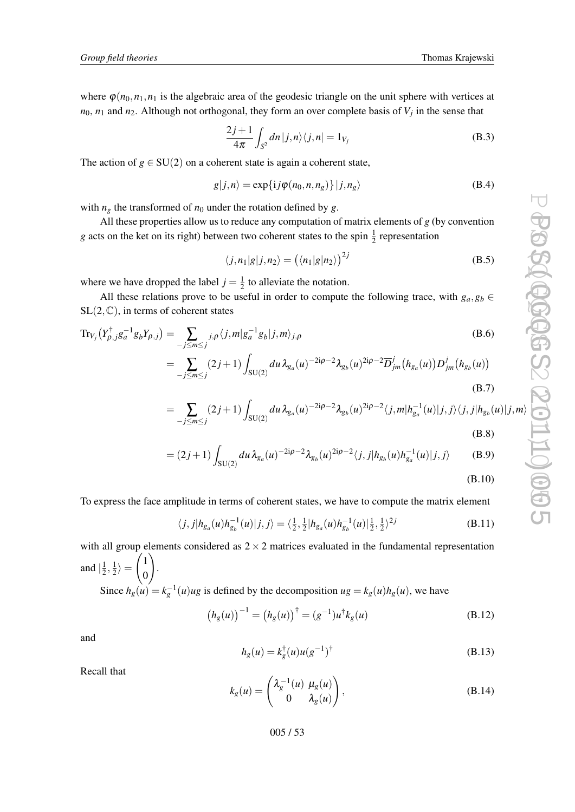where  $\varphi(n_0, n_1, n_1)$  is the algebraic area of the geodesic triangle on the unit sphere with vertices at  $n_0$ ,  $n_1$  and  $n_2$ . Although not orthogonal, they form an over complete basis of  $V_j$  in the sense that

$$
\frac{2j+1}{4\pi} \int_{S^2} dn |j,n\rangle\langle j,n| = 1_{V_j}
$$
 (B.3)

The action of  $g \in SU(2)$  on a coherent state is again a coherent state,

$$
g|j,n\rangle = \exp\{ij\varphi(n_0,n,n_g)\}|j,n_g\rangle
$$
 (B.4)

with  $n_g$  the transformed of  $n_0$  under the rotation defined by *g*.

All these properties allow us to reduce any computation of matrix elements of *g* (by convention *g* acts on the ket on its right) between two coherent states to the spin  $\frac{1}{2}$  representation

$$
\langle j, n_1 | g | j, n_2 \rangle = \left( \langle n_1 | g | n_2 \rangle \right)^{2j} \tag{B.5}
$$

where we have dropped the label  $j = \frac{1}{2}$  $\frac{1}{2}$  to alleviate the notation.

All these relations prove to be useful in order to compute the following trace, with  $g_a, g_b \in$  $SL(2,\mathbb{C})$ , in terms of coherent states

$$
Tr_{V_j}(Y_{\rho,j}^{\dagger}g_a^{-1}g_bY_{\rho,j}) = \sum_{-j\leq m\leq j} j,\rho\langle j,m|g_a^{-1}g_b|j,m\rangle_{j,\rho}
$$
\n(B.6)  
\n
$$
= \sum_{-j\leq m\leq j} (2j+1) \int_{SU(2)} du \lambda_{g_a}(u)^{-2i\rho-2} \lambda_{g_b}(u)^{2i\rho-2} \overline{D}_{jm}^j(h_{g_a}(u)) D_{jm}^j(h_{g_b}(u))
$$
\n(B.7)

$$
= \sum_{-j\leq m\leq j} (2j+1) \int_{SU(2)} du \,\lambda_{g_a}(u)^{-2i\rho-2} \lambda_{g_b}(u)^{2i\rho-2} \langle j,m|h_{g_a}^{-1}(u)|j,j\rangle \langle j,j|h_{g_b}(u)|j,m\rangle
$$
\n(B.8)

$$
= (2j+1) \int_{SU(2)} du \,\lambda_{g_a}(u)^{-2i\rho-2} \lambda_{g_b}(u)^{2i\rho-2} \langle j, j | h_{g_b}(u) h_{g_a}^{-1}(u) | j, j \rangle \tag{B.9}
$$

(B.10)

To express the face amplitude in terms of coherent states, we have to compute the matrix element

$$
\langle j,j|h_{g_a}(u)h_{g_b}^{-1}(u)|j,j\rangle = \langle \frac{1}{2}, \frac{1}{2}|h_{g_a}(u)h_{g_b}^{-1}(u)|\frac{1}{2}, \frac{1}{2}\rangle^{2j}
$$
(B.11)

with all group elements considered as  $2 \times 2$  matrices evaluated in the fundamental representation and  $\left|\frac{1}{2}\right|$  $\frac{1}{2}, \frac{1}{2}$  $\frac{1}{2}\rangle =$  $\sqrt{1}$  $\boldsymbol{0}$  $\setminus$ .

Since  $h_g(u) = k_g^{-1}(u)u$ g is defined by the decomposition  $ug = k_g(u)h_g(u)$ , we have

$$
(h_g(u))^{-1} = (h_g(u))^{\dagger} = (g^{-1})u^{\dagger}k_g(u)
$$
 (B.12)

and

$$
h_g(u) = k_g^{\dagger}(u)u(g^{-1})^{\dagger}
$$
 (B.13)

Recall that

$$
k_g(u) = \begin{pmatrix} \lambda_g^{-1}(u) & \mu_g(u) \\ 0 & \lambda_g(u) \end{pmatrix},
$$
 (B.14)

005 / 53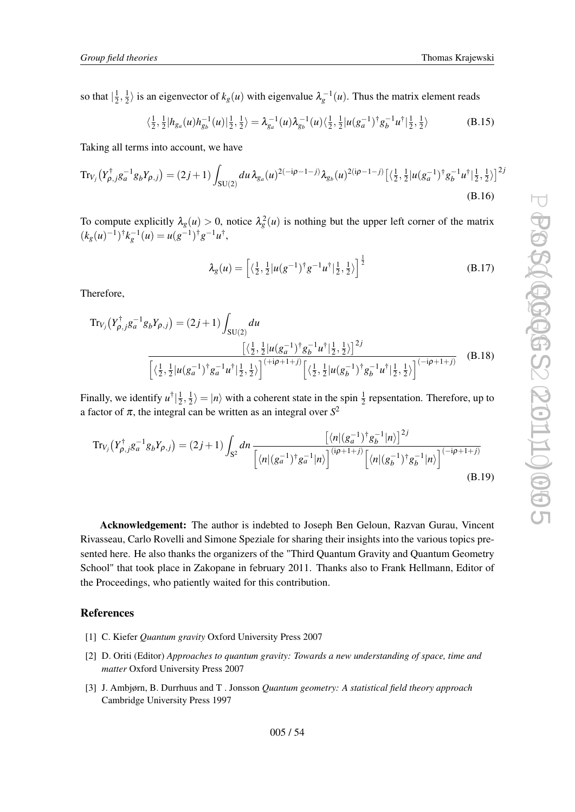<span id="page-53-0"></span>so that  $\frac{1}{2}$  $\frac{1}{2}, \frac{1}{2}$  $\frac{1}{2}$  is an eigenvector of  $k_g(u)$  with eigenvalue  $\lambda_g^{-1}(u)$ . Thus the matrix element reads

$$
\langle \frac{1}{2}, \frac{1}{2} | h_{g_a}(u) h_{g_b}^{-1}(u) | \frac{1}{2}, \frac{1}{2} \rangle = \lambda_{g_a}^{-1}(u) \lambda_{g_b}^{-1}(u) \langle \frac{1}{2}, \frac{1}{2} | u(g_a^{-1})^{\dagger} g_b^{-1} u^{\dagger} | \frac{1}{2}, \frac{1}{2} \rangle \tag{B.15}
$$

Taking all terms into account, we have

$$
\operatorname{Tr}_{V_j}\left(Y_{\rho,j}^{\dagger}g_a^{-1}g_bY_{\rho,j}\right) = (2j+1)\int_{SU(2)} du \,\lambda_{g_a}(u)^{2(-i\rho-1-j)}\lambda_{g_b}(u)^{2(i\rho-1-j)}\left[\left\langle \frac{1}{2},\frac{1}{2}\left|u(g_a^{-1})^{\dagger}g_b^{-1}u^{\dagger}\right|\frac{1}{2},\frac{1}{2}\right\rangle\right]^{2j}
$$
\n(B.16)

To compute explicitly  $\lambda_g(u) > 0$ , notice  $\lambda_g^2(u)$  is nothing but the upper left corner of the matrix  $(k_g(u)^{-1})^{\dagger} k_g^{-1}(u) = u(g^{-1})^{\dagger} g^{-1} u^{\dagger},$ 

$$
\lambda_g(u) = \left[ \langle \frac{1}{2}, \frac{1}{2} | u(g^{-1})^\dagger g^{-1} u^\dagger | \frac{1}{2}, \frac{1}{2} \rangle \right]^{\frac{1}{2}}
$$
(B.17)

Therefore,

$$
\text{Tr}_{V_j}\left(Y_{\rho,j}^{\dagger}g_a^{-1}g_bY_{\rho,j}\right) = (2j+1)\int_{SU(2)}du
$$
\n
$$
\frac{\left[\left(\frac{1}{2},\frac{1}{2}|u(g_a^{-1})^{\dagger}g_b^{-1}u^{\dagger}\right]\frac{1}{2},\frac{1}{2}\right]^{2j}}{\left[\left(\frac{1}{2},\frac{1}{2}|u(g_a^{-1})^{\dagger}g_a^{-1}u^{\dagger}\right|\frac{1}{2},\frac{1}{2}\right)\right]^{(+i\rho+1+j)}\left[\left(\frac{1}{2},\frac{1}{2}|u(g_b^{-1})^{\dagger}g_b^{-1}u^{\dagger}\right]\frac{1}{2},\frac{1}{2}\right)^{(-i\rho+1+j)}}\tag{B.18}
$$

Finally, we identify  $u^{\dagger}$  $\frac{1}{2}$  $\frac{1}{2}, \frac{1}{2}$  $\frac{1}{2}$ ) = |*n*) with a coherent state in the spin  $\frac{1}{2}$  repsentation. Therefore, up to a factor of  $\pi$ , the integral can be written as an integral over  $S^2$ 

$$
\text{Tr}_{V_j}\left(Y_{\rho,j}^{\dagger}g_a^{-1}g_bY_{\rho,j}\right) = (2j+1)\int_{S^2} dn \frac{\left[\langle n|(g_a^{-1})^{\dagger}g_b^{-1}|n\rangle\right]^{2j}}{\left[\langle n|(g_a^{-1})^{\dagger}g_a^{-1}|n\rangle\right]^{(ip+1+j)}\left[\langle n|(g_b^{-1})^{\dagger}g_b^{-1}|n\rangle\right]^{(-i\rho+1+j)}}\tag{B.19}
$$

Acknowledgement: The author is indebted to Joseph Ben Geloun, Razvan Gurau, Vincent Rivasseau, Carlo Rovelli and Simone Speziale for sharing their insights into the various topics presented here. He also thanks the organizers of the "Third Quantum Gravity and Quantum Geometry School" that took place in Zakopane in february 2011. Thanks also to Frank Hellmann, Editor of the Proceedings, who patiently waited for this contribution.

#### References

- [1] C. Kiefer *Quantum gravity* Oxford University Press 2007
- [2] D. Oriti (Editor) *Approaches to quantum gravity: Towards a new understanding of space, time and matter* Oxford University Press 2007
- [3] J. Ambjørn, B. Durrhuus and T . Jonsson *Quantum geometry: A statistical field theory approach* Cambridge University Press 1997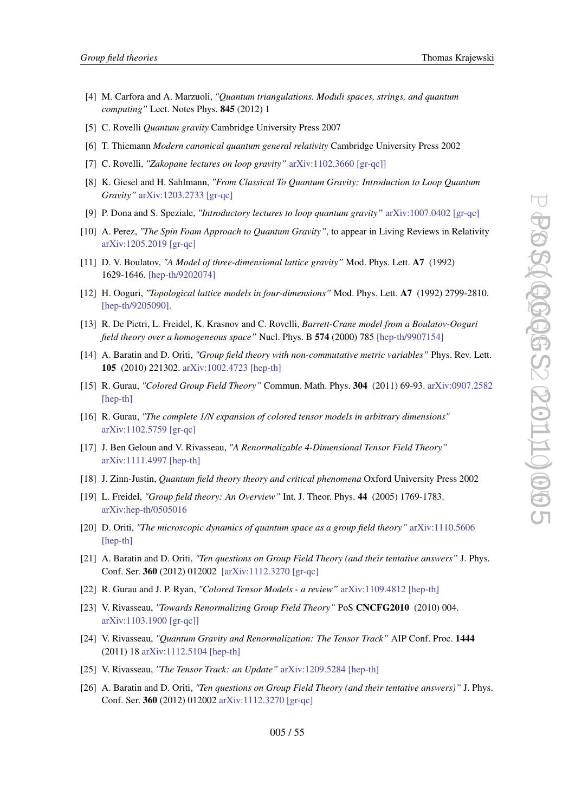- <span id="page-54-0"></span>[4] M. Carfora and A. Marzuoli, *"Quantum triangulations. Moduli spaces, strings, and quantum computing"* Lect. Notes Phys. 845 (2012) 1
- [5] C. Rovelli *Quantum gravity* Cambridge University Press 2007
- [6] T. Thiemann *Modern canonical quantum general relativity* Cambridge University Press 2002
- [7] C. Rovelli, *"Zakopane lectures on loop gravity"* [arXiv:1102.3660 \[gr-qc\]\]](http://arXiv.org/abs/arXiv:1102.3660)
- [8] K. Giesel and H. Sahlmann, *"From Classical To Quantum Gravity: Introduction to Loop Quantum Gravity"* [arXiv:1203.2733 \[gr-qc\]](http://arXiv.org/abs/arXiv:1203.2733)
- [9] P. Dona and S. Speziale, *"Introductory lectures to loop quantum gravity"* [arXiv:1007.0402 \[gr-qc\]](http://arXiv.org/abs/arXiv:1007.0402)
- [10] A. Perez, *"The Spin Foam Approach to Quantum Gravity"*, to appear in Living Reviews in Relativity [arXiv:1205.2019 \[gr-qc\]](http://arXiv.org/abs/arXiv:1205.2019)
- [11] D. V. Boulatov, *"A Model of three-dimensional lattice gravity"* Mod. Phys. Lett. A7 (1992) 1629-1646. [\[hep-th/9202074\]](http://arXiv.org/abs/hep-th/9202074)
- [12] H. Ooguri, *"Topological lattice models in four-dimensions"* Mod. Phys. Lett. A7 (1992) 2799-2810. [\[hep-th/9205090\]](http://arXiv.org/abs/hep-th/9205090).
- [13] R. De Pietri, L. Freidel, K. Krasnov and C. Rovelli, *Barrett-Crane model from a Boulatov-Ooguri field theory over a homogeneous space"* Nucl. Phys. B 574 (2000) 785 [\[hep-th/9907154\]](http://arXiv.org/abs/hep-th/9907154)
- [14] A. Baratin and D. Oriti, *"Group field theory with non-commutative metric variables"* Phys. Rev. Lett. 105 (2010) 221302. [arXiv:1002.4723 \[hep-th\]](http://arXiv.org/abs/arXiv:1002.4723)
- [15] R. Gurau, *"Colored Group Field Theory"* Commun. Math. Phys. 304 (2011) 69-93. [arXiv:0907.2582](http://arXiv.org/abs/arXiv:0907.2582) [\[hep-th\]](http://arXiv.org/abs/arXiv:0907.2582)
- [16] R. Gurau, *"The complete 1/N expansion of colored tensor models in arbitrary dimensions"* [arXiv:1102.5759 \[gr-qc\]](http://arXiv.org/abs/arXiv:1102.5759)
- [17] J. Ben Geloun and V. Rivasseau, *"A Renormalizable 4-Dimensional Tensor Field Theory"* [arXiv:1111.4997 \[hep-th\]](http://arXiv.org/abs/arXiv:1111.4997)
- [18] J. Zinn-Justin, *Quantum field theory theory and critical phenomena* Oxford University Press 2002
- [19] L. Freidel, *"Group field theory: An Overview"* Int. J. Theor. Phys. 44 (2005) 1769-1783. [arXiv:hep-th/0505016](http://arXiv.org/abs/arXiv:hep-th/0505016)
- [20] D. Oriti, *"The microscopic dynamics of quantum space as a group field theory"* [arXiv:1110.5606](http://arXiv.org/abs/arXiv:1110.5606) [\[hep-th\]](http://arXiv.org/abs/arXiv:1110.5606)
- [21] A. Baratin and D. Oriti, *"Ten questions on Group Field Theory (and their tentative answers"* J. Phys. Conf. Ser. 360 (2012) 012002 [\[arXiv:1112.3270 \[gr-qc\]](http://arXiv.org/abs/arXiv:1112.3270)
- [22] R. Gurau and J. P. Ryan, *"Colored Tensor Models a review"* [arXiv:1109.4812 \[hep-th\]](http://arXiv.org/abs/arXiv:1109.4812)
- [23] V. Rivasseau, *"Towards Renormalizing Group Field Theory"* PoS CNCFG2010 (2010) 004. [arXiv:1103.1900 \[gr-qc\]\]](http://arXiv.org/abs/arXiv:1103.1900)
- [24] V. Rivasseau, *"Quantum Gravity and Renormalization: The Tensor Track"* AIP Conf. Proc. 1444 (2011) 18 [arXiv:1112.5104 \[hep-th\]](http://arXiv.org/abs/arXiv:1112.5104)
- [25] V. Rivasseau, *"The Tensor Track: an Update"* [arXiv:1209.5284 \[hep-th\]](http://arXiv.org/abs/arXiv:1209.5284)
- [26] A. Baratin and D. Oriti, *"Ten questions on Group Field Theory (and their tentative answers)"* J. Phys. Conf. Ser. 360 (2012) 012002 [arXiv:1112.3270 \[gr-qc\]](http://arXiv.org/abs/arXiv:1112.3270)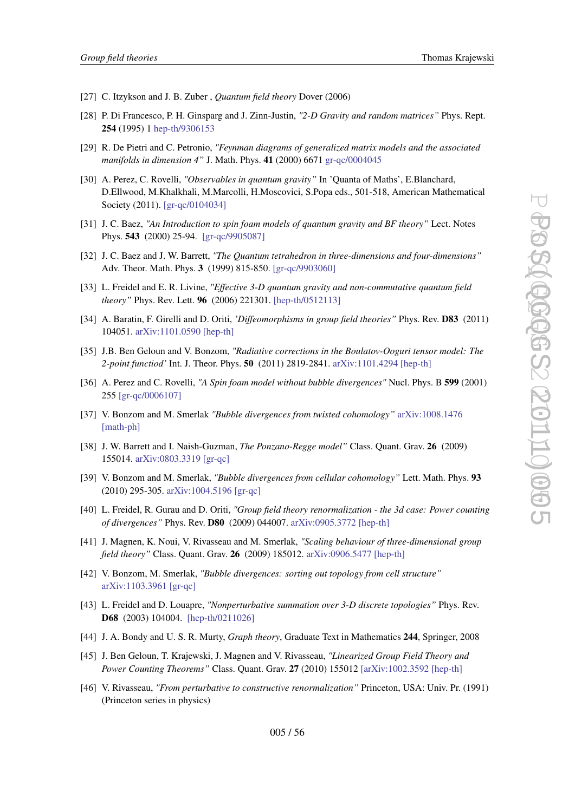- <span id="page-55-0"></span>[27] C. Itzykson and J. B. Zuber , *Quantum field theory* Dover (2006)
- [28] P. Di Francesco, P. H. Ginsparg and J. Zinn-Justin, *"2-D Gravity and random matrices"* Phys. Rept. 254 (1995) 1 [hep-th/9306153](http://arXiv.org/abs/hep-th/9306153)
- [29] R. De Pietri and C. Petronio, *"Feynman diagrams of generalized matrix models and the associated manifolds in dimension 4"* J. Math. Phys. 41 (2000) 6671 [gr-qc/0004045](http://arXiv.org/abs/gr-qc/0004045)
- [30] A. Perez, C. Rovelli, *"Observables in quantum gravity"* In 'Quanta of Maths', E.Blanchard, D.Ellwood, M.Khalkhali, M.Marcolli, H.Moscovici, S.Popa eds., 501-518, American Mathematical Society (2011). [\[gr-qc/0104034\]](http://arXiv.org/abs/gr-qc/0104034)
- [31] J. C. Baez, *"An Introduction to spin foam models of quantum gravity and BF theory"* Lect. Notes Phys. 543 (2000) 25-94. [\[gr-qc/9905087\]](http://arXiv.org/abs/gr-qc/9905087)
- [32] J. C. Baez and J. W. Barrett, *"The Quantum tetrahedron in three-dimensions and four-dimensions"* Adv. Theor. Math. Phys. 3 (1999) 815-850. [\[gr-qc/9903060\]](http://arXiv.org/abs/gr-qc/9903060)
- [33] L. Freidel and E. R. Livine, *"Effective 3-D quantum gravity and non-commutative quantum field theory"* Phys. Rev. Lett. 96 (2006) 221301. [\[hep-th/0512113\]](http://arXiv.org/abs/hep-th/0512113)
- [34] A. Baratin, F. Girelli and D. Oriti, *'Diffeomorphisms in group field theories"* Phys. Rev. D83 (2011) 104051. [arXiv:1101.0590 \[hep-th\]](http://arXiv.org/abs/arXiv:1101.0590)
- [35] J.B. Ben Geloun and V. Bonzom, *"Radiative corrections in the Boulatov-Ooguri tensor model: The 2-point functiod'* Int. J. Theor. Phys. 50 (2011) 2819-2841. [arXiv:1101.4294 \[hep-th\]](http://arXiv.org/abs/arXiv:1101.4294)
- [36] A. Perez and C. Rovelli, *"A Spin foam model without bubble divergences"* Nucl. Phys. B 599 (2001) 255 [\[gr-qc/0006107\]](http://arXiv.org/abs/gr-qc/0006107)
- [37] V. Bonzom and M. Smerlak *"Bubble divergences from twisted cohomology"* [arXiv:1008.1476](http://arXiv.org/abs/arXiv:1008.1476) [\[math-ph\]](http://arXiv.org/abs/arXiv:1008.1476)
- [38] J. W. Barrett and I. Naish-Guzman, *The Ponzano-Regge model"* Class. Quant. Grav. 26 (2009) 155014. [arXiv:0803.3319 \[gr-qc\]](http://arXiv.org/abs/arXiv:0803.3319)
- [39] V. Bonzom and M. Smerlak, *"Bubble divergences from cellular cohomology"* Lett. Math. Phys. 93 (2010) 295-305. [arXiv:1004.5196 \[gr-qc\]](http://arXiv.org/abs/arXiv:1004.5196)
- [40] L. Freidel, R. Gurau and D. Oriti, *"Group field theory renormalization the 3d case: Power counting of divergences"* Phys. Rev. D80 (2009) 044007. [arXiv:0905.3772 \[hep-th\]](http://arXiv.org/abs/arXiv:0905.3772)
- [41] J. Magnen, K. Noui, V. Rivasseau and M. Smerlak, *"Scaling behaviour of three-dimensional group field theory"* Class. Quant. Grav. 26 (2009) 185012. [arXiv:0906.5477 \[hep-th\]](http://arXiv.org/abs/arXiv:0906.5477)
- [42] V. Bonzom, M. Smerlak, *"Bubble divergences: sorting out topology from cell structure"* [arXiv:1103.3961 \[gr-qc\]](http://arXiv.org/abs/arXiv:1103.3961)
- [43] L. Freidel and D. Louapre, *"Nonperturbative summation over 3-D discrete topologies"* Phys. Rev. D68 (2003) 104004. [\[hep-th/0211026\]](http://arXiv.org/abs/hep-th/0211026)
- [44] J. A. Bondy and U. S. R. Murty, *Graph theory*, Graduate Text in Mathematics 244, Springer, 2008
- [45] J. Ben Geloun, T. Krajewski, J. Magnen and V. Rivasseau, *"Linearized Group Field Theory and Power Counting Theorems"* Class. Quant. Grav. 27 (2010) 155012 [\[arXiv:1002.3592 \[hep-th\]](http://arXiv.org/abs/arXiv:1002.3592)
- [46] V. Rivasseau, *"From perturbative to constructive renormalization"* Princeton, USA: Univ. Pr. (1991) (Princeton series in physics)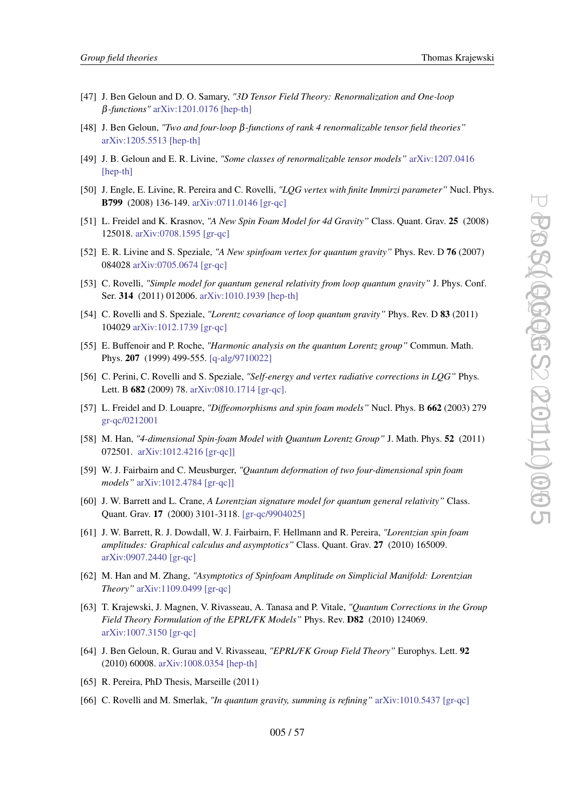- <span id="page-56-0"></span>[47] J. Ben Geloun and D. O. Samary, *"3D Tensor Field Theory: Renormalization and One-loop* β*-functions"* [arXiv:1201.0176 \[hep-th\]](http://arXiv.org/abs/arXiv:1201.0176)
- [48] J. Ben Geloun, *"Two and four-loop* β*-functions of rank 4 renormalizable tensor field theories"* [arXiv:1205.5513 \[hep-th\]](http://arXiv.org/abs/arXiv:1205.5513)
- [49] J. B. Geloun and E. R. Livine, *"Some classes of renormalizable tensor models"* [arXiv:1207.0416](http://arXiv.org/abs/arXiv:1207.0416) [\[hep-th\]](http://arXiv.org/abs/arXiv:1207.0416)
- [50] J. Engle, E. Livine, R. Pereira and C. Rovelli, *"LQG vertex with finite Immirzi parameter"* Nucl. Phys. B799 (2008) 136-149. [arXiv:0711.0146 \[gr-qc\]](http://arXiv.org/abs/arXiv:0711.0146)
- [51] L. Freidel and K. Krasnov, *"A New Spin Foam Model for 4d Gravity"* Class. Quant. Grav. 25 (2008) 125018. [arXiv:0708.1595 \[gr-qc\]](http://arXiv.org/abs/arXiv:0708.1595)
- [52] E. R. Livine and S. Speziale, *"A New spinfoam vertex for quantum gravity"* Phys. Rev. D 76 (2007) 084028 [arXiv:0705.0674 \[gr-qc\]](http://arXiv.org/abs/arXiv:0705.0674)
- [53] C. Rovelli, *"Simple model for quantum general relativity from loop quantum gravity"* J. Phys. Conf. Ser. 314 (2011) 012006. [arXiv:1010.1939 \[hep-th\]](http://arXiv.org/abs/arXiv:1010.1939)
- [54] C. Rovelli and S. Speziale, *"Lorentz covariance of loop quantum gravity"* Phys. Rev. D 83 (2011) 104029 [arXiv:1012.1739 \[gr-qc\]](http://arXiv.org/abs/arXiv:1012.1739)
- [55] E. Buffenoir and P. Roche, *"Harmonic analysis on the quantum Lorentz group"* Commun. Math. Phys. 207 (1999) 499-555. [\[q-alg/9710022\]](http://arXiv.org/abs/q-alg/9710022)
- [56] C. Perini, C. Rovelli and S. Speziale, *"Self-energy and vertex radiative corrections in LQG"* Phys. Lett. B 682 (2009) 78. [arXiv:0810.1714 \[gr-qc\]](http://arxiv.org/abs/arXiv:0810.1714).
- [57] L. Freidel and D. Louapre, *"Diffeomorphisms and spin foam models"* Nucl. Phys. B 662 (2003) 279 [gr-qc/0212001](http://arxiv.org/abs/gr-qc/0212001)
- [58] M. Han, *"4-dimensional Spin-foam Model with Quantum Lorentz Group"* J. Math. Phys. 52 (2011) 072501. [arXiv:1012.4216 \[gr-qc\]\]](http://arXiv.org/abs/arXiv:1012.4216)
- [59] W. J. Fairbairn and C. Meusburger, *"Quantum deformation of two four-dimensional spin foam models"* [arXiv:1012.4784 \[gr-qc\]\]](http://arXiv.org/abs/arXiv:1012.4784)
- [60] J. W. Barrett and L. Crane, *A Lorentzian signature model for quantum general relativity"* Class. Quant. Grav. 17 (2000) 3101-3118. [\[gr-qc/9904025\]](http://arXiv.org/abs/gr-qc/9904025)
- [61] J. W. Barrett, R. J. Dowdall, W. J. Fairbairn, F. Hellmann and R. Pereira, *"Lorentzian spin foam amplitudes: Graphical calculus and asymptotics"* Class. Quant. Grav. 27 (2010) 165009. [arXiv:0907.2440 \[gr-qc\]](http://arXiv.org/abs/arXiv:0907.2440)
- [62] M. Han and M. Zhang, *"Asymptotics of Spinfoam Amplitude on Simplicial Manifold: Lorentzian Theory"* [arXiv:1109.0499 \[gr-qc\]](http://arXiv.org/abs/arXiv:1109.0499)
- [63] T. Krajewski, J. Magnen, V. Rivasseau, A. Tanasa and P. Vitale, *"Quantum Corrections in the Group Field Theory Formulation of the EPRL/FK Models"* Phys. Rev. D82 (2010) 124069. [arXiv:1007.3150 \[gr-qc\]](http://arXiv.org/abs/arXiv:1007.3150)
- [64] J. Ben Geloun, R. Gurau and V. Rivasseau, *"EPRL/FK Group Field Theory"* Europhys. Lett. 92 (2010) 60008. [arXiv:1008.0354 \[hep-th\]](http://arXiv.org/abs/arXiv:1008.0354)
- [65] R. Pereira, PhD Thesis, Marseille (2011)
- [66] C. Rovelli and M. Smerlak, *"In quantum gravity, summing is refining"* [arXiv:1010.5437 \[gr-qc\]](http://arXiv.org/abs/arXiv:1010.5437)